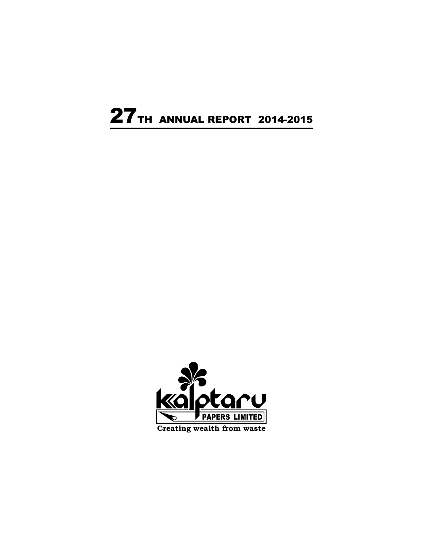# **27TH ANNUAL REPORT 2014-2015**

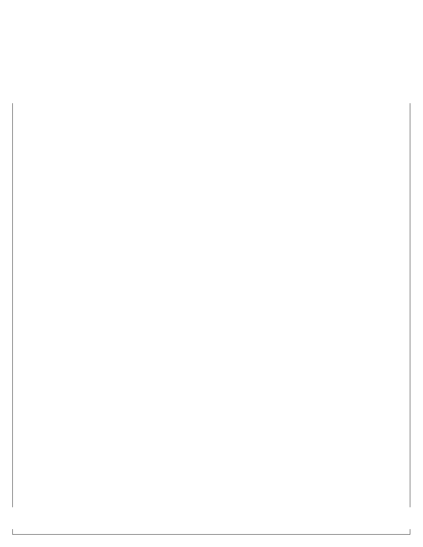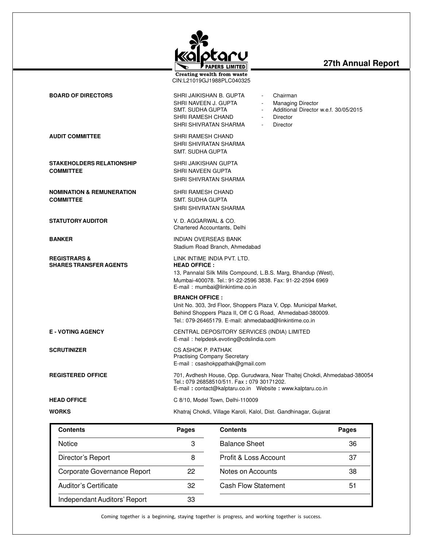

Creating wealth from waste CIN:L21019GJ1988PLC040325

SHRI NAVEEN J. GUPTA - Managing Director

**BOARD OF DIRECTORS** SHRI JAIKISHAN B. GUPTA - Chairman

## **27th Annual Report**

|                                                          | SMT. SUDHA GUPTA<br>Additional Director w.e.f. 30/05/2015<br>$\overline{\phantom{a}}$<br>SHRI RAMESH CHAND<br>Director<br>SHRI SHIVRATAN SHARMA<br><b>Director</b><br>$\blacksquare$                                  |
|----------------------------------------------------------|-----------------------------------------------------------------------------------------------------------------------------------------------------------------------------------------------------------------------|
| <b>AUDIT COMMITTEE</b>                                   | <b>SHRI RAMESH CHAND</b><br>SHRI SHIVRATAN SHARMA<br><b>SMT. SUDHA GUPTA</b>                                                                                                                                          |
| <b>STAKEHOLDERS RELATIONSHIP</b><br><b>COMMITTEE</b>     | SHRI JAIKISHAN GUPTA<br>SHRI NAVEEN GUPTA<br>SHRI SHIVRATAN SHARMA                                                                                                                                                    |
| <b>NOMINATION &amp; REMUNERATION</b><br><b>COMMITTEE</b> | <b>SHRI RAMESH CHAND</b><br><b>SMT. SUDHA GUPTA</b><br>SHRI SHIVRATAN SHARMA                                                                                                                                          |
| <b>STATUTORY AUDITOR</b>                                 | V. D. AGGARWAL & CO.<br>Chartered Accountants, Delhi                                                                                                                                                                  |
| <b>BANKER</b>                                            | <b>INDIAN OVERSEAS BANK</b><br>Stadium Road Branch, Ahmedabad                                                                                                                                                         |
| <b>REGISTRARS &amp;</b><br><b>SHARES TRANSFER AGENTS</b> | LINK INTIME INDIA PVT. LTD.<br><b>HEAD OFFICE:</b><br>13, Pannalal Silk Mills Compound, L.B.S. Marg, Bhandup (West),<br>Mumbai-400078, Tel.: 91-22-2596 3838, Fax: 91-22-2594 6969<br>E-mail: mumbai@linkintime.co.in |
|                                                          | <b>BRANCH OFFICE:</b><br>Unit No. 303, 3rd Floor, Shoppers Plaza V, Opp. Municipal Market,<br>Behind Shoppers Plaza II, Off C G Road, Ahmedabad-380009.<br>Tel.: 079-26465179. E-mail: ahmedabad@linkintime.co.in     |
| <b>E - VOTING AGENCY</b>                                 | CENTRAL DEPOSITORY SERVICES (INDIA) LIMITED<br>E-mail: helpdesk.evoting@cdslindia.com                                                                                                                                 |
| <b>SCRUTINIZER</b>                                       | CS ASHOK P. PATHAK<br><b>Practising Company Secretary</b><br>E-mail: csashokppathak@gmail.com                                                                                                                         |
| <b>REGISTERED OFFICE</b>                                 | 701, Avdhesh House, Opp. Gurudwara, Near Thaltej Chokdi, Ahmedabad-380054<br>Tel.: 079 26858510/511, Fax: 079 30171202.                                                                                               |
| <b>HEAD OFFICE</b>                                       | C 8/10, Model Town, Delhi-110009                                                                                                                                                                                      |
| <b>WORKS</b>                                             | Khatraj Chokdi, Village Karoli, Kalol, Dist. Gandhinagar, Gujarat                                                                                                                                                     |
|                                                          |                                                                                                                                                                                                                       |

| <b>Contents</b>              | <b>Pages</b> | <b>Contents</b>       | Pages |
|------------------------------|--------------|-----------------------|-------|
| Notice                       | 3            | <b>Balance Sheet</b>  | 36    |
| Director's Report            | 8            | Profit & Loss Account | 37    |
| Corporate Governance Report  | 22           | Notes on Accounts     | 38    |
| Auditor's Certificate        | 32           | Cash Flow Statement   | 51    |
| Independant Auditors' Report | 33           |                       |       |

Coming together is a beginning, staying together is progress, and working together is success.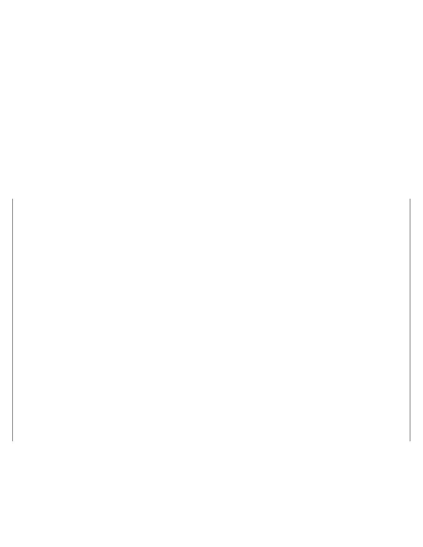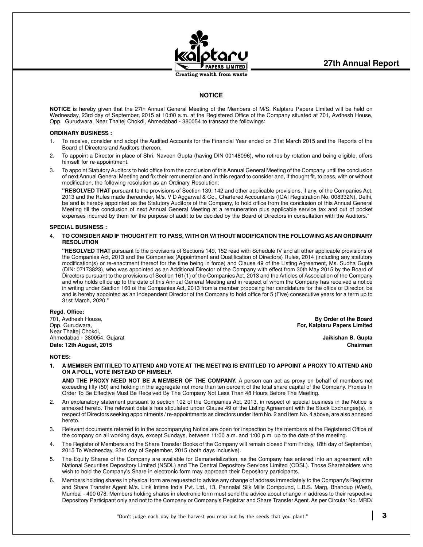

Creating wealth from waste

## **NOTICE**

**NOTICE** is hereby given that the 27th Annual General Meeting of the Members of M/S. Kalptaru Papers Limited will be held on Wednesday, 23rd day of September, 2015 at 10:00 a.m. at the Registered Office of the Company situated at 701, Avdhesh House, Opp. Gurudwara, Near Thaltej Chokdi, Ahmedabad - 380054 to transact the followings:

## **ORDINARY BUSINESS :**

- 1. To receive, consider and adopt the Audited Accounts for the Financial Year ended on 31st March 2015 and the Reports of the Board of Directors and Auditors thereon.
- 2. To appoint a Director in place of Shri. Naveen Gupta (having DIN 00148096), who retires by rotation and being eligible, offers himself for re-appointment.
- 3. To appoint Statutory Auditors to hold office from the conclusion of this Annual General Meeting of the Company until the conclusion of next Annual General Meeting and fix their remuneration and in this regard to consider and, if thought fit, to pass, with or without modification, the following resolution as an Ordinary Resolution:

**"RESOLVED THAT** pursuant to the provisions of Section 139, 142 and other applicable provisions, if any, of the Companies Act, 2013 and the Rules made thereunder, M/s. V D Aggarwal & Co., Chartered Accountants (ICAI Registration No. 008332N), Delhi, be and is hereby appointed as the Statutory Auditors of the Company, to hold office from the conclusion of this Annual General Meeting till the conclusion of next Annual General Meeting at a remuneration plus applicable service tax and out of pocket expenses incurred by them for the purpose of audit to be decided by the Board of Directors in consultation with the Auditors."

#### **SPECIAL BUSINESS :**

### 4. **TO CONSIDER AND IF THOUGHT FIT TO PASS, WITH OR WITHOUT MODIFICATION THE FOLLOWING AS AN ORDINARY RESOLUTION**

**"RESOLVED THAT** pursuant to the provisions of Sections 149, 152 read with Schedule IV and all other applicable provisions of the Companies Act, 2013 and the Companies (Appointment and Qualification of Directors) Rules, 2014 (including any statutory modification(s) or re-enactment thereof for the time being in force) and Clause 49 of the Listing Agreement, Ms. Sudha Gupta (DIN: 07173823), who was appointed as an Additional Director of the Company with effect from 30th May 2015 by the Board of Directors pursuant to the provisions of Section 161(1) of the Companies Act, 2013 and the Articles of Association of the Company and who holds office up to the date of this Annual General Meeting and in respect of whom the Company has received a notice in writing under Section 160 of the Companies Act, 2013 from a member proposing her candidature for the office of Director, be and is hereby appointed as an Independent Director of the Company to hold office for 5 (Five) consecutive years for a term up to 31st March, 2020."

## **Regd. Office:**

701, Avdhesh House, **By Order of the Board** Near Thaltej Chokdi, Ahmedabad - 380054. Gujarat **Jaikishan B. Gupta Date: 12th August, 2015 Chairman**

**For, Kalptaru Papers Limited** 

#### **NOTES:**

**1. A MEMBER ENTITILED TO ATTEND AND VOTE AT THE MEETING IS ENTITLED TO APPOINT A PROXY TO ATTEND AND ON A POLL, VOTE INSTEAD OF HIMSELF.**

AND THE PROXY NEED NOT BE A MEMBER OF THE COMPANY. A person can act as proxy on behalf of members not exceeding fifty (50) and holding in the aggregate not more than ten percent of the total share capital of the Company. Proxies In Order To Be Effective Must Be Received By The Company Not Less Than 48 Hours Before The Meeting.

- 2. An explanatory statement pursuant to section 102 of the Companies Act, 2013, in respect of special business in the Notice is annexed hereto. The relevant details has stipulated under Clause 49 of the Listing Agreement with the Stock Exchanges(s), in respect of Directors seeking appointments / re-appointments as directors under Item No. 2 and Item No. 4 above, are also annexed hereto.
- 3. Relevant documents referred to in the accompanying Notice are open for inspection by the members at the Registered Office of the company on all working days, except Sundays, between 11:00 a.m. and 1:00 p.m. up to the date of the meeting.
- 4. The Register of Members and the Share Transfer Books of the Company will remain closed From Friday, 18th day of September, 2015 To Wednesday, 23rd day of September, 2015 (both days inclusive).
- 5. The Equity Shares of the Company are available for Dematerialization, as the Company has entered into an agreement with National Securities Depository Limited (NSDL) and The Central Depository Services Limited (CDSL). Those Shareholders who wish to hold the Company's Share in electronic form may approach their Depository participants.
- 6. Members holding shares in physical form are requested to advise any change of address immediately to the Company's Registrar and Share Transfer Agent M/s. Link Intime India Pvt. Ltd., 13, Pannalal Silk Mills Compound, L.B.S. Marg, Bhandup (West), Mumbai - 400 078. Members holding shares in electronic form must send the advice about change in address to their respective Depository Participant only and not to the Company or Company's Registrar and Share Transfer Agent. As per Circular No. MRD/

"Don't judge each day by the harvest you reap but by the seeds that you plant."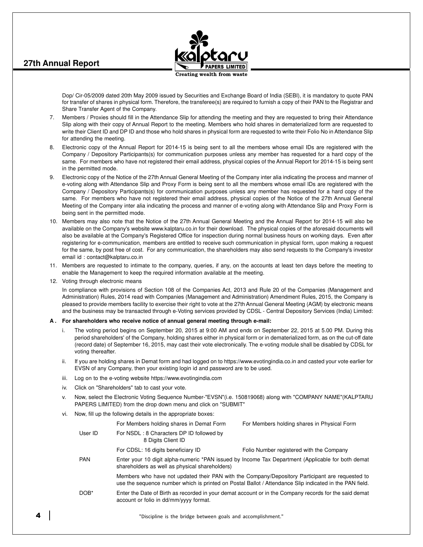

Dop/ Cir-05/2009 dated 20th May 2009 issued by Securities and Exchange Board of India (SEBI), it is mandatory to quote PAN for transfer of shares in physical form. Therefore, the transferee(s) are required to furnish a copy of their PAN to the Registrar and Share Transfer Agent of the Company.

- 7. Members / Proxies should fill in the Attendance Slip for attending the meeting and they are requested to bring their Attendance Slip along with their copy of Annual Report to the meeting. Members who hold shares in dematerialized form are requested to write their Client ID and DP ID and those who hold shares in physical form are requested to write their Folio No in Attendance Slip for attending the meeting.
- 8. Electronic copy of the Annual Report for 2014-15 is being sent to all the members whose email IDs are registered with the Company / Depository Participants(s) for communication purposes unless any member has requested for a hard copy of the same. For members who have not registered their email address, physical copies of the Annual Report for 2014-15 is being sent in the permitted mode.
- 9. Electronic copy of the Notice of the 27th Annual General Meeting of the Company inter alia indicating the process and manner of e-voting along with Attendance Slip and Proxy Form is being sent to all the members whose email IDs are registered with the Company / Depository Participants(s) for communication purposes unless any member has requested for a hard copy of the same. For members who have not registered their email address, physical copies of the Notice of the 27th Annual General Meeting of the Company inter alia indicating the process and manner of e-voting along with Attendance Slip and Proxy Form is being sent in the permitted mode.
- 10. Members may also note that the Notice of the 27th Annual General Meeting and the Annual Report for 2014-15 will also be available on the Company's website www.kalptaru.co.in for their download. The physical copies of the aforesaid documents will also be available at the Company's Registered Office for inspection during normal business hours on working days. Even after registering for e-communication, members are entitled to receive such communication in physical form, upon making a request for the same, by post free of cost. For any communication, the shareholders may also send requests to the Company's investor email id : contact@kalptaru.co.in
- 11. Members are requested to intimate to the company, queries, if any, on the accounts at least ten days before the meeting to enable the Management to keep the required information available at the meeting.
- 12. Voting through electronic means

In compliance with provisions of Section 108 of the Companies Act, 2013 and Rule 20 of the Companies (Management and Administration) Rules, 2014 read with Companies (Management and Administration) Amendment Rules, 2015, the Company is pleased to provide members facility to exercise their right to vote at the 27th Annual General Meeting (AGM) by electronic means and the business may be transacted through e-Voting services provided by CDSL - Central Depository Services (India) Limited:

- **A . For shareholders who receive notice of annual general meeting through e-mail:**
	- i. The voting period begins on September 20, 2015 at 9:00 AM and ends on September 22, 2015 at 5.00 PM. During this period shareholders' of the Company, holding shares either in physical form or in dematerialized form, as on the cut-off date (record date) of September 16, 2015, may cast their vote electronically. The e-voting module shall be disabled by CDSL for voting thereafter.
	- ii. If you are holding shares in Demat form and had logged on to https://www.evotingindia.co.in and casted your vote earlier for EVSN of any Company, then your existing login id and password are to be used.
	- iii. Log on to the e-voting website https://www.evotingindia.com
	- iv. Click on "Shareholders" tab to cast your vote.
	- v. Now, select the Electronic Voting Sequence Number-"EVSN"(i.e. 150819068) along with "COMPANY NAME"(KALPTARU PAPERS LIMITED) from the drop down menu and click on "SUBMIT"
	- vi. Now, fill up the following details in the appropriate boxes:

|            | For Members holding shares in Demat Form                       | For Members holding shares in Physical Form                                                                                                                                                                |
|------------|----------------------------------------------------------------|------------------------------------------------------------------------------------------------------------------------------------------------------------------------------------------------------------|
| User ID    | For NSDL: 8 Characters DP ID followed by<br>8 Digits Client ID |                                                                                                                                                                                                            |
|            | For CDSL: 16 digits beneficiary ID                             | Folio Number registered with the Company                                                                                                                                                                   |
| <b>PAN</b> | shareholders as well as physical shareholders)                 | Enter your 10 digit alpha-numeric *PAN issued by Income Tax Department (Applicable for both demat                                                                                                          |
|            |                                                                | Members who have not updated their PAN with the Company/Depository Participant are requested to<br>use the sequence number which is printed on Postal Ballot / Attendance Slip indicated in the PAN field. |
| DOB*       | account or folio in dd/mm/yyyy format.                         | Enter the Date of Birth as recorded in your demat account or in the Company records for the said demat                                                                                                     |

"Discipline is the bridge between goals and accomplishment."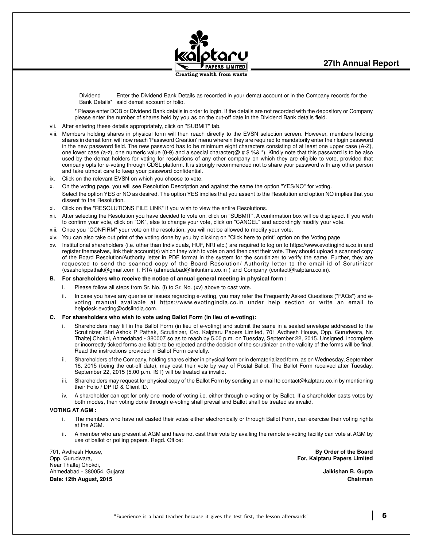

Creating wealth from waste

Dividend Enter the Dividend Bank Details as recorded in your demat account or in the Company records for the Bank Details\* said demat account or folio.

\* Please enter DOB or Dividend Bank details in order to login. If the details are not recorded with the depository or Company please enter the number of shares held by you as on the cut-off date in the Dividend Bank details field.

- vii. After entering these details appropriately, click on "SUBMIT" tab.
- viii. Members holding shares in physical form will then reach directly to the EVSN selection screen. However, members holding shares in demat form will now reach 'Password Creation' menu wherein they are required to mandatorily enter their login password in the new password field. The new password has to be minimum eight characters consisting of at least one upper case (A-Z), one lower case (a-z), one numeric value (0-9) and a special character( $@$  #  $%$  \*). Kindly note that this password is to be also used by the demat holders for voting for resolutions of any other company on which they are eligible to vote, provided that company opts for e-voting through CDSL platform. It is strongly recommended not to share your password with any other person and take utmost care to keep your password confidential.
- ix. Click on the relevant EVSN on which you choose to vote.
- x. On the voting page, you will see Resolution Description and against the same the option "YES/NO" for voting. Select the option YES or NO as desired. The option YES implies that you assent to the Resolution and option NO implies that you dissent to the Resolution.
- xi. Click on the "RESOLUTIONS FILE LINK" if you wish to view the entire Resolutions.
- xii. After selecting the Resolution you have decided to vote on, click on "SUBMIT". A confirmation box will be displayed. If you wish to confirm your vote, click on "OK", else to change your vote, click on "CANCEL" and accordingly modify your vote.
- xiii. Once you "CONFIRM" your vote on the resolution, you will not be allowed to modify your vote.
- xiv. You can also take out print of the voting done by you by clicking on "Click here to print" option on the Voting page
- xv. Institutional shareholders (i.e. other than Individuals, HUF, NRI etc.) are required to log on to https://www.evotingindia.co.in and register themselves, link their account(s) which they wish to vote on and then cast their vote. They should upload a scanned copy of the Board Resolution/Authority letter in PDF format in the system for the scrutinizer to verify the same. Further, they are requested to send the scanned copy of the Board Resolution/ Authority letter to the email id of Scrutinizer (csashokppathak@gmail.com ), RTA (ahmedabad@linkintime.co.in ) and Company (contact@kalptaru.co.in).

#### **B. For shareholders who receive the notice of annual general meeting in physical form :**

- i. Please follow all steps from Sr. No. (i) to Sr. No. (xv) above to cast vote.
- ii. In case you have any queries or issues regarding e-voting, you may refer the Frequently Asked Questions ("FAQs") and evoting manual available at https://www.evotingindia.co.in under help section or write an email to helpdesk.evoting@cdslindia.com.

#### **C. For shareholders who wish to vote using Ballot Form (in lieu of e-voting):**

- i. Shareholders may fill in the Ballot Form (in lieu of e-voting) and submit the same in a sealed envelope addressed to the Scrutinizer, Shri Ashok P Pathak, Scrutinizer, C/o. Kalptaru Papers Limited, 701 Avdhesh House, Opp. Gurudwara, Nr. Thaltej Chokdi, Ahmedabad - 380007 so as to reach by 5.00 p.m. on Tuesday, September 22, 2015. Unsigned, incomplete or incorrectly ticked forms are liable to be rejected and the decision of the scrutinizer on the validity of the forms will be final. Read the instructions provided in Ballot Form carefully.
- ii. Shareholders of the Company, holding shares either in physical form or in dematerialized form, as on Wednesday, September 16, 2015 (being the cut-off date), may cast their vote by way of Postal Ballot. The Ballot Form received after Tuesday, September 22, 2015 (5.00 p.m. IST) will be treated as invalid.
- iii. Shareholders may request for physical copy of the Ballot Form by sending an e-mail to contact@kalptaru.co.in by mentioning their Folio / DP ID & Client ID.
- iv. A shareholder can opt for only one mode of voting i.e. either through e-voting or by Ballot. If a shareholder casts votes by both modes, then voting done through e-voting shall prevail and Ballot shall be treated as invalid.

#### **VOTING AT AGM :**

- i. The members who have not casted their votes either electronically or through Ballot Form, can exercise their voting rights at the AGM.
- ii. A member who are present at AGM and have not cast their vote by availing the remote e-voting facility can vote at AGM by use of ballot or polling papers. Regd. Office:

701, Avdhesh House, **By Order of the Board** Opp. Gurudwara, **For, Kalptaru Papers Limited** Near Thaltej Chokdi, Ahmedabad - 380054. Gujarat **Jaikishan B. Gupta Date: 12th August, 2015 Chairman**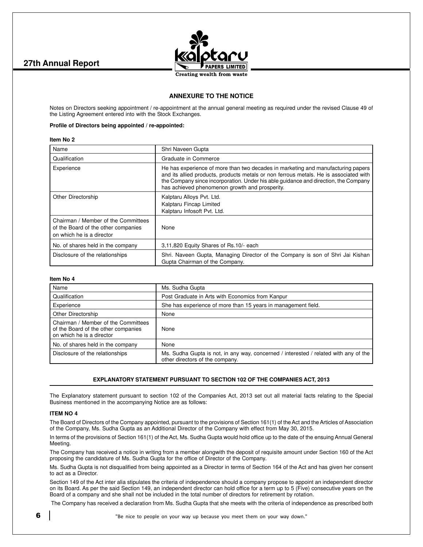

## **ANNEXURE TO THE NOTICE**

Notes on Directors seeking appointment / re-appointment at the annual general meeting as required under the revised Clause 49 of the Listing Agreement entered into with the Stock Exchanges.

#### **Profile of Directors being appointed / re-appointed:**

#### **Item No 2**

| Name                                                                                                    | Shri Naveen Gupta                                                                                                                                                                                                                                                                                                  |
|---------------------------------------------------------------------------------------------------------|--------------------------------------------------------------------------------------------------------------------------------------------------------------------------------------------------------------------------------------------------------------------------------------------------------------------|
| Qualification                                                                                           | Graduate in Commerce                                                                                                                                                                                                                                                                                               |
| Experience                                                                                              | He has experience of more than two decades in marketing and manufacturing papers<br>and its allied products, products metals or non ferrous metals. He is associated with<br>the Company since incorporation. Under his able guidance and direction, the Company<br>has achieved phenomenon growth and prosperity. |
| Other Directorship                                                                                      | Kalptaru Alloys Pvt. Ltd.<br>Kalptaru Fincap Limited<br>Kalptaru Infosoft Pvt. Ltd.                                                                                                                                                                                                                                |
| Chairman / Member of the Committees<br>of the Board of the other companies<br>on which he is a director | None                                                                                                                                                                                                                                                                                                               |
| No. of shares held in the company                                                                       | 3,11,820 Equity Shares of Rs.10/- each                                                                                                                                                                                                                                                                             |
| Disclosure of the relationships                                                                         | Shri. Naveen Gupta, Managing Director of the Company is son of Shri Jai Kishan<br>Gupta Chairman of the Company.                                                                                                                                                                                                   |

#### **Item No 4**

| Name                                                                                                    | Ms. Sudha Gupta                                                                                                         |
|---------------------------------------------------------------------------------------------------------|-------------------------------------------------------------------------------------------------------------------------|
| Qualification                                                                                           | Post Graduate in Arts with Economics from Kanpur                                                                        |
| Experience                                                                                              | She has experience of more than 15 years in management field.                                                           |
| Other Directorship                                                                                      | None                                                                                                                    |
| Chairman / Member of the Committees<br>of the Board of the other companies<br>on which he is a director | None                                                                                                                    |
| No. of shares held in the company                                                                       | None                                                                                                                    |
| Disclosure of the relationships                                                                         | Ms. Sudha Gupta is not, in any way, concerned / interested / related with any of the<br>other directors of the company. |

## **EXPLANATORY STATEMENT PURSUANT TO SECTION 102 OF THE COMPANIES ACT, 2013**

The Explanatory statement pursuant to section 102 of the Companies Act, 2013 set out all material facts relating to the Special Business mentioned in the accompanying Notice are as follows:

#### **ITEM NO 4**

The Board of Directors of the Company appointed, pursuant to the provisions of Section 161(1) of the Act and the Articles of Association of the Company, Ms. Sudha Gupta as an Additional Director of the Company with effect from May 30, 2015.

In terms of the provisions of Section 161(1) of the Act, Ms. Sudha Gupta would hold office up to the date of the ensuing Annual General Meeting.

The Company has received a notice in writing from a member alongwith the deposit of requisite amount under Section 160 of the Act proposing the candidature of Ms. Sudha Gupta for the office of Director of the Company.

Ms. Sudha Gupta is not disqualified from being appointed as a Director in terms of Section 164 of the Act and has given her consent to act as a Director.

Section 149 of the Act inter alia stipulates the criteria of independence should a company propose to appoint an independent director on its Board. As per the said Section 149, an independent director can hold office for a term up to 5 (Five) consecutive years on the Board of a company and she shall not be included in the total number of directors for retirement by rotation.

The Company has received a declaration from Ms. Sudha Gupta that she meets with the criteria of independence as prescribed both

"Be nice to people on your way up because you meet them on your way down."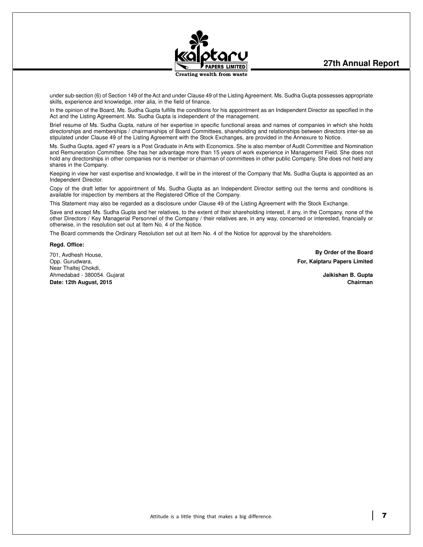

Creating wealth from waste

under sub-section (6) of Section 149 of the Act and under Clause 49 of the Listing Agreement. Ms. Sudha Gupta possesses appropriate skills, experience and knowledge, inter alia, in the field of finance.

In the opinion of the Board, Ms. Sudha Gupta fulfills the conditions for his appointment as an Independent Director as specified in the Act and the Listing Agreement. Ms. Sudha Gupta is independent of the management.

Brief resume of Ms. Sudha Gupta, nature of her expertise in specific functional areas and names of companies in which she holds directorships and memberships / chairmanships of Board Committees, shareholding and relationships between directors inter-se as stipulated under Clause 49 of the Listing Agreement with the Stock Exchanges, are provided in the Annexure to Notice.

Ms. Sudha Gupta, aged 47 years is a Post Graduate in Arts with Economics. She is also member of Audit Committee and Nomination and Remuneration Committee. She has her advantage more than 15 years of work experience in Management Field. She does not hold any directorships in other companies nor is member or chairman of committees in other public Company. She does not held any shares in the Company.

Keeping in view her vast expertise and knowledge, it will be in the interest of the Company that Ms. Sudha Gupta is appointed as an Independent Director.

Copy of the draft letter for appointment of Ms. Sudha Gupta as an Independent Director setting out the terms and conditions is available for inspection by members at the Registered Office of the Company.

This Statement may also be regarded as a disclosure under Clause 49 of the Listing Agreement with the Stock Exchange.

Save and except Ms. Sudha Gupta and her relatives, to the extent of their shareholding interest, if any, in the Company, none of the other Directors / Key Managerial Personnel of the Company / their relatives are, in any way, concerned or interested, financially or otherwise, in the resolution set out at Item No. 4 of the Notice.

The Board commends the Ordinary Resolution set out at Item No. 4 of the Notice for approval by the shareholders.

#### **Regd. Office:**

Opp. Gurudwara, **For, Kalptaru Papers Limited** Near Thaltej Chokdi, Ahmedabad - 380054. Gujarat **Jaikishan B. Gupta Date: 12th August, 2015 Chairman**

701, Avdhesh House, **By Order of the Board**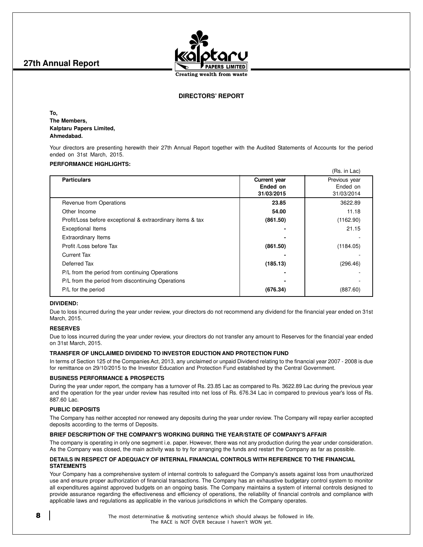

## **DIRECTORS' REPORT**

## **To, The Members, Kalptaru Papers Limited, Ahmedabad.**

Your directors are presenting herewith their 27th Annual Report together with the Audited Statements of Accounts for the period ended on 31st March, 2015.

## **PERFORMANCE HIGHLIGHTS:**

|                                                            |                                               | (Rs. in Lac)                            |
|------------------------------------------------------------|-----------------------------------------------|-----------------------------------------|
| <b>Particulars</b>                                         | <b>Current year</b><br>Ended on<br>31/03/2015 | Previous year<br>Ended on<br>31/03/2014 |
| Revenue from Operations                                    | 23.85                                         | 3622.89                                 |
| Other Income                                               | 54.00                                         | 11.18                                   |
| Profit/Loss before exceptional & extraordinary items & tax | (861.50)                                      | (1162.90)                               |
| <b>Exceptional Items</b>                                   |                                               | 21.15                                   |
| <b>Extraordinary Items</b>                                 |                                               |                                         |
| Profit /Loss before Tax                                    | (861.50)                                      | (1184.05)                               |
| <b>Current Tax</b>                                         |                                               |                                         |
| Deferred Tax                                               | (185.13)                                      | (296.46)                                |
| P/L from the period from continuing Operations             |                                               |                                         |
| P/L from the period from discontinuing Operations          |                                               |                                         |
| P/L for the period                                         | (676.34)                                      | (887.60)                                |

## **DIVIDEND:**

Due to loss incurred during the year under review, your directors do not recommend any dividend for the financial year ended on 31st March, 2015.

## **RESERVES**

Due to loss incurred during the year under review, your directors do not transfer any amount to Reserves for the financial year ended on 31st March, 2015.

## **TRANSFER OF UNCLAIMED DIVIDEND TO INVESTOR EDUCTION AND PROTECTION FUND**

In terms of Section 125 of the Companies Act, 2013, any unclaimed or unpaid Dividend relating to the financial year 2007 - 2008 is due for remittance on 29/10/2015 to the Investor Education and Protection Fund established by the Central Government.

## **BUSINESS PERFORMANCE & PROSPECTS**

During the year under report, the company has a turnover of Rs. 23.85 Lac as compared to Rs. 3622.89 Lac during the previous year and the operation for the year under review has resulted into net loss of Rs. 676.34 Lac in compared to previous year's loss of Rs. 887.60 Lac.

## **PUBLIC DEPOSITS**

The Company has neither accepted nor renewed any deposits during the year under review. The Company will repay earlier accepted deposits according to the terms of Deposits.

## **BRIEF DESCRIPTION OF THE COMPANY'S WORKING DURING THE YEAR/STATE OF COMPANY'S AFFAIR**

The company is operating in only one segment i.e. paper. However, there was not any production during the year under consideration. As the Company was closed, the main activity was to try for arranging the funds and restart the Company as far as possible.

## **DETAILS IN RESPECT OF ADEQUACY OF INTERNAL FINANCIAL CONTROLS WITH REFERENCE TO THE FINANCIAL STATEMENTS**

Your Company has a comprehensive system of internal controls to safeguard the Company's assets against loss from unauthorized use and ensure proper authorization of financial transactions. The Company has an exhaustive budgetary control system to monitor all expenditures against approved budgets on an ongoing basis. The Company maintains a system of internal controls designed to provide assurance regarding the effectiveness and efficiency of operations, the reliability of financial controls and compliance with applicable laws and regulations as applicable in the various jurisdictions in which the Company operates.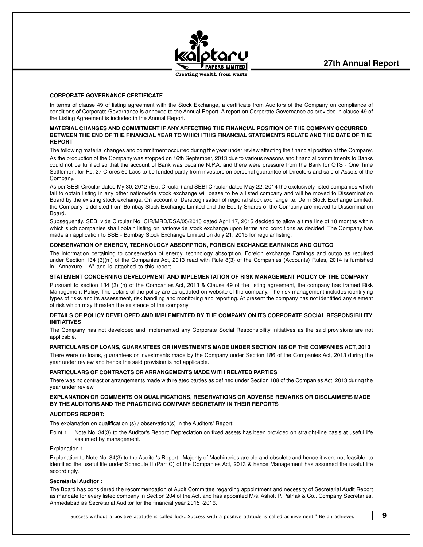

## **CORPORATE GOVERNANCE CERTIFICATE**

In terms of clause 49 of listing agreement with the Stock Exchange, a certificate from Auditors of the Company on compliance of conditions of Corporate Governance is annexed to the Annual Report. A report on Corporate Governance as provided in clause 49 of the Listing Agreement is included in the Annual Report.

### **MATERIAL CHANGES AND COMMITMENT IF ANY AFFECTING THE FINANCIAL POSITION OF THE COMPANY OCCURRED BETWEEN THE END OF THE FINANCIAL YEAR TO WHICH THIS FINANCIAL STATEMENTS RELATE AND THE DATE OF THE REPORT**

The following material changes and commitment occurred during the year under review affecting the financial position of the Company. As the production of the Company was stopped on 16th September, 2013 due to various reasons and financial commitments to Banks could not be fulfilled so that the account of Bank was became N.P.A. and there were pressure from the Bank for OTS - One Time Settlement for Rs. 27 Crores 50 Lacs to be funded partly from investors on personal guarantee of Directors and sale of Assets of the Company.

As per SEBI Circular dated My 30, 2012 (Exit Circular) and SEBI Circular dated May 22, 2014 the exclusively listed companies which fail to obtain listing in any other nationwide stock exchange will cease to be a listed company and will be moved to Dissemination Board by the existing stock exchange. On account of Derecognisation of regional stock exchange i.e. Delhi Stock Exchange Limited, the Company is delisted from Bombay Stock Exchange Limited and the Equity Shares of the Company are moved to Dissemination Board.

Subsequently, SEBI vide Circular No. CIR/MRD/DSA/05/2015 dated April 17, 2015 decided to allow a time line of 18 months within which such companies shall obtain listing on nationwide stock exchange upon terms and conditions as decided. The Company has made an application to BSE - Bombay Stock Exchange Limited on July 21, 2015 for regular listing.

## **CONSERVATION OF ENERGY, TECHNOLOGY ABSORPTION, FOREIGN EXCHANGE EARNINGS AND OUTGO**

The information pertaining to conservation of energy, technology absorption, Foreign exchange Earnings and outgo as required under Section 134 (3)(m) of the Companies Act, 2013 read with Rule 8(3) of the Companies (Accounts) Rules, 2014 is furnished in "Annexure - A" and is attached to this report.

## **STATEMENT CONCERNING DEVELOPMENT AND IMPLEMENTATION OF RISK MANAGEMENT POLICY OF THE COMPANY**

Pursuant to section 134 (3) (n) of the Companies Act, 2013 & Clause 49 of the listing agreement, the company has framed Risk Management Policy. The details of the policy are as updated on website of the company. The risk management includes identifying types of risks and its assessment, risk handling and monitoring and reporting. At present the company has not identified any element of risk which may threaten the existence of the company.

### **DETAILS OF POLICY DEVELOPED AND IMPLEMENTED BY THE COMPANY ON ITS CORPORATE SOCIAL RESPONSIBILITY INITIATIVES**

The Company has not developed and implemented any Corporate Social Responsibility initiatives as the said provisions are not applicable.

#### **PARTICULARS OF LOANS, GUARANTEES OR INVESTMENTS MADE UNDER SECTION 186 OF THE COMPANIES ACT, 2013**

There were no loans, guarantees or investments made by the Company under Section 186 of the Companies Act, 2013 during the year under review and hence the said provision is not applicable.

#### **PARTICULARS OF CONTRACTS OR ARRANGEMENTS MADE WITH RELATED PARTIES**

There was no contract or arrangements made with related parties as defined under Section 188 of the Companies Act, 2013 during the year under review.

#### **EXPLANATION OR COMMENTS ON QUALIFICATIONS, RESERVATIONS OR ADVERSE REMARKS OR DISCLAIMERS MADE BY THE AUDITORS AND THE PRACTICING COMPANY SECRETARY IN THEIR REPORTS**

#### **AUDITORS REPORT:**

The explanation on qualification (s) / observation(s) in the Auditors' Report:

Point 1. Note No. 34(3) to the Auditor's Report: Depreciation on fixed assets has been provided on straight-line basis at useful life assumed by management.

#### Explanation 1

Explanation to Note No. 34(3) to the Auditor's Report : Majority of Machineries are old and obsolete and hence it were not feasible to identified the useful life under Schedule II (Part C) of the Companies Act, 2013 & hence Management has assumed the useful life accordingly.

#### **Secretarial Auditor :**

The Board has considered the recommendation of Audit Committee regarding appointment and necessity of Secretarial Audit Report as mandate for every listed company in Section 204 of the Act, and has appointed M/s. Ashok P. Pathak & Co., Company Secretaries, Ahmedabad as Secretarial Auditor for the financial year 2015 -2016.

"Success without a positive attitude is called luck...Success with a positive attitude is called achievement." Be an achiever.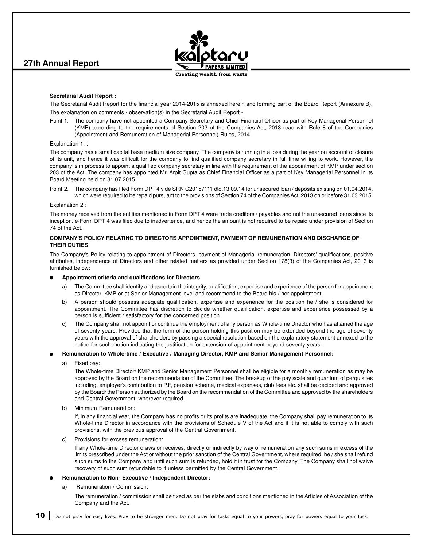

#### **Secretarial Audit Report :**

The Secretarial Audit Report for the financial year 2014-2015 is annexed herein and forming part of the Board Report (Annexure B). The explanation on comments / observation(s) in the Secretarial Audit Report -

Point 1. The company have not appointed a Company Secretary and Chief Financial Officer as part of Key Managerial Personnel (KMP) according to the requirements of Section 203 of the Companies Act, 2013 read with Rule 8 of the Companies (Appointment and Remuneration of Managerial Personnel) Rules, 2014.

#### Explanation 1. :

The company has a small capital base medium size company. The company is running in a loss during the year on account of closure of its unit, and hence it was difficult for the company to find qualified company secretary in full time willing to work. However, the company is in process to appoint a qualified company secretary in line with the requirement of the appointment of KMP under section 203 of the Act. The company has appointed Mr. Arpit Gupta as Chief Financial Officer as a part of Key Managerial Personnel in its Board Meeting held on 31.07.2015.

Point 2. The company has filed Form DPT 4 vide SRN C20157111 dtd.13.09.14 for unsecured loan / deposits existing on 01.04.2014, which were required to be repaid pursuant to the provisions of Section 74 of the Companies Act, 2013 on or before 31.03.2015.

#### Explanation 2 :

The money received from the entities mentioned in Form DPT 4 were trade creditors / payables and not the unsecured loans since its inception. e-Form DPT 4 was filed due to inadvertence, and hence the amount is not required to be repaid under provision of Section 74 of the Act.

### **COMPANY'S POLICY RELATING TO DIRECTORS APPOINTMENT, PAYMENT OF REMUNERATION AND DISCHARGE OF THEIR DUTIES**

The Company's Policy relating to appointment of Directors, payment of Managerial remuneration, Directors' qualifications, positive attributes, independence of Directors and other related matters as provided under Section 178(3) of the Companies Act, 2013 is furnished below:

#### l **Appointment criteria and qualifications for Directors**

- a) The Committee shall identify and ascertain the integrity, qualification, expertise and experience of the person for appointment as Director, KMP or at Senior Management level and recommend to the Board his / her appointment.
- b) A person should possess adequate qualification, expertise and experience for the position he / she is considered for appointment. The Committee has discretion to decide whether qualification, expertise and experience possessed by a person is sufficient / satisfactory for the concerned position.
- c) The Company shall not appoint or continue the employment of any person as Whole-time Director who has attained the age of seventy years. Provided that the term of the person holding this position may be extended beyond the age of seventy years with the approval of shareholders by passing a special resolution based on the explanatory statement annexed to the notice for such motion indicating the justification for extension of appointment beyond seventy years.

## l **Remuneration to Whole-time / Executive / Managing Director, KMP and Senior Management Personnel:**

a) Fixed pay:

The Whole-time Director/ KMP and Senior Management Personnel shall be eligible for a monthly remuneration as may be approved by the Board on the recommendation of the Committee. The breakup of the pay scale and quantum of perquisites including, employer's contribution to P.F, pension scheme, medical expenses, club fees etc. shall be decided and approved by the Board/ the Person authorized by the Board on the recommendation of the Committee and approved by the shareholders and Central Government, wherever required.

b) Minimum Remuneration:

If, in any financial year, the Company has no profits or its profits are inadequate, the Company shall pay remuneration to its Whole-time Director in accordance with the provisions of Schedule V of the Act and if it is not able to comply with such provisions, with the previous approval of the Central Government.

c) Provisions for excess remuneration:

If any Whole-time Director draws or receives, directly or indirectly by way of remuneration any such sums in excess of the limits prescribed under the Act or without the prior sanction of the Central Government, where required, he / she shall refund such sums to the Company and until such sum is refunded, hold it in trust for the Company. The Company shall not waive recovery of such sum refundable to it unless permitted by the Central Government.

## l **Remuneration to Non- Executive / Independent Director:**

a) Remuneration / Commission:

The remuneration / commission shall be fixed as per the slabs and conditions mentioned in the Articles of Association of the Company and the Act.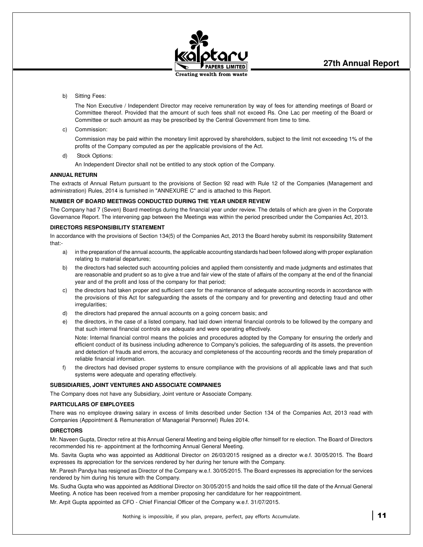

Creating wealth from waste

b) Sitting Fees:

The Non Executive / Independent Director may receive remuneration by way of fees for attending meetings of Board or Committee thereof. Provided that the amount of such fees shall not exceed Rs. One Lac per meeting of the Board or Committee or such amount as may be prescribed by the Central Government from time to time.

c) Commission:

Commission may be paid within the monetary limit approved by shareholders, subject to the limit not exceeding 1% of the profits of the Company computed as per the applicable provisions of the Act.

d) Stock Options:

An Independent Director shall not be entitled to any stock option of the Company.

## **ANNUAL RETURN**

The extracts of Annual Return pursuant to the provisions of Section 92 read with Rule 12 of the Companies (Management and administration) Rules, 2014 is furnished in "ANNEXURE C" and is attached to this Report.

## **NUMBER OF BOARD MEETINGS CONDUCTED DURING THE YEAR UNDER REVIEW**

The Company had 7 (Seven) Board meetings during the financial year under review. The details of which are given in the Corporate Governance Report. The intervening gap between the Meetings was within the period prescribed under the Companies Act, 2013.

## **DIRECTORS RESPONSIBILITY STATEMENT**

In accordance with the provisions of Section 134(5) of the Companies Act, 2013 the Board hereby submit its responsibility Statement that:-

- a) in the preparation of the annual accounts, the applicable accounting standards had been followed along with proper explanation relating to material departures;
- b) the directors had selected such accounting policies and applied them consistently and made judgments and estimates that are reasonable and prudent so as to give a true and fair view of the state of affairs of the company at the end of the financial year and of the profit and loss of the company for that period;
- c) the directors had taken proper and sufficient care for the maintenance of adequate accounting records in accordance with the provisions of this Act for safeguarding the assets of the company and for preventing and detecting fraud and other irregularities;
- d) the directors had prepared the annual accounts on a going concern basis; and
- e) the directors, in the case of a listed company, had laid down internal financial controls to be followed by the company and that such internal financial controls are adequate and were operating effectively.

Note: Internal financial control means the policies and procedures adopted by the Company for ensuring the orderly and efficient conduct of its business including adherence to Company's policies, the safeguarding of its assets, the prevention and detection of frauds and errors, the accuracy and completeness of the accounting records and the timely preparation of reliable financial information.

f) the directors had devised proper systems to ensure compliance with the provisions of all applicable laws and that such systems were adequate and operating effectively.

## **SUBSIDIARIES, JOINT VENTURES AND ASSOCIATE COMPANIES**

The Company does not have any Subsidiary, Joint venture or Associate Company.

## **PARTICULARS OF EMPLOYEES**

There was no employee drawing salary in excess of limits described under Section 134 of the Companies Act, 2013 read with Companies (Appointment & Remuneration of Managerial Personnel) Rules 2014.

## **DIRECTORS**

Mr. Naveen Gupta, Director retire at this Annual General Meeting and being eligible offer himself for re election. The Board of Directors recommended his re- appointment at the forthcoming Annual General Meeting.

Ms. Savita Gupta who was appointed as Additional Director on 26/03/2015 resigned as a director w.e.f. 30/05/2015. The Board expresses its appreciation for the services rendered by her during her tenure with the Company.

Mr. Paresh Pandya has resigned as Director of the Company w.e.f. 30/05/2015. The Board expresses its appreciation for the services rendered by him during his tenure with the Company.

Ms. Sudha Gupta who was appointed as Additional Director on 30/05/2015 and holds the said office till the date of the Annual General Meeting. A notice has been received from a member proposing her candidature for her reappointment.

Mr. Arpit Gupta appointed as CFO - Chief Financial Officer of the Company w.e.f. 31/07/2015.

Nothing is impossible, if you plan, prepare, perfect, pay efforts Accumulate.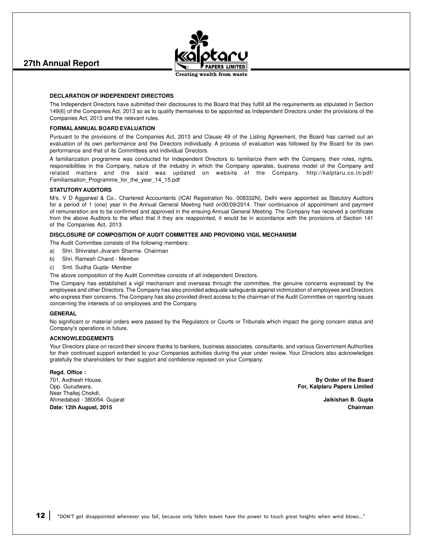

## **DECLARATION OF INDEPENDENT DIRECTORS**

The Independent Directors have submitted their disclosures to the Board that they fulfill all the requirements as stipulated in Section 149(6) of the Companies Act, 2013 so as to qualify themselves to be appointed as Independent Directors under the provisions of the Companies Act, 2013 and the relevant rules.

### **FORMAL ANNUAL BOARD EVALUATION**

Pursuant to the provisions of the Companies Act, 2013 and Clause 49 of the Listing Agreement, the Board has carried out an evaluation of its own performance and the Directors individually. A process of evaluation was followed by the Board for its own performance and that of its Committees and individual Directors.

A familiarization programme was conducted for Independent Directors to familiarize them with the Company, their roles, rights, responsibilities in the Company, nature of the industry in which the Company operates, business model of the Company and related matters and the said was updated on website of the Company. http://kalptaru.co.in/pdf/ Familiarisation Programme for the year 14 15.pdf

## **STATUTORY AUDITORS**

M/s. V D Aggarwal & Co., Chartered Accountants (ICAI Registration No. 008332N), Delhi were appointed as Statutory Auditors for a period of 1 (one) year in the Annual General Meeting held on30/09/2014. Their continuance of appointment and payment of remuneration are to be confirmed and approved in the ensuing Annual General Meeting. The Company has received a certificate from the above Auditors to the effect that if they are reappointed, it would be in accordance with the provisions of Section 141 of the Companies Act, 2013.

#### **DISCLOSURE OF COMPOSITION OF AUDIT COMMITTEE AND PROVIDING VIGIL MECHANISM**

The Audit Committee consists of the following members:

- a) Shri. Shivratan Jivaram Sharma- Chairman
- b) Shri. Ramesh Chand Member
- c) Smt. Sudha Gupta- Member

The above composition of the Audit Committee consists of all independent Directors.

The Company has established a vigil mechanism and overseas through the committee, the genuine concerns expressed by the employees and other Directors. The Company has also provided adequate safeguards against victimization of employees and Directors who express their concerns. The Company has also provided direct access to the chairman of the Audit Committee on reporting issues concerning the interests of co employees and the Company.

#### **GENERAL**

No significant or material orders were passed by the Regulators or Courts or Tribunals which impact the going concern status and Company's operations in future.

## **ACKNOWLEDGEMENTS**

Your Directors place on record their sincere thanks to bankers, business associates, consultants, and various Government Authorities for their continued support extended to your Companies activities during the year under review. Your Directors also acknowledges gratefully the shareholders for their support and confidence reposed on your Company.

#### **Regd. Office :**

Near Thaltej Chokdi, Ahmedabad - 380054. Gujarat **Jaikishan B. Gupta Date: 12th August, 2015 Chairman**

701, Avdhesh House, **By Order of the Board For, Kalptaru Papers Limited**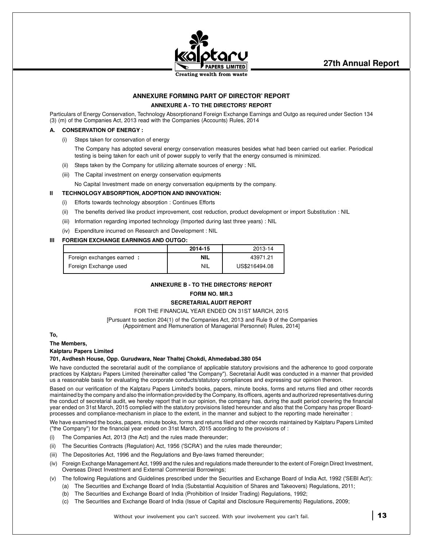

## Creating wealth from waste

## **ANNEXURE FORMING PART OF DIRECTOR' REPORT**

### **ANNEXURE A - TO THE DIRECTORS' REPORT**

Particulars of Energy Conservation, Technology Absorptionand Foreign Exchange Earnings and Outgo as required under Section 134 (3) (m) of the Companies Act, 2013 read with the Companies (Accounts) Rules, 2014

## **A. CONSERVATION OF ENERGY :**

(i) Steps taken for conservation of energy

The Company has adopted several energy conservation measures besides what had been carried out earlier. Periodical testing is being taken for each unit of power supply to verify that the energy consumed is minimized.

- (ii) Steps taken by the Company for utilizing alternate sources of energy : NIL
- (iii) The Capital investment on energy conservation equipments

No Capital Investment made on energy conversation equipments by the company.

## **II TECHNOLOGY ABSORPTION, ADOPTION AND INNOVATION:**

- (i) Efforts towards technology absorption : Continues Efforts
- (ii) The benefits derived like product improvement, cost reduction, product development or import Substitution : NIL
- (iii) Information regarding imported technology (Imported during last three years) : NIL
- (iv) Expenditure incurred on Research and Development : NIL

#### **III FOREIGN EXCHANGE EARNINGS AND OUTGO:**

|                           | 2014-15    | 2013-14       |
|---------------------------|------------|---------------|
| Foreign exchanges earned: | <b>NIL</b> | 43971.21      |
| Foreign Exchange used     | <b>NIL</b> | US\$216494.08 |

## **ANNEXURE B - TO THE DIRECTORS' REPORT FORM NO. MR.3**

#### **SECRETARIAL AUDIT REPORT**

#### FOR THE FINANCIAL YEAR ENDED ON 31ST MARCH, 2015

 [Pursuant to section 204(1) of the Companies Act, 2013 and Rule 9 of the Companies (Appointment and Remuneration of Managerial Personnel) Rules, 2014]

## **To,**

**The Members,**

#### **Kalptaru Papers Limited**

#### **701, Avdhesh House, Opp. Gurudwara, Near Thaltej Chokdi, Ahmedabad.380 054**

We have conducted the secretarial audit of the compliance of applicable statutory provisions and the adherence to good corporate practices by Kalptaru Papers Limited (hereinafter called "the Company"). Secretarial Audit was conducted in a manner that provided us a reasonable basis for evaluating the corporate conducts/statutory compliances and expressing our opinion thereon.

Based on our verification of the Kalptaru Papers Limited's books, papers, minute books, forms and returns filed and other records maintained by the company and also the information provided by the Company, its officers, agents and authorized representatives during the conduct of secretarial audit, we hereby report that in our opinion, the company has, during the audit period covering the financial year ended on 31st March, 2015 complied with the statutory provisions listed hereunder and also that the Company has proper Boardprocesses and compliance-mechanism in place to the extent, in the manner and subject to the reporting made hereinafter :

We have examined the books, papers, minute books, forms and returns filed and other records maintained by Kalptaru Papers Limited ("the Company") for the financial year ended on 31st March, 2015 according to the provisions of :

- (i) The Companies Act, 2013 (the Act) and the rules made thereunder;
- (ii) The Securities Contracts (Regulation) Act, 1956 ('SCRA') and the rules made thereunder;
- (iii) The Depositories Act, 1996 and the Regulations and Bye-laws framed thereunder;
- (iv) Foreign Exchange Management Act, 1999 and the rules and regulations made thereunder to the extent of Foreign Direct Investment, Overseas Direct Investment and External Commercial Borrowings;
- (v) The following Regulations and Guidelines prescribed under the Securities and Exchange Board of India Act, 1992 ('SEBI Act'):
	- (a) The Securities and Exchange Board of India (Substantial Acquisition of Shares and Takeovers) Regulations, 2011;
	- (b) The Securities and Exchange Board of India (Prohibition of Insider Trading) Regulations, 1992;
	- (c) The Securities and Exchange Board of India (Issue of Capital and Disclosure Requirements) Regulations, 2009;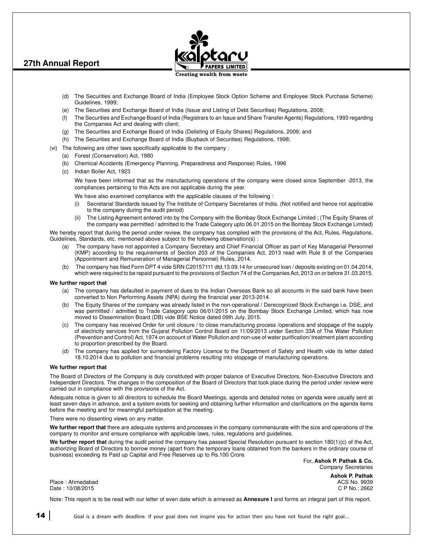

- (d) The Securities and Exchange Board of India (Employee Stock Option Scheme and Employee Stock Purchase Scheme) Guidelines, 1999;
- (e) The Securities and Exchange Board of India (Issue and Listing of Debt Securities) Regulations, 2008;
- (f) The Securities and Exchange Board of India (Registrars to an Issue and Share Transfer Agents) Regulations, 1993 regarding the Companies Act and dealing with client;
- (g) The Securities and Exchange Board of India (Delisting of Equity Shares) Regulations, 2009; and
- (h) The Securities and Exchange Board of India (Buyback of Securities) Regulations, 1998;
- (vi) The following are other laws specifically applicable to the company :
	- (a) Forest (Conservation) Act, 1980
	- (b) Chemical Accidents (Emergency Planning, Preparedness and Response) Rules, 1996
	- (c) Indian Boiler Act, 1923

We have been informed that as the manufacturing operations of the company were closed since September -2013, the compliances pertaining to this Acts are not applicable during the year.

We have also examined compliance with the applicable clauses of the following :

- (i) Secretarial Standards issued by The Institute of Company Secretaries of India. (Not notified and hence not applicable to the company during the audit period)
- (ii) The Listing Agreement entered into by the Company with the Bombay Stock Exchange Limited ; (The Equity Shares of the company was permitted / admitted to the Trade Category upto 06.01.2015 on the Bombay Stock Exchange Limited)

We hereby report that during the period under review, the company has complied with the provisions of the Act, Rules, Regulations, Guidelines, Standards, etc. mentioned above subject to the following observation(s) :

- (a) The company have not appointed a Company Secretary and Chief Financial Officer as part of Key Managerial Personnel (KMP) according to the requirements of Section 203 of the Companies Act, 2013 read with Rule 8 of the Companies (Appointment and Remuneration of Managerial Personnel) Rules, 2014.
- (b) The company has filed Form DPT 4 vide SRN C20157111 dtd.13.09.14 for unsecured loan / deposits existing on 01.04.2014, which were required to be repaid pursuant to the provisions of Section 74 of the Companies Act, 2013 on or before 31.03.2015.

#### **We further report that**

- (a) The company has defaulted in payment of dues to the Indian Overseas Bank so all accounts in the said bank have been converted to Non Performing Assets (NPA) during the financial year 2013-2014.
- (b) The Equity Shares of the company was already listed in the non-operational / Derecognized Stock Exchange i.e. DSE, and was permitted / admitted to Trade Category upto 06/01/2015 on the Bombay Stock Exchange Limited, which has now moved to Dissemination Board (DB) vide BSE Notice dated 09th July, 2015.
- (c) The company has received Order for unit closure / to close manufacturing process /operations and stoppage of the supply of electricity services from the Gujarat Pollution Control Board on 11/09/2013 under Section 33A of The Water Pollution (Prevention and Control) Act, 1974 on account of Water Pollution and non-use of water purification/ treatment plant according to proportion prescribed by the Board.
- (d) The company has applied for surrendering Factory Licence to the Department of Safety and Health vide its letter dated 18.10.2014 due to pollution and financial problems resulting into stoppage of manufacturing operations.

#### **We further report that**

The Board of Directors of the Company is duly constituted with proper balance of Executive Directors, Non-Executive Directors and Independent Directors. The changes in the composition of the Board of Directors that took place during the period under review were carried out in compliance with the provisions of the Act.

Adequate notice is given to all directors to schedule the Board Meetings, agenda and detailed notes on agenda were usually sent at least seven days in advance, and a system exists for seeking and obtaining further information and clarifications on the agenda items before the meeting and for meaningful participation at the meeting.

There were no dissenting views on any matter.

**We further report that** there are adequate systems and processes in the company commensurate with the size and operations of the company to monitor and ensure compliance with applicable laws, rules, regulations and guidelines.

**We further report that** during the audit period the company has passed Special Resolution pursuant to section 180(1)(c) of the Act, authorizing Board of Directors to borrow money (apart from the temporary loans obtained from the bankers in the ordinary course of business) exceeding its Paid up Capital and Free Reserves up to Rs.100 Crore.

> For, **Ashok P. Pathak & Co.** Company Secretaries

Place: Ahmedabad Date : 10/08/2015 C P No.: 2662

**Ashok P. Pathak**

Note: This report is to be read with our letter of even date which is annexed as **Annexure I** and forms an integral part of this report.

Goal is a dream with deadline. If your goal does not inspire you for action then you have not found the right goal...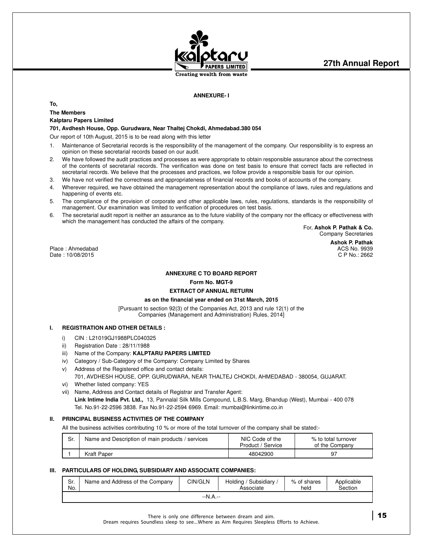

Creating wealth from waste

## **ANNEXURE- I**

## **To,**

#### **The Members Kalptaru Papers Limited**

## **701, Avdhesh House, Opp. Gurudwara, Near Thaltej Chokdi, Ahmedabad.380 054**

Our report of 10th August, 2015 is to be read along with this letter

- 1. Maintenance of Secretarial records is the responsibility of the management of the company. Our responsibility is to express an opinion on these secretarial records based on our audit.
- 2. We have followed the audit practices and processes as were appropriate to obtain responsible assurance about the correctness of the contents of secretarial records. The verification was done on test basis to ensure that correct facts are reflected in secretarial records. We believe that the processes and practices, we follow provide a responsible basis for our opinion.
- 3. We have not verified the correctness and appropriateness of financial records and books of accounts of the company.
- 4. Wherever required, we have obtained the management representation about the compliance of laws, rules and regulations and happening of events etc.
- 5. The compliance of the provision of corporate and other applicable laws, rules, regulations, standards is the responsibility of management. Our examination was limited to verification of procedures on test basis.
- 6. The secretarial audit report is neither an assurance as to the future viability of the company nor the efficacy or effectiveness with which the management has conducted the affairs of the company.

For, **Ashok P. Pathak & Co.** Company Secretaries

Place : Ahmedabad ACS No. 9939 Date: 10/08/2015

**Ashok P. Pathak**

**ANNEXURE C TO BOARD REPORT**

**Form No. MGT-9**

## **EXTRACT OF ANNUAL RETURN**

## **as on the financial year ended on 31st March, 2015**

[Pursuant to section 92(3) of the Companies Act, 2013 and rule 12(1) of the Companies (Management and Administration) Rules, 2014]

## **I. REGISTRATION AND OTHER DETAILS :**

- i) CIN : L21019GJ1988PLC040325
- ii) Registration Date : 28/11/1988
- iii) Name of the Company: **KALPTARU PAPERS LIMITED**
- iv) Category / Sub-Category of the Company: Company Limited by Shares
- v) Address of the Registered office and contact details:

701, AVDHESH HOUSE, OPP. GURUDWARA, NEAR THALTEJ CHOKDI, AHMEDABAD - 380054, GUJARAT.

- vi) Whether listed company: YES
- vii) Name, Address and Contact details of Registrar and Transfer Agent: **Link Intime India Pvt. Ltd.,** 13, Pannalal Silk Mills Compound, L.B.S. Marg, Bhandup (West), Mumbai - 400 078 Tel. No.91-22-2596 3838. Fax No.91-22-2594 6969. Email: mumbai@linkintime.co.in

## **II. PRINCIPAL BUSINESS ACTIVITIES OF THE COMPANY**

All the business activities contributing 10 % or more of the total turnover of the company shall be stated:-

| Name and Description of main products / services | NIC Code of the<br>Product / Service | % to total turnover<br>of the Company |  |  |
|--------------------------------------------------|--------------------------------------|---------------------------------------|--|--|
| Kraft Paper                                      | 48042900                             | 97                                    |  |  |

## **III. PARTICULARS OF HOLDING, SUBSIDIARY AND ASSOCIATE COMPANIES:**

| Sr.<br>No. | Name and Address of the Company | CIN/GLN   | Holding / Subsidiary<br>Associate | % of shares<br>held | Applicable<br>Section |
|------------|---------------------------------|-----------|-----------------------------------|---------------------|-----------------------|
|            |                                 | $-N.A. -$ |                                   |                     |                       |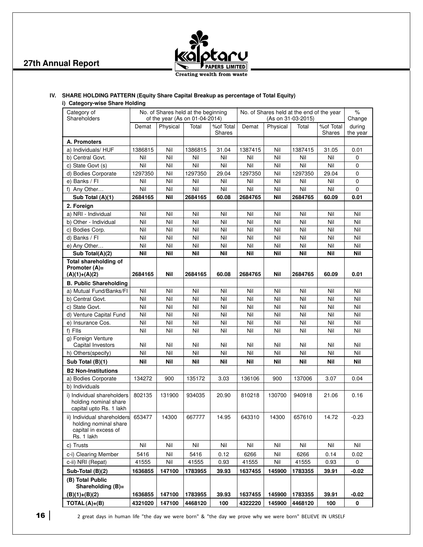

## **IV. SHARE HOLDING PATTERN (Equity Share Capital Breakup as percentage of Total Equity)**

**i) Category-wise Share Holding**

| Category of<br>Shareholders                                                                       |            |            | No. of Shares held at the beginning<br>of the year (As on 01-04-2014) |            |            |            | No. of Shares held at the end of the year<br>(As on 31-03-2015) |            | $\%$<br>Change |
|---------------------------------------------------------------------------------------------------|------------|------------|-----------------------------------------------------------------------|------------|------------|------------|-----------------------------------------------------------------|------------|----------------|
|                                                                                                   | Demat      | Physical   | Total                                                                 | %of Total  | Demat      | Physical   | Total                                                           | %of Total  | during         |
|                                                                                                   |            |            |                                                                       | Shares     |            |            |                                                                 | Shares     | the year       |
| A. Promoters                                                                                      |            |            |                                                                       |            |            |            |                                                                 |            |                |
| a) Individuals/HUF                                                                                | 1386815    | Nil        | 1386815                                                               | 31.04      | 1387415    | Nil        | 1387415                                                         | 31.05      | 0.01           |
| b) Central Govt.                                                                                  | Nil        | Nil        | Nil                                                                   | Nil        | Nil        | Nil        | Nil                                                             | Nil        | 0              |
| c) State Govt (s)                                                                                 | Nil        | Nil        | Nil                                                                   | Nil        | Nil        | Nil        | Nil                                                             | Nil        | 0              |
| d) Bodies Corporate                                                                               | 1297350    | Nil        | 1297350                                                               | 29.04      | 1297350    | Nil        | 1297350                                                         | 29.04      | $\pmb{0}$      |
| e) Banks / FI                                                                                     | Nil        | Nil        | Nil                                                                   | Nil        | Nil        | Nil        | Nil                                                             | Nil        | $\pmb{0}$      |
| f) Any Other                                                                                      | Nil        | Nil        | Nil                                                                   | Nil        | Nil        | Nil        | Nil                                                             | Nil        | $\pmb{0}$      |
| Sub Total (A)(1)                                                                                  | 2684165    | Nil        | 2684165                                                               | 60.08      | 2684765    | <b>Nil</b> | 2684765                                                         | 60.09      | 0.01           |
| 2. Foreign                                                                                        |            |            |                                                                       |            |            |            |                                                                 |            |                |
| a) NRI - Individual                                                                               | Nil        | Nil        | Nil                                                                   | Nil        | Nil        | Nil        | Nil                                                             | Nil        | Nil            |
| b) Other - Individual                                                                             | Nil        | Nil        | Nil                                                                   | Nil        | Nil        | Nil        | Nil                                                             | Nil        | Nil            |
| c) Bodies Corp.                                                                                   | Nil        | Nil        | Nil                                                                   | Nil        | Nil        | Nil        | Nil                                                             | Nil        | Nil            |
| d) Banks / Fl                                                                                     | Nil        | Nil        | Nil                                                                   | Nil        | Nil        | Nil        | Nil                                                             | Nil        | Nil            |
| e) Any Other                                                                                      | Nil        | Nil        | Nil                                                                   | Nil        | Nil        | Nil        | Nil                                                             | Nil        | Nil            |
| Sub Total(A)(2)                                                                                   | <b>Nil</b> | <b>Nil</b> | <b>Nil</b>                                                            | <b>Nil</b> | Nil        | <b>Nil</b> | <b>Nil</b>                                                      | <b>Nil</b> | <b>Nil</b>     |
| <b>Total shareholding of</b><br>Promoter (A)=                                                     |            |            |                                                                       |            |            |            |                                                                 |            |                |
| $(A)(1)+(A)(2)$                                                                                   | 2684165    | Nil        | 2684165                                                               | 60.08      | 2684765    | Nil        | 2684765                                                         | 60.09      | 0.01           |
| <b>B. Public Shareholding</b>                                                                     |            |            |                                                                       |            |            |            |                                                                 |            |                |
| a) Mutual Fund/Banks/FI                                                                           | Nil        | Nil        | Nil                                                                   | Nil        | Nil        | Nil        | Nil                                                             | Nil        | Nil            |
| b) Central Govt.                                                                                  | Nil        | Nil        | Nil                                                                   | Nil        | Nil        | Nil        | Nil                                                             | Nil        | Nil            |
| c) State Govt.                                                                                    | Nil        | Nil        | Nil                                                                   | Nil        | Nil        | Nil        | Nil                                                             | Nil        | Nil            |
| d) Venture Capital Fund                                                                           | Nil        | Nil        | Nil                                                                   | Nil        | Nil        | Nil        | Nil                                                             | Nil        | Nil            |
| e) Insurance Cos.                                                                                 | Nil        | Nil        | Nil                                                                   | Nil        | Nil        | Nil        | Nil                                                             | Nil        | Nil            |
| f) Flls                                                                                           | Nil        | Nil        | Nil                                                                   | Nil        | Nil        | Nil        | Nil                                                             | Nil        | Nil            |
| g) Foreign Venture                                                                                |            |            |                                                                       |            |            |            |                                                                 |            |                |
| Capital Investors                                                                                 | Nil        | Nil        | Nil                                                                   | Nil        | Nil        | Nil        | Nil                                                             | Nil        | Nil            |
| h) Others(specify)                                                                                | Nil        | Nil        | Nil                                                                   | Nil        | Nil        | Nil        | Nil                                                             | Nil        | Nil            |
| Sub Total (B)(1)                                                                                  | <b>Nil</b> | <b>Nil</b> | <b>Nil</b>                                                            | <b>Nil</b> | <b>Nil</b> | <b>Nil</b> | Nil                                                             | Nil        | <b>Nil</b>     |
| <b>B2 Non-Institutions</b>                                                                        |            |            |                                                                       |            |            |            |                                                                 |            |                |
| a) Bodies Corporate                                                                               | 134272     | 900        | 135172                                                                | 3.03       | 136106     | 900        | 137006                                                          | 3.07       | 0.04           |
| b) Individuals                                                                                    |            |            |                                                                       |            |            |            |                                                                 |            |                |
| i) Individual shareholders<br>holding nominal share<br>capital upto Rs. 1 lakh                    | 802135     | 131900     | 934035                                                                | 20.90      | 810218     | 130700     | 940918                                                          | 21.06      | 0.16           |
| ii) Individual shareholders 653477<br>holding nominal share<br>capital in excess of<br>Rs. 1 lakh |            | 14300      | 667777                                                                | 14.95      | 643310     | 14300      | 657610                                                          | 14.72      | $-0.23$        |
| c) Trusts                                                                                         | Nil        | Nil        | Nil                                                                   | Nil        | Nil        | Nil        | Nil                                                             | Nil        | Nil            |
| c-i) Clearing Member                                                                              | 5416       | Nil        | 5416                                                                  | 0.12       | 6266       | Nil        | 6266                                                            | 0.14       | 0.02           |
| c-ii) NRI (Repat)                                                                                 | 41555      | Nil        | 41555                                                                 | 0.93       | 41555      | Nil        | 41555                                                           | 0.93       | 0              |
| Sub-Total (B)(2)                                                                                  | 1636855    | 147100     | 1783955                                                               | 39.93      | 1637455    | 145900     | 1783355                                                         | 39.91      | $-0.02$        |
| (B) Total Public<br>Shareholding (B)=                                                             |            |            |                                                                       |            |            |            |                                                                 |            |                |
| $(B)(1)+(B)(2)$                                                                                   | 1636855    | 147100     | 1783955                                                               | 39.93      | 1637455    | 145900     | 1783355                                                         | 39.91      | $-0.02$        |
| TOTAL $(A)+(B)$                                                                                   | 4321020    | 147100     | 4468120                                                               | 100        | 4322220    | 145900     | 4468120                                                         | 100        | 0              |

2 great days in human life "the day we were born" & "the day we prove why we were born" BELIEVE IN URSELF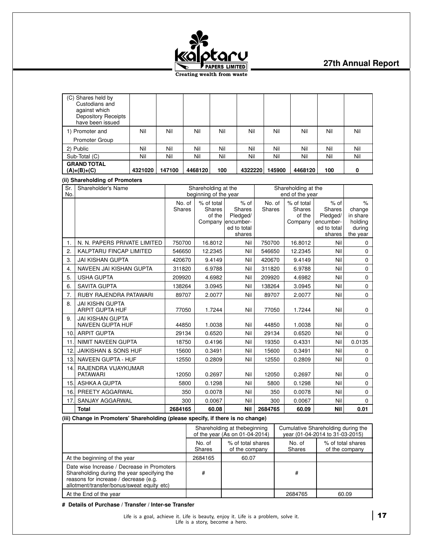

Creating wealth from waste

| (C) Shares held by<br>Custodians and<br>against which<br><b>Depository Receipts</b><br>have been issued |         |        |         |     |         |        |         |     |     |
|---------------------------------------------------------------------------------------------------------|---------|--------|---------|-----|---------|--------|---------|-----|-----|
| I) Promoter and                                                                                         | Nil     | Nil    | Nil     | Nil | Nil     | Nil    | Nil     | Nil | Nil |
| Promoter Group                                                                                          |         |        |         |     |         |        |         |     |     |
| 2) Public                                                                                               | Nil     | Nil    | Nil     | Nil | Nil     | Nil    | Nil     | Nil | Nil |
| Sub-Total (C)                                                                                           | Nil     | Nil    | Nil     | Nil | Nil     | Nil    | Nil     | Nil | Nil |
| <b>GRAND TOTAL</b>                                                                                      |         |        |         |     |         |        |         |     |     |
| $(A)+(B)+(C)$                                                                                           | 4321020 | 147100 | 4468120 | 100 | 4322220 | 145900 | 4468120 | 100 | 0   |

## **(ii) Shareholding of Promoters**

| Sr.<br>No. | Shareholder's Name                                 |                         | Shareholding at the<br>beginning of the year |                                                                            | Shareholding at the |                                                                     |                                                                    |                                                             |
|------------|----------------------------------------------------|-------------------------|----------------------------------------------|----------------------------------------------------------------------------|---------------------|---------------------------------------------------------------------|--------------------------------------------------------------------|-------------------------------------------------------------|
|            |                                                    | No. of<br><b>Shares</b> | % of total<br><b>Shares</b><br>of the        | $%$ of<br>Shares<br>Pledged/<br>Company encumber-<br>ed to total<br>shares | No. of<br>Shares    | end of the year<br>% of total<br><b>Shares</b><br>of the<br>Company | $%$ of<br>Shares<br>Pledged/<br>encumber-<br>ed to total<br>shares | $\%$<br>change<br>in share<br>holding<br>during<br>the year |
| 1.         | N. N. PAPERS PRIVATE LIMITED                       | 750700                  | 16.8012                                      | Nil                                                                        | 750700              | 16.8012                                                             | Nil                                                                | 0                                                           |
| 2.         | <b>KALPTARU FINCAP LIMITED</b>                     | 546650                  | 12.2345                                      | Nil                                                                        | 546650              | 12.2345                                                             | Nil                                                                | $\mathbf 0$                                                 |
| 3.         | <b>JAI KISHAN GUPTA</b>                            | 420670                  | 9.4149                                       | Nil                                                                        | 420670              | 9.4149                                                              | Nil                                                                | $\mathbf 0$                                                 |
| 4.         | NAVEEN JAI KISHAN GUPTA                            | 311820                  | 6.9788                                       | Nil                                                                        | 311820              | 6.9788                                                              | Nil                                                                | $\mathbf 0$                                                 |
| 5.         | <b>USHA GUPTA</b>                                  | 209920                  | 4.6982                                       | Nil                                                                        | 209920              | 4.6982                                                              | Nil                                                                | $\mathbf 0$                                                 |
| 6.         | <b>SAVITA GUPTA</b>                                | 138264                  | 3.0945                                       | Nil                                                                        | 138264              | 3.0945                                                              | Nil                                                                | $\mathbf 0$                                                 |
| 7.         | RUBY RAJENDRA PATAWARI                             | 89707                   | 2.0077                                       | Nil                                                                        | 89707               | 2.0077                                                              | Nil                                                                | $\mathbf 0$                                                 |
| 8.         | <b>JAI KISHN GUPTA</b><br>ARPIT GUPTA HUF          | 77050                   | 1.7244                                       | Nil                                                                        | 77050               | 1.7244                                                              | Nil                                                                | 0                                                           |
| 9.         | <b>JAI KISHAN GUPTA</b><br><b>NAVEEN GUPTA HUF</b> | 44850                   | 1.0038                                       | Nil                                                                        | 44850               | 1.0038                                                              | Nil                                                                | $\mathbf 0$                                                 |
| 10.        | <b>ARPIT GUPTA</b>                                 | 29134                   | 0.6520                                       | Nil                                                                        | 29134               | 0.6520                                                              | Nil                                                                | $\mathbf 0$                                                 |
| 11.        | NIMIT NAVEEN GUPTA                                 | 18750                   | 0.4196                                       | Nil                                                                        | 19350               | 0.4331                                                              | Nil                                                                | 0.0135                                                      |
| 12.        | <b>JAIKISHAN &amp; SONS HUF</b>                    | 15600                   | 0.3491                                       | Nil                                                                        | 15600               | 0.3491                                                              | Nil                                                                | 0                                                           |
| 13.        | <b>NAVEEN GUPTA - HUF</b>                          | 12550                   | 0.2809                                       | Nil                                                                        | 12550               | 0.2809                                                              | Nil                                                                | $\mathbf 0$                                                 |
| 14.        | RAJENDRA VIJAYKUMAR<br><b>PATAWARI</b>             | 12050                   | 0.2697                                       | Nil                                                                        | 12050               | 0.2697                                                              | Nil                                                                | 0                                                           |
| 15.        | ASHKA A GUPTA                                      | 5800                    | 0.1298                                       | Nil                                                                        | 5800                | 0.1298                                                              | Nil                                                                | $\mathbf 0$                                                 |
| 16.        | PREETY AGGARWAL                                    | 350                     | 0.0078                                       | Nil                                                                        | 350                 | 0.0078                                                              | Nil                                                                | $\mathbf 0$                                                 |
| 17.        | SANJAY AGGARWAL                                    | 300                     | 0.0067                                       | Nil                                                                        | 300                 | 0.0067                                                              | Nil                                                                | $\mathbf 0$                                                 |
|            | <b>Total</b>                                       | 2684165                 | 60.08                                        | <b>Nil</b>                                                                 | 2684765             | 60.09                                                               | <b>Nil</b>                                                         | 0.01                                                        |

## **(iii) Change in Promoters' Shareholding (please specify, if there is no change)**

|                                                                                                                                                                                  |                  | Shareholding at the beginning<br>of the year (As on 01-04-2014) |                  | Cumulative Shareholding during the<br>year (01-04-2014 to 31-03-2015) |
|----------------------------------------------------------------------------------------------------------------------------------------------------------------------------------|------------------|-----------------------------------------------------------------|------------------|-----------------------------------------------------------------------|
|                                                                                                                                                                                  | No. of<br>Shares | % of total shares<br>of the company                             | No. of<br>Shares | % of total shares<br>of the company                                   |
| At the beginning of the year                                                                                                                                                     | 2684165          | 60.07                                                           |                  |                                                                       |
| Date wise Increase / Decrease in Promoters<br>Shareholding during the year specifying the<br>reasons for increase / decrease (e.g.<br>allotment/transfer/bonus/sweat equity etc) | #                |                                                                 | #                |                                                                       |
| At the End of the year                                                                                                                                                           |                  |                                                                 | 2684765          | 60.09                                                                 |

**# Details of Purchase / Transfer / Inter-se Transfer**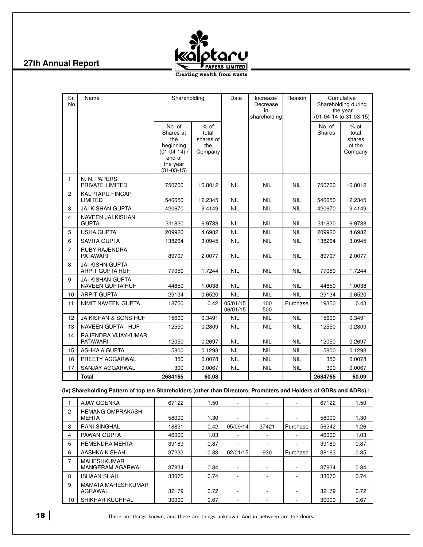

Creating wealth from waste

| Sr.<br>No.     | Name                                               | Shareholding                                                                                    |                                                | Date                 | Increase/<br>Decrease<br>in<br>shareholding | Reason     |                  | Cumulative<br>Shareholding during<br>the year<br>(01-04-14 to 31-03-15) |
|----------------|----------------------------------------------------|-------------------------------------------------------------------------------------------------|------------------------------------------------|----------------------|---------------------------------------------|------------|------------------|-------------------------------------------------------------------------|
|                |                                                    | No. of<br>Shares at<br>the<br>beginning<br>$(01-04-14)$ /<br>end of<br>the year<br>$(31-03-15)$ | $%$ of<br>total<br>shares of<br>the<br>Company |                      |                                             |            | No. of<br>Shares | $%$ of<br>total<br>shares<br>of the<br>Company                          |
| $\mathbf{1}$   | N. N. PAPERS<br>PRIVATE LIMITED                    | 750700                                                                                          | 16.8012                                        | <b>NIL</b>           | <b>NIL</b>                                  | <b>NIL</b> | 750700           | 16.8012                                                                 |
| 2              | <b>KALPTARU FINCAP</b><br><b>LIMITED</b>           | 546650                                                                                          | 12.2345                                        | <b>NIL</b>           | <b>NIL</b>                                  | <b>NIL</b> | 546650           | 12.2345                                                                 |
| 3              | <b>JAI KISHAN GUPTA</b>                            | 420670                                                                                          | 9.4149                                         | <b>NIL</b>           | <b>NIL</b>                                  | <b>NIL</b> | 420670           | 9.4149                                                                  |
| 4              | NAVEEN JAI KISHAN<br><b>GUPTA</b>                  | 311820                                                                                          | 6.9788                                         | <b>NIL</b>           | <b>NIL</b>                                  | <b>NIL</b> | 311820           | 6.9788                                                                  |
| 5              | <b>USHA GUPTA</b>                                  | 209920                                                                                          | 4.6982                                         | <b>NIL</b>           | <b>NIL</b>                                  | <b>NIL</b> | 209920           | 4.6982                                                                  |
| 6              | <b>SAVITA GUPTA</b>                                | 138264                                                                                          | 3.0945                                         | <b>NIL</b>           | <b>NIL</b>                                  | <b>NIL</b> | 138264           | 3.0945                                                                  |
| $\overline{7}$ | <b>RUBY RAJENDRA</b><br><b>PATAWARI</b>            | 89707                                                                                           | 2.0077                                         | <b>NIL</b>           | <b>NIL</b>                                  | <b>NIL</b> | 89707            | 2.0077                                                                  |
| 8              | <b>JAI KISHN GUPTA</b><br>ARPIT GUPTA HUF          | 77050                                                                                           | 1.7244                                         | <b>NIL</b>           | <b>NIL</b>                                  | <b>NIL</b> | 77050            | 1.7244                                                                  |
| 9              | <b>JAI KISHAN GUPTA</b><br><b>NAVEEN GUPTA HUF</b> | 44850                                                                                           | 1.0038                                         | <b>NIL</b>           | <b>NIL</b>                                  | <b>NIL</b> | 44850            | 1.0038                                                                  |
| 10             | <b>ARPIT GUPTA</b>                                 | 29134                                                                                           | 0.6520                                         | <b>NIL</b>           | <b>NIL</b>                                  | <b>NIL</b> | 29134            | 0.6520                                                                  |
| 11             | NIMIT NAVEEN GUPTA                                 | 18750                                                                                           | 0.42                                           | 05/01/15<br>06/01/15 | 100<br>500                                  | Purchase   | 19350            | 0.43                                                                    |
| 12             | <b>JAIKISHAN &amp; SONS HUF</b>                    | 15600                                                                                           | 0.3491                                         | <b>NIL</b>           | <b>NIL</b>                                  | <b>NIL</b> | 15600            | 0.3491                                                                  |
| 13             | NAVEEN GUPTA - HUF                                 | 12550                                                                                           | 0.2809                                         | <b>NIL</b>           | <b>NIL</b>                                  | <b>NIL</b> | 12550            | 0.2809                                                                  |
| 14             | RAJENDRA VIJAYKUMAR<br><b>PATAWARI</b>             | 12050                                                                                           | 0.2697                                         | <b>NIL</b>           | <b>NIL</b>                                  | <b>NIL</b> | 12050            | 0.2697                                                                  |
| 15             | ASHKA A GUPTA                                      | 5800                                                                                            | 0.1298                                         | <b>NIL</b>           | <b>NIL</b>                                  | <b>NIL</b> | 5800             | 0.1298                                                                  |
| 16             | PREETY AGGARWAL                                    | 350                                                                                             | 0.0078                                         | <b>NIL</b>           | <b>NIL</b>                                  | <b>NIL</b> | 350              | 0.0078                                                                  |
| 17             | SANJAY AGGARWAL                                    | 300                                                                                             | 0.0067                                         | <b>NIL</b>           | <b>NIL</b>                                  | <b>NIL</b> | 300              | 0.0067                                                                  |
|                | <b>Total</b>                                       | 2684165                                                                                         | 60.08                                          |                      |                                             |            | 2684765          | 60.09                                                                   |

## **(iv) Shareholding Pattern of top ten Shareholders (other than Directors, Promoters and Holders of GDRs and ADRs) :**

|    | <b>AJAY GOENKA</b>                            | 67122 | 1.50 |                              |       |          | 67122 | 1.50 |
|----|-----------------------------------------------|-------|------|------------------------------|-------|----------|-------|------|
| 2  | <b>HEMANG OMPRAKASH</b><br><b>MEHTA</b>       | 58000 | 1.30 | ۰                            | -     |          | 58000 | 1.30 |
| 3  | <b>RANI SINGHAL</b>                           | 18821 | 0.42 | 05/09/14                     | 37421 | Purchase | 56242 | 1.26 |
| 4  | <b>PAWAN GUPTA</b>                            | 46000 | 1.03 | ۰                            |       |          | 46000 | 1.03 |
| 5  | <b>HEMENDRA MEHTA</b>                         | 39189 | 0.87 | ۰                            |       |          | 39189 | 0.87 |
| 6  | AASHKA K SHAH                                 | 37233 | 0.83 | 02/01/15                     | 930   | Purchase | 38163 | 0.85 |
|    | <b>MAHESHKUMAR</b><br><b>MANGERAM AGARWAL</b> | 37834 | 0.84 | ۰.                           | ٠     | ۰        | 37834 | 0.84 |
| 8  | <b>ISHAAN SHAH</b>                            | 33070 | 0.74 | $\qquad \qquad \blacksquare$ | ٠     | ۰        | 33070 | 0.74 |
| 9  | <b>MAMATA MAHESHKUMAR</b><br>AGRAWAL          | 32179 | 0.72 | ۰                            | ٠     | -        | 32179 | 0.72 |
| 10 | SHIKHAR KUCHHAL                               | 30000 | 0.67 | ۰                            |       | ۰        | 30000 | 0.67 |

There are things known, and there are things unknown. And in between are the doors.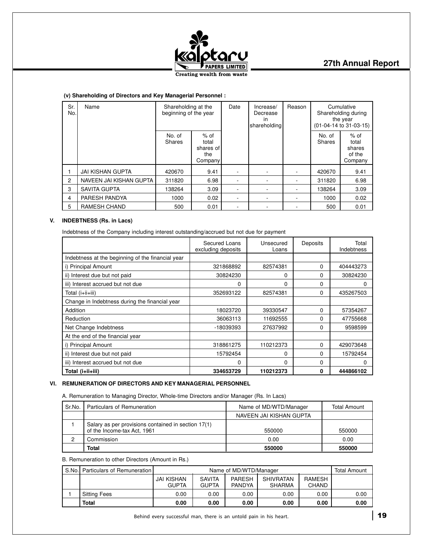

Creating wealth from waste

## **(v) Shareholding of Directors and Key Managerial Personnel :**

| Sr.<br>No.     | Name                    | Shareholding at the<br>beginning of the year |                                                | Date | Increase/<br>Decrease<br>in<br>shareholding | Reason |                         | Cumulative<br>Shareholding during<br>the year<br>$(01-04-14$ to $31-03-15)$ |
|----------------|-------------------------|----------------------------------------------|------------------------------------------------|------|---------------------------------------------|--------|-------------------------|-----------------------------------------------------------------------------|
|                |                         | No. of<br><b>Shares</b>                      | $%$ of<br>total<br>shares of<br>the<br>Company |      |                                             |        | No. of<br><b>Shares</b> | $%$ of<br>total<br>shares<br>of the<br>Company                              |
|                | <b>JAI KISHAN GUPTA</b> | 420670                                       | 9.41                                           | -    |                                             |        | 420670                  | 9.41                                                                        |
| $\overline{c}$ | NAVEEN JAI KISHAN GUPTA | 311820                                       | 6.98                                           | ۰    |                                             | -      | 311820                  | 6.98                                                                        |
| 3              | <b>SAVITA GUPTA</b>     | 138264                                       | 3.09                                           | -    |                                             | ۰      | 138264                  | 3.09                                                                        |
| 4              | PARESH PANDYA           | 1000                                         | 0.02                                           | ۰    |                                             | -      | 1000                    | 0.02                                                                        |
| 5              | <b>RAMESH CHAND</b>     | 500                                          | 0.01                                           | ۰    |                                             |        | 500                     | 0.01                                                                        |

## **V. INDEBTNESS (Rs. in Lacs)**

Indebtness of the Company including interest outstanding/accrued but not due for payment

|                                                   | Secured Loans<br>excluding deposits | Unsecured<br>Loans | Deposits | Total<br>Indebtness |
|---------------------------------------------------|-------------------------------------|--------------------|----------|---------------------|
| Indebtness at the beginning of the financial year |                                     |                    |          |                     |
| i) Principal Amount                               | 321868892                           | 82574381           | 0        | 404443273           |
| ii) Interest due but not paid                     | 30824230                            | 0                  | 0        | 30824230            |
| iii) Interest accrued but not due                 | $\Omega$                            | 0                  | 0        |                     |
| Total (i+ii+iii)                                  | 352693122                           | 82574381           | $\Omega$ | 435267503           |
| Change in Indebtness during the financial year    |                                     |                    |          |                     |
| Addition                                          | 18023720                            | 39330547           | 0        | 57354267            |
| Reduction                                         | 36063113                            | 11692555           | 0        | 47755668            |
| Net Change Indebtness                             | -18039393                           | 27637992           | 0        | 9598599             |
| At the end of the financial year                  |                                     |                    |          |                     |
| i) Principal Amount                               | 318861275                           | 110212373          | 0        | 429073648           |
| ii) Interest due but not paid                     | 15792454                            | 0                  | 0        | 15792454            |
| iii) Interest accrued but not due                 | $\Omega$                            | 0                  | $\Omega$ | Ω                   |
| Total (i+ii+iii)                                  | 334653729                           | 110212373          | 0        | 444866102           |

## **VI. REMUNERATION OF DIRECTORS AND KEY MANAGERIAL PERSONNEL**

A. Remuneration to Managing Director, Whole-time Directors and/or Manager (Rs. In Lacs)

| Sr.No. | Particulars of Remuneration                                                        | Name of MD/WTD/Manager  | <b>Total Amount</b> |
|--------|------------------------------------------------------------------------------------|-------------------------|---------------------|
|        |                                                                                    | NAVEEN JAI KISHAN GUPTA |                     |
|        | Salary as per provisions contained in section 17(1)<br>of the Income-tax Act, 1961 | 550000                  | 550000              |
| 2      | Commission                                                                         | 0.00                    | 0.00                |
|        | Total                                                                              | 550000                  | 550000              |

B. Remuneration to other Directors (Amount in Rs.)

| S.No. | Particulars of Remuneration I |                                   | Name of MD/WTD/Manager        |                                |                            |                        |      |  |  |
|-------|-------------------------------|-----------------------------------|-------------------------------|--------------------------------|----------------------------|------------------------|------|--|--|
|       |                               | <b>JAI KISHAN</b><br><b>GUPTA</b> | <b>SAVITA</b><br><b>GUPTA</b> | <b>PARESH</b><br><b>PANDYA</b> | SHIVRATAN<br><b>SHARMA</b> | <b>RAMESH</b><br>CHAND |      |  |  |
|       | <b>Sitting Fees</b>           | 0.00                              | 0.00                          | 0.00                           | 0.00                       | 0.00                   | 0.00 |  |  |
|       | Total                         | 0.00                              | 0.00                          | 0.00                           | 0.00                       | 0.00                   | 0.00 |  |  |

Behind every successful man, there is an untold pain in his heart.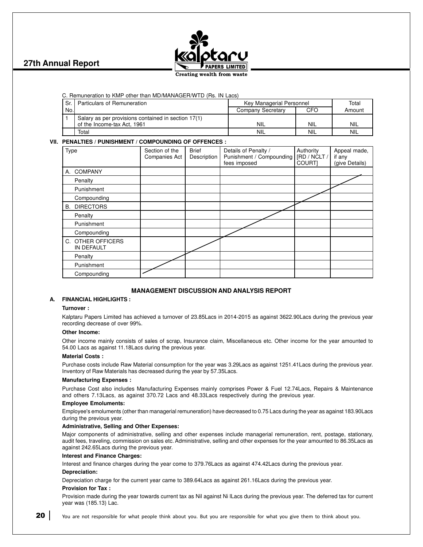

Creating wealth from waste

C. Remuneration to KMP other than MD/MANAGER/WTD (Rs. IN Lacs)

| l Sr. I | Particulars of Remuneration                                                        | Key Managerial Personnel |            | Total      |
|---------|------------------------------------------------------------------------------------|--------------------------|------------|------------|
| l No.   |                                                                                    | Company Secretary        | CFO        | Amount     |
|         | Salary as per provisions contained in section 17(1)<br>of the Income-tax Act, 1961 | <b>NIL</b>               | <b>NIL</b> | <b>NIL</b> |
|         | Total                                                                              | <b>NIL</b>               | <b>NIL</b> | <b>NIL</b> |

## **VII. PENALTIES / PUNISHMENT / COMPOUNDING OF OFFENCES :**

| Type                                   | Section of the<br>Companies Act | <b>Brief</b><br>Description | Details of Penalty /<br>Punishment / Compounding<br>fees imposed | Authority<br>[RD / NCLT /<br><b>COURTI</b> | Appeal made,<br>if any<br>(give Details) |
|----------------------------------------|---------------------------------|-----------------------------|------------------------------------------------------------------|--------------------------------------------|------------------------------------------|
| A. COMPANY                             |                                 |                             |                                                                  |                                            |                                          |
| Penalty                                |                                 |                             |                                                                  |                                            |                                          |
| Punishment                             |                                 |                             |                                                                  |                                            |                                          |
| Compounding                            |                                 |                             |                                                                  |                                            |                                          |
| <b>DIRECTORS</b><br>B.                 |                                 |                             |                                                                  |                                            |                                          |
| Penalty                                |                                 |                             |                                                                  |                                            |                                          |
| Punishment                             |                                 |                             |                                                                  |                                            |                                          |
| Compounding                            |                                 |                             |                                                                  |                                            |                                          |
| C. OTHER OFFICERS<br><b>IN DEFAULT</b> |                                 |                             |                                                                  |                                            |                                          |
| Penalty                                |                                 |                             |                                                                  |                                            |                                          |
| Punishment                             |                                 |                             |                                                                  |                                            |                                          |
| Compounding                            |                                 |                             |                                                                  |                                            |                                          |

## **MANAGEMENT DISCUSSION AND ANALYSIS REPORT**

### **A. FINANCIAL HIGHLIGHTS :**

#### **Turnover :**

Kalptaru Papers Limited has achieved a turnover of 23.85Lacs in 2014-2015 as against 3622.90Lacs during the previous year recording decrease of over 99%.

#### **Other Income:**

Other income mainly consists of sales of scrap, Insurance claim, Miscellaneous etc. Other income for the year amounted to 54.00 Lacs as against 11.18Lacs during the previous year.

### **Material Costs :**

Purchase costs include Raw Material consumption for the year was 3.29Lacs as against 1251.41Lacs during the previous year. Inventory of Raw Materials has decreased during the year by 57.35Lacs.

## **Manufacturing Expenses :**

Purchase Cost also includes Manufacturing Expenses mainly comprises Power & Fuel 12.74Lacs, Repairs & Maintenance and others 7.13Lacs, as against 370.72 Lacs and 48.33Lacs respectively during the previous year.

#### **Employee Emoluments:**

Employee's emoluments (other than managerial remuneration) have decreased to 0.75 Lacs during the year as against 183.90Lacs during the previous year.

#### **Administrative, Selling and Other Expenses:**

Major components of administrative, selling and other expenses include managerial remuneration, rent, postage, stationary, audit fees, traveling, commission on sales etc. Administrative, selling and other expenses for the year amounted to 86.35Lacs as against 242.65Lacs during the previous year.

## **Interest and Finance Charges:**

Interest and finance charges during the year come to 379.76Lacs as against 474.42Lacs during the previous year.

## **Depreciation:**

Depreciation charge for the current year came to 389.64Lacs as against 261.16Lacs during the previous year.

#### **Provision for Tax :**

Provision made during the year towards current tax as Nil against Ni lLacs during the previous year. The deferred tax for current year was (185.13) Lac.

You are not responsible for what people think about you. But you are responsible for what you give them to think about you.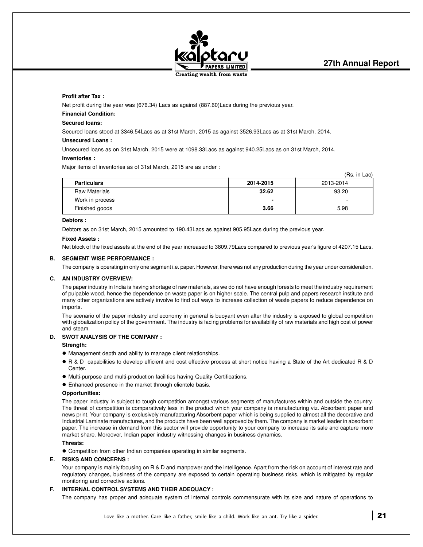Creating wealth from waste

## **Profit after Tax :**

Net profit during the year was (676.34) Lacs as against (887.60)Lacs during the previous year.

## **Financial Condition:**

## **Secured loans:**

Secured loans stood at 3346.54Lacs as at 31st March, 2015 as against 3526.93Lacs as at 31st March, 2014.

## **Unsecured Loans :**

Unsecured loans as on 31st March, 2015 were at 1098.33Lacs as against 940.25Lacs as on 31st March, 2014.

## **Inventories :**

Major items of inventories as of 31st March, 2015 are as under :

|                      |                | (Rs. in Lac) |
|----------------------|----------------|--------------|
| <b>Particulars</b>   | 2014-2015      | 2013-2014    |
| <b>Raw Materials</b> | 32.62          | 93.20        |
| Work in process      | $\blacksquare$ |              |
| Finished goods       | 3.66           | 5.98         |

## **Debtors :**

Debtors as on 31st March, 2015 amounted to 190.43Lacs as against 905.95Lacs during the previous year.

## **Fixed Assets :**

Net block of the fixed assets at the end of the year increased to 3809.79Lacs compared to previous year's figure of 4207.15 Lacs.

## **B. SEGMENT WISE PERFORMANCE :**

The company is operating in only one segment i.e. paper. However, there was not any production during the year under consideration.

## **C. AN INDUSTRY OVERVIEW:**

The paper industry in India is having shortage of raw materials, as we do not have enough forests to meet the industry requirement of pulpable wood, hence the dependence on waste paper is on higher scale. The central pulp and papers research institute and many other organizations are actively involve to find out ways to increase collection of waste papers to reduce dependence on imports.

The scenario of the paper industry and economy in general is buoyant even after the industry is exposed to global competition with globalization policy of the government. The industry is facing problems for availability of raw materials and high cost of power and steam.

## **D. SWOT ANALYSIS OF THE COMPANY :**

## **Strength:**

- $\bullet$  Management depth and ability to manage client relationships.
- l R & D capabilities to develop efficient and cost effective process at short notice having a State of the Art dedicated R & D Center.
- $\bullet$  Multi-purpose and multi-production facilities having Quality Certifications.
- $\bullet$  Enhanced presence in the market through clientele basis.

## **Opportunities:**

The paper industry in subject to tough competition amongst various segments of manufactures within and outside the country. The threat of competition is comparatively less in the product which your company is manufacturing viz. Absorbent paper and news print. Your company is exclusively manufacturing Absorbent paper which is being supplied to almost all the decorative and Industrial Laminate manufactures, and the products have been well approved by them. The company is market leader in absorbent paper. The increase in demand from this sector will provide opportunity to your company to increase its sale and capture more market share. Moreover, Indian paper industry witnessing changes in business dynamics.

## **Threats:**

l Competition from other Indian companies operating in similar segments.

## **E. RISKS AND CONCERNS :**

Your company is mainly focusing on R & D and manpower and the intelligence. Apart from the risk on account of interest rate and regulatory changes, business of the company are exposed to certain operating business risks, which is mitigated by regular monitoring and corrective actions.

## **F. INTERNAL CONTROL SYSTEMS AND THEIR ADEQUACY :**

The company has proper and adequate system of internal controls commensurate with its size and nature of operations to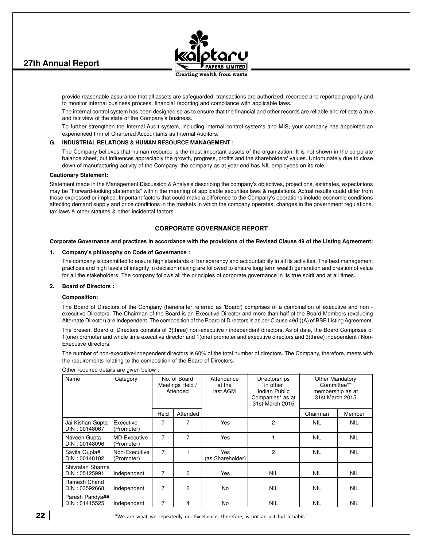

provide reasonable assurance that all assets are safeguarded, transactions are authorized, recorded and reported properly and to monitor internal business process, financial reporting and compliance with applicable laws.

The internal control system has been designed so as to ensure that the financial and other records are reliable and reflects a true and fair view of the state of the Company's business.

To further strengthen the Internal Audit system, including internal control systems and MIS, your company has appointed an experienced firm of Chartered Accountants as Internal Auditors.

#### **G. INDUSTRIAL RELATIONS & HUMAN RESOURCE MANAGEMENT :**

The Company believes that human resource is the most important assets of the organization. It is not shown in the corporate balance sheet, but influences appreciably the growth, progress, profits and the shareholders' values. Unfortunately due to close down of manufacturing activity of the Company, the company as at year end has NIL employees on its role.

#### **Cautionary Statement:**

Statement made in the Management Discussion & Analysis describing the company's objectives, projections, estimates, expectations may be "Forward-looking statements" within the meaning of applicable securities laws & regulations. Actual results could differ from those expressed or implied. Important factors that could make a difference to the Company's operations include economic conditions affecting demand supply and price conditions in the markets in which the company operates, changes in the government regulations, tax laws & other statutes & other incidental factors.

## **CORPORATE GOVERNANCE REPORT**

#### **Corporate Governance and practices in accordance with the provisions of the Revised Clause 49 of the Listing Agreement:**

#### **1. Company's philosophy on Code of Governance :**

The company is committed to ensure high standards of transparency and accountability in all its activities. The best management practices and high levels of integrity in decision making are followed to ensure long term wealth generation and creation of value for all the stakeholders. The company follows all the principles of corporate governance in its true spirit and at all times.

#### **2. Board of Directors :**

#### **Composition:**

The Board of Directors of the Company (hereinafter referred as 'Board') comprises of a combination of executive and non executive Directors. The Chairman of the Board is an Executive Director and more than half of the Board Members (excluding Alternate Director) are Independent. The composition of the Board of Directors is as per Clause 49(II)(A) of BSE Listing Agreement.

The present Board of Directors consists of 3(three) non-executive / independent directors. As of date, the Board Comprises of 1(one) promoter and whole time executive director and 1(one) promoter and executive directors and 3(three) independent / Non-Executive directors.

The number of non-executive/independent directors is 60% of the total number of directors. The Company, therefore, meets with the requirements relating to the composition of the Board of Directors.

| Name                               | Category                    | No. of Board<br>Meetings Held /<br>Attended |          | Attendance<br>at the<br>last AGM | <b>Directorships</b><br>in other<br>Indian Public<br>Companies* as at<br>31st March 2015 | <b>Other Mandatory</b><br>Committee**<br>membership as at<br>31st March 2015 |            |
|------------------------------------|-----------------------------|---------------------------------------------|----------|----------------------------------|------------------------------------------------------------------------------------------|------------------------------------------------------------------------------|------------|
|                                    |                             | Held                                        | Attended |                                  |                                                                                          | Chairman                                                                     | Member     |
| Jai Kishan Gupta<br>DIN: 00148067  | Executive<br>(Promoter)     | 7                                           | 7        | Yes                              | 2                                                                                        | <b>NIL</b>                                                                   | <b>NIL</b> |
| Naveen Gupta<br>DIN: 00148096      | MD-Executive<br>(Promoter)  | 7                                           | 7        | Yes                              |                                                                                          | <b>NIL</b>                                                                   | <b>NIL</b> |
| Savita Gupta#<br>DIN: 00148102     | Non-Executive<br>(Promoter) | 7                                           |          | <b>Yes</b><br>(as Shareholder)   | $\overline{c}$                                                                           | <b>NIL</b>                                                                   | <b>NIL</b> |
| Shivratan Sharmal<br>DIN: 05125991 | Independent                 | 7                                           | 6        | Yes                              | <b>NIL</b>                                                                               | <b>NIL</b>                                                                   | <b>NIL</b> |
| Ramesh Chand<br>DIN: 03592668      | Independent                 | 7                                           | 6        | No                               | <b>NIL</b>                                                                               | <b>NIL</b>                                                                   | <b>NIL</b> |
| Paresh Pandya##<br>DIN: 01415525   | Independent                 | 7                                           | 4        | No                               | <b>NIL</b>                                                                               | <b>NIL</b>                                                                   | <b>NIL</b> |

Other required details are given below :

"We are what we repeatedly do. Excellence, therefore, is not an act but a habit."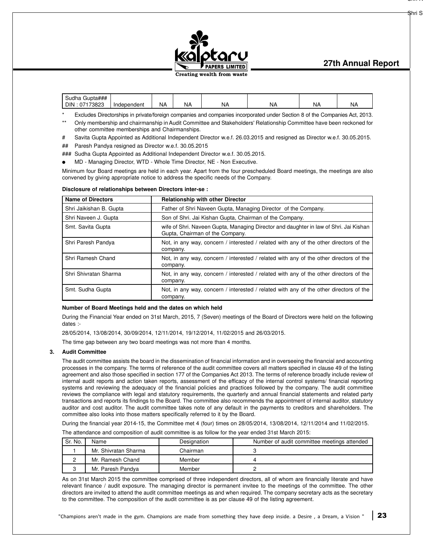

| raating waalth fram waat |  |  |  |  |  |
|--------------------------|--|--|--|--|--|

| $ + - + + + +$<br>Sudha<br>Gubta###   |                       |    |    |    |    |           |    |
|---------------------------------------|-----------------------|----|----|----|----|-----------|----|
| <b>DIN</b><br>170000<br>071<br>ن 28 ک | Independent<br>$\sim$ | ΝA | NA | ΝA | NA | <b>NA</b> | NΑ |

\* Excludes Directorships in private/foreign companies and companies incorporated under Section 8 of the Companies Act, 2013.

- Only membership and chairmanship in Audit Committee and Stakeholders' Relationship Committee have been reckoned for other committee memberships and Chairmanships.
- # Savita Gupta Appointed as Additional Independent Director w.e.f. 26.03.2015 and resigned as Director w.e.f. 30.05.2015.
- ## Paresh Pandya resigned as Director w.e.f. 30.05.2015
- ### Sudha Gupta Appointed as Additional Independent Director w.e.f. 30.05.2015.
- l MD Managing Director, WTD Whole Time Director, NE Non Executive.

Minimum four Board meetings are held in each year. Apart from the four prescheduled Board meetings, the meetings are also convened by giving appropriate notice to address the specific needs of the Company.

#### **Disclosure of relationships between Directors inter-se :**

| <b>Name of Directors</b> | <b>Relationship with other Director</b>                                                                                  |
|--------------------------|--------------------------------------------------------------------------------------------------------------------------|
| Shri Jaikishan B. Gupta  | Father of Shri Naveen Gupta, Managing Director of the Company.                                                           |
| Shri Naveen J. Gupta     | Son of Shri. Jai Kishan Gupta, Chairman of the Company.                                                                  |
| Smt. Savita Gupta        | wife of Shri. Naveen Gupta, Managing Director and daughter in law of Shri. Jai Kishan<br>Gupta, Chairman of the Company. |
| Shri Paresh Pandya       | Not, in any way, concern / interested / related with any of the other directors of the<br>company.                       |
| Shri Ramesh Chand        | Not, in any way, concern / interested / related with any of the other directors of the<br>company.                       |
| Shri Shivratan Sharma    | Not, in any way, concern / interested / related with any of the other directors of the<br>company.                       |
| Smt. Sudha Gupta         | Not, in any way, concern / interested / related with any of the other directors of the<br>company.                       |

### **Number of Board Meetings held and the dates on which held**

During the Financial Year ended on 31st March, 2015, 7 (Seven) meetings of the Board of Directors were held on the following dates :-

28/05/2014, 13/08/2014, 30/09/2014, 12/11/2014, 19/12/2014, 11/02/2015 and 26/03/2015.

The time gap between any two board meetings was not more than 4 months.

## **3. Audit Committee**

The audit committee assists the board in the dissemination of financial information and in overseeing the financial and accounting processes in the company. The terms of reference of the audit committee covers all matters specified in clause 49 of the listing agreement and also those specified in section 177 of the Companies Act 2013. The terms of reference broadly include review of internal audit reports and action taken reports, assessment of the efficacy of the internal control systems/ financial reporting systems and reviewing the adequacy of the financial policies and practices followed by the company. The audit committee reviews the compliance with legal and statutory requirements, the quarterly and annual financial statements and related party transactions and reports its findings to the Board. The committee also recommends the appointment of internal auditor, statutory auditor and cost auditor. The audit committee takes note of any default in the payments to creditors and shareholders. The committee also looks into those matters specifically referred to it by the Board.

During the financial year 2014-15, the Committee met 4 (four) times on 28/05/2014, 13/08/2014, 12/11/2014 and 11/02/2015.

| Sr. No. | Name                 | Designation | Number of audit committee meetings attended |
|---------|----------------------|-------------|---------------------------------------------|
|         | Mr. Shivratan Sharma | Chairman    |                                             |
|         | Mr. Ramesh Chand     | Member      |                                             |
|         | Mr. Paresh Pandya    | Member      |                                             |

The attendance and composition of audit committee is as follow for the year ended 31st March 2015:

As on 31st March 2015 the committee comprised of three independent directors, all of whom are financially literate and have relevant finance / audit exposure. The managing director is permanent invitee to the meetings of the committee. The other directors are invited to attend the audit committee meetings as and when required. The company secretary acts as the secretary to the committee. The composition of the audit committee is as per clause 49 of the listing agreement.

23 "Champions aren't made in the gym. Champions are made from something they have deep inside. a Desire , a Dream, a Vision "

Shri Ramesh Chand - Director Shri S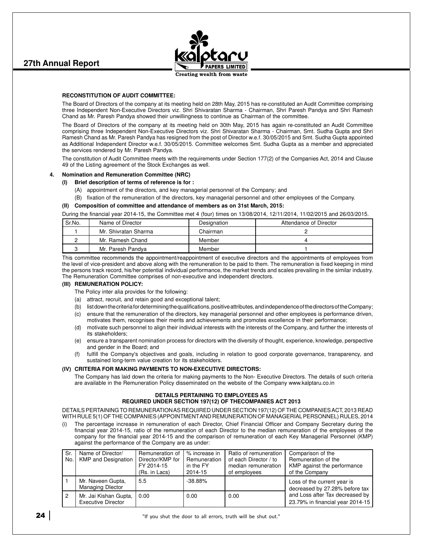

## **RECONSTITUTION OF AUDIT COMMITTEE:**

The Board of Directors of the company at its meeting held on 28th May, 2015 has re-constituted an Audit Committee comprising three Independent Non-Executive Directors viz. Shri Shivaratan Sharma - Chairman, Shri Paresh Pandya and Shri Ramesh Chand as Mr. Paresh Pandya showed their unwillingness to continue as Chairman of the committee.

The Board of Directors of the company at its meeting held on 30th May, 2015 has again re-constituted an Audit Committee comprising three Independent Non-Executive Directors viz. Shri Shivaratan Sharma - Chairman, Smt. Sudha Gupta and Shri Ramesh Chand as Mr. Paresh Pandya has resigned from the post of Director w.e.f. 30/05/2015 and Smt. Sudha Gupta appointed as Additional Independent Director w.e.f. 30/05/2015. Committee welcomes Smt. Sudha Gupta as a member and appreciated the services rendered by Mr. Paresh Pandya.

The constitution of Audit Committee meets with the requirements under Section 177(2) of the Companies Act, 2014 and Clause 49 of the Listing agreement of the Stock Exchanges as well.

#### **4. Nomination and Remuneration Committee (NRC)**

## **(I) Brief description of terms of reference is for :**

- (A) appointment of the directors, and key managerial personnel of the Company; and
- (B) fixation of the remuneration of the directors, key managerial personnel and other employees of the Company.

### **(II) Composition of committee and attendance of members as on 31st March, 2015:**

During the financial year 2014-15, the Committee met 4 (four) times on 13/08/2014, 12/11/2014, 11/02/2015 and 26/03/2015.

| Sr.No. | Name of Director     | Designation | Attendance of Director |
|--------|----------------------|-------------|------------------------|
|        | Mr. Shivratan Sharma | Chairman    |                        |
|        | Mr. Ramesh Chand     | Member      |                        |
|        | Mr. Paresh Pandya    | Member      |                        |

This committee recommends the appointment/reappointment of executive directors and the appointments of employees from the level of vice-president and above along with the remuneration to be paid to them. The remuneration is fixed keeping in mind the persons track record, his/her potential individual performance, the market trends and scales prevailing in the similar industry. The Remuneration Committee comprises of non-executive and independent directors.

#### **(III) REMUNERATION POLICY:**

The Policy inter alia provides for the following:

- (a) attract, recruit, and retain good and exceptional talent;
- (b) list down the criteria for determining the qualifications, positive attributes, and independence of the directors of the Company;
- (c) ensure that the remuneration of the directors, key managerial personnel and other employees is performance driven, motivates them, recognises their merits and achievements and promotes excellence in their performance;
- (d) motivate such personnel to align their individual interests with the interests of the Company, and further the interests of its stakeholders;
- (e) ensure a transparent nomination process for directors with the diversity of thought, experience, knowledge, perspective and gender in the Board; and
- (f) fulfill the Company's objectives and goals, including in relation to good corporate governance, transparency, and sustained long-term value creation for its stakeholders.

#### **(IV) CRITERIA FOR MAKING PAYMENTS TO NON-EXECUTIVE DIRECTORS:**

The Company has laid down the criteria for making payments to the Non- Executive Directors. The details of such criteria are available in the Remuneration Policy disseminated on the website of the Company www.kalptaru.co.in

#### **DETAILS PERTAINING TO EMPLOYEES AS**

## **REQUIRED UNDER SECTION 197(12) OF THECOMPANIES ACT 2013**

DETAILS PERTAINING TO REMUNERATION AS REQUIRED UNDER SECTION 197(12) OF THE COMPANIES ACT, 2013 READ WITH RULE 5(1) OF THE COMPANIES (APPOINTMENTAND REMUNERATION OF MANAGERIAL PERSONNEL) RULES, 2014

(i) The percentage increase in remuneration of each Director, Chief Financial Officer and Company Secretary during the financial year 2014-15, ratio of the remuneration of each Director to the median remuneration of the employees of the company for the financial year 2014-15 and the comparison of remuneration of each Key Managerial Personnel (KMP) against the performance of the Company are as under:

| Sr.<br>No. I | Name of Director/<br><b>KMP</b> and Designation    | Remuneration of<br>Director/KMP for<br>FY 2014-15<br>(Rs. in Lacs) | % increase in<br>Remuneration<br>in the FY<br>2014-15 | Ratio of remuneration<br>of each Director / to<br>median remuneration<br>of employees | Comparison of the<br>Remuneration of the<br>KMP against the performance<br>of the Company |
|--------------|----------------------------------------------------|--------------------------------------------------------------------|-------------------------------------------------------|---------------------------------------------------------------------------------------|-------------------------------------------------------------------------------------------|
|              | Mr. Naveen Gupta,<br><b>Managing Diector</b>       | 5.5                                                                | $-38.88\%$                                            |                                                                                       | Loss of the current year is<br>decreased by 27.28% before tax                             |
| 2            | Mr. Jai Kishan Gupta,<br><b>Executive Director</b> | 0.00                                                               | 0.00                                                  | 0.00                                                                                  | and Loss after Tax decreased by<br>23.79% in financial year 2014-15                       |

"If you shut the door to all errors, truth will be shut out."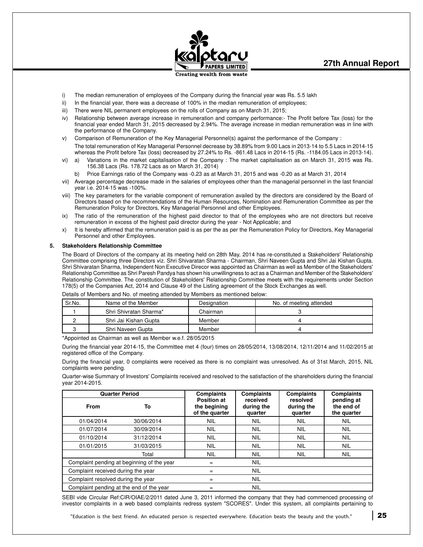

- i) The median remuneration of employees of the Company during the financial year was Rs. 5.5 lakh
- ii) In the financial year, there was a decrease of 100% in the median remuneration of employees;
- iii) There were NIL permanent employees on the rolls of Company as on March 31, 2015;
- iv) Relationship between average increase in remuneration and company performance:- The Profit before Tax (loss) for the financial year ended March 31, 2015 decreased by 2.94%. The average increase in median remuneration was in line with the performance of the Company.
- v) Comparison of Remuneration of the Key Managerial Personnel(s) against the performance of the Company : The total remuneration of Key Managerial Personnel decrease by 38.89% from 9.00 Lacs in 2013-14 to 5.5 Lacs in 2014-15 whereas the Profit before Tax (loss) decreased by 27.24% to Rs. -861.48 Lacs in 2014-15 (Rs. -1184.05 Lacs in 2013-14).
- vi) a) Variations in the market capitalisation of the Company : The market capitalisation as on March 31, 2015 was Rs. 156.38 Lacs (Rs. 178.72 Lacs as on March 31, 2014)
	- b) Price Earnings ratio of the Company was -0.23 as at March 31, 2015 and was -0.20 as at March 31, 2014
- vii) Average percentage decrease made in the salaries of employees other than the managerial personnel in the last financial year i.e. 2014-15 was -100%.
- viii) The key parameters for the variable component of remuneration availed by the directors are considered by the Board of Directors based on the recommendations of the Human Resources, Nomination and Remuneration Committee as per the Remuneration Policy for Directors, Key Managerial Personnel and other Employees.
- ix) The ratio of the remuneration of the highest paid director to that of the employees who are not directors but receive remuneration in excess of the highest paid director during the year - Not Applicable; and
- x) It is hereby affirmed that the remuneration paid is as per the as per the Remuneration Policy for Directors, Key Managerial Personnel and other Employees.

#### **5. Stakeholders Relationship Committee**

The Board of Directors of the company at its meeting held on 28th May, 2014 has re-constituted a Stakeholders' Relationship Committee comprising three Directors viz. Shri Shivaratan Sharma - Chairman, Shri Naveen Gupta and Shri Jai Kishan Gupta. Shri Shivaratan Sharma, Independent Non Executive Direcor was appointed as Chairman as well as Member of the Stakeholders' Relationship Committee as Shri Paresh Pandya has shown his unwillingness to act as a Chairman and Member of the Stakeholders' Relationship Committee. The constitution of Stakeholders' Relationship Committee meets with the requirements under Section 178(5) of the Companies Act, 2014 and Clause 49 of the Listing agreement of the Stock Exchanges as well.

|  |  |  | Details of Members and No. of meeting attended by Members as mentioned below: |  |
|--|--|--|-------------------------------------------------------------------------------|--|
|  |  |  |                                                                               |  |

| Sr.No. | Name of the Member     | Designation | No. of meeting attended |
|--------|------------------------|-------------|-------------------------|
|        | Shri Shivratan Sharma* | Chairman    |                         |
|        | Shri Jai Kishan Gupta  | Member      |                         |
|        | Shri Naveen Gupta      | Member      |                         |

\*Appointed as Chairman as well as Member w.e.f. 28/05/2015

During the financial year 2014-15, the Committee met 4 (four) times on 28/05/2014, 13/08/2014, 12/11/2014 and 11/02/2015 at registered office of the Company.

During the financial year, 0 complaints were received as there is no complaint was unresolved. As of 31st March, 2015, NIL complaints were pending.

Quarter-wise Summary of Investors' Complaints received and resolved to the satisfaction of the shareholders during the financial year 2014-2015.

| <b>Quarter Period</b>                    |                                            | <b>Complaints</b>                                    | <b>Complaints</b>                 | <b>Complaints</b>                 | <b>Complaints</b>                       |
|------------------------------------------|--------------------------------------------|------------------------------------------------------|-----------------------------------|-----------------------------------|-----------------------------------------|
| <b>From</b>                              | To                                         | <b>Position at</b><br>the begining<br>of the quarter | received<br>during the<br>quarter | resolved<br>during the<br>quarter | pending at<br>the end of<br>the quarter |
| 01/04/2014                               | 30/06/2014                                 | <b>NIL</b>                                           | <b>NIL</b>                        | <b>NIL</b>                        | <b>NIL</b>                              |
| 01/07/2014                               | 30/09/2014                                 | <b>NIL</b>                                           | <b>NIL</b>                        | <b>NIL</b>                        | <b>NIL</b>                              |
| 01/10/2014                               | 31/12/2014                                 | <b>NIL</b>                                           | <b>NIL</b>                        | <b>NIL</b>                        | <b>NIL</b>                              |
| 01/01/2015                               | 31/03/2015                                 | <b>NIL</b>                                           | <b>NIL</b>                        | <b>NIL</b>                        | <b>NIL</b>                              |
|                                          | Total                                      | <b>NIL</b>                                           | <b>NIL</b>                        | <b>NIL</b>                        | <b>NIL</b>                              |
|                                          | Complaint pending at beginning of the year | $=$                                                  | <b>NIL</b>                        |                                   |                                         |
| Complaint received during the year       |                                            | $=$                                                  | <b>NIL</b>                        |                                   |                                         |
| Complaint resolved during the year       |                                            | $=$                                                  | <b>NIL</b>                        |                                   |                                         |
| Complaint pending at the end of the year |                                            | $=$                                                  | <b>NIL</b>                        |                                   |                                         |

SEBI vide Circular Ref:CIR/OIAE/2/2011 dated June 3, 2011 informed the company that they had commenced processing of investor complaints in a web based complaints redress system "SCORES". Under this system, all complaints pertaining to

"Education is the best friend. An educated person is respected everywhere. Education beats the beauty and the youth."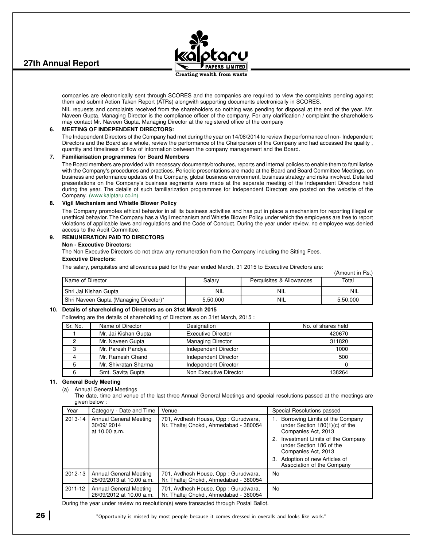

companies are electronically sent through SCORES and the companies are required to view the complaints pending against them and submit Action Taken Report (ATRs) alongwith supporting documents electronically in SCORES.

NIL requests and complaints received from the shareholders so nothing was pending for disposal at the end of the year. Mr. Naveen Gupta, Managing Director is the compliance officer of the company. For any clarification / complaint the shareholders may contact Mr. Naveen Gupta, Managing Director at the registered office of the company

## **6. MEETING OF INDEPENDENT DIRECTORS:**

The Independent Directors of the Company had met during the year on 14/08/2014 to review the performance of non- Independent Directors and the Board as a whole, review the performance of the Chairperson of the Company and had accessed the quality , quantity and timeliness of flow of information between the company management and the Board.

## **7. Familiarisation programmes for Board Members**

The Board members are provided with necessary documents/brochures, reports and internal policies to enable them to familiarise with the Company's procedures and practices. Periodic presentations are made at the Board and Board Committee Meetings, on business and performance updates of the Company, global business environment, business strategy and risks involved. Detailed presentations on the Company's business segments were made at the separate meeting of the Independent Directors held during the year. The details of such familiarization programmes for Independent Directors are posted on the website of the Company. (www.kalptaru.co.in)

## **8. Vigil Mechanism and Whistle Blower Policy**

The Company promotes ethical behavior in all its business activities and has put in place a mechanism for reporting illegal or unethical behavior. The Company has a Vigil mechanism and Whistle Blower Policy under which the employees are free to report violations of applicable laws and regulations and the Code of Conduct. During the year under review, no employee was denied access to the Audit Committee.

## **9. REMUNERATION PAID TO DIRECTORS**

## **Non - Executive Directors:**

The Non Executive Directors do not draw any remuneration from the Company including the Sitting Fees.

## **Executive Directors:**

The salary, perquisites and allowances paid for the year ended March, 31 2015 to Executive Directors are:

|                                        |            |                          | ו.פח ווו ווווטשוואן |
|----------------------------------------|------------|--------------------------|---------------------|
| Name of Director                       | Salary     | Perquisites & Allowances | Total               |
| Shri Jai Kishan Gupta                  | <b>NIL</b> | <b>NIL</b>               | <b>NIL</b>          |
| Shri Naveen Gupta (Managing Director)* | 5,50,000   | <b>NIL</b>               | 5,50,000            |

 $(Amount in Den)$ 

## **10. Details of shareholding of Directors as on 31st March 2015**

Following are the details of shareholding of Directors as on 31st March, 2015 :

| Sr. No. | Name of Director     | Designation               | No. of shares held |
|---------|----------------------|---------------------------|--------------------|
|         | Mr. Jai Kishan Gupta | <b>Executive Director</b> | 420670             |
|         | Mr. Naveen Gupta     | <b>Managing Director</b>  | 311820             |
| ◠       | Mr. Paresh Pandya    | Independent Director      | 1000               |
|         | Mr. Ramesh Chand     | Independent Director      | 500                |
|         | Mr. Shivratan Sharma | Independent Director      |                    |
|         | Smt. Savita Gupta    | Non Executive Director    | 138264             |

## **11. General Body Meeting**

(a) Annual General Meetings

The date, time and venue of the last three Annual General Meetings and special resolutions passed at the meetings are given below :

| Year        | Category - Date and Time                              | Venue                                                                         | Special Resolutions passed                                                                 |
|-------------|-------------------------------------------------------|-------------------------------------------------------------------------------|--------------------------------------------------------------------------------------------|
| 2013-14     | Annual General Meeting<br>30/09/2014<br>at 10.00 a.m. | 701, Avdhesh House, Opp: Gurudwara,<br>Nr. Thaltej Chokdi, Ahmedabad - 380054 | Borrowing Limits of the Company<br>under Section $180(1)(c)$ of the<br>Companies Act, 2013 |
|             |                                                       |                                                                               | Investment Limits of the Company<br>2.<br>under Section 186 of the<br>Companies Act, 2013  |
|             |                                                       |                                                                               | 3. Adoption of new Articles of<br>Association of the Company                               |
| 2012-13     | Annual General Meeting<br>25/09/2013 at 10.00 a.m.    | 701, Avdhesh House, Opp: Gurudwara,<br>Nr. Thaltej Chokdi, Ahmedabad - 380054 | No                                                                                         |
| $2011 - 12$ | Annual General Meeting<br>26/09/2012 at 10.00 a.m.    | 701, Avdhesh House, Opp: Gurudwara,<br>Nr. Thaltej Chokdi, Ahmedabad - 380054 | No.                                                                                        |

During the year under review no resolution(s) were transacted through Postal Ballot.

"Opportunity is missed by most people because it comes dressed in overalls and looks like work."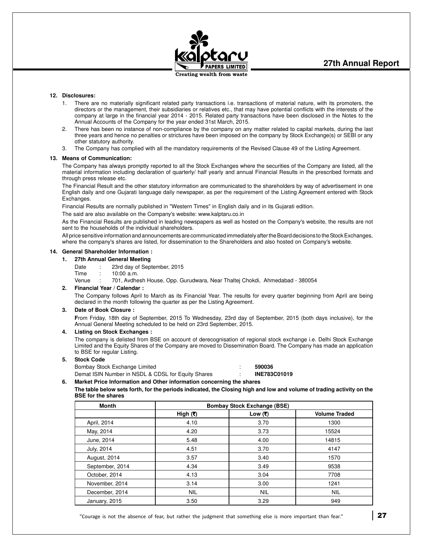

Creating wealth from waste

## **12. Disclosures:**

- 1. There are no materially significant related party transactions i.e. transactions of material nature, with its promoters, the directors or the management, their subsidiaries or relatives etc., that may have potential conflicts with the interests of the company at large in the financial year 2014 - 2015. Related party transactions have been disclosed in the Notes to the Annual Accounts of the Company for the year ended 31st March, 2015.
- There has been no instance of non-compliance by the company on any matter related to capital markets, during the last three years and hence no penalties or strictures have been imposed on the company by Stock Exchange(s) or SEBI or any other statutory authority.
- 3. The Company has complied with all the mandatory requirements of the Revised Clause 49 of the Listing Agreement.

#### **13. Means of Communication:**

The Company has always promptly reported to all the Stock Exchanges where the securities of the Company are listed, all the material information including declaration of quarterly/ half yearly and annual Financial Results in the prescribed formats and through press release etc.

The Financial Result and the other statutory information are communicated to the shareholders by way of advertisement in one English daily and one Gujarati language daily newspaper, as per the requirement of the Listing Agreement entered with Stock Exchanges.

Financial Results are normally published in "Western Times" in English daily and in its Gujarati edition.

The said are also available on the Company's website: www.kalptaru.co.in

As the Financial Results are published in leading newspapers as well as hosted on the Company's website, the results are not sent to the households of the individual shareholders.

All price sensitive information and announcements are communicated immediately after the Board decisions to the Stock Exchanges, where the company's shares are listed, for dissemination to the Shareholders and also hosted on Company's website.

## **14. General Shareholder Information :**

- **1. 27th Annual General Meeting**
	- Date : 23rd day of September, 2015
	- Time : 10:00 a.m.

Venue : 701, Avdhesh House, Opp. Gurudwara, Near Thaltej Chokdi, Ahmedabad - 380054

#### **2. Financial Year / Calendar :**

The Company follows April to March as its Financial Year. The results for every quarter beginning from April are being declared in the month following the quarter as per the Listing Agreement.

#### **3. Date of Book Closure :**

**F**rom Friday, 18th day of September, 2015 To Wednesday, 23rd day of September, 2015 (both days inclusive), for the Annual General Meeting scheduled to be held on 23rd September, 2015.

**4. Listing on Stock Exchanges :**

The company is delisted from BSE on account of derecognisation of regional stock exchange i.e. Delhi Stock Exchange Limited and the Equity Shares of the Company are moved to Dissemination Board. The Company has made an application to BSE for regular Listing.

#### **5. Stock Code**

| Bombay Stock Exchange Limited                      | 590036              |
|----------------------------------------------------|---------------------|
| Demat ISIN Number in NSDL & CDSL for Equity Shares | <b>INE783C01019</b> |

**6. Market Price Information and Other information concerning the shares**

**The table below sets forth, for the periods indicated, the Closing high and low and volume of trading activity on the BSE for the shares**

| <b>Month</b>    | <b>Bombay Stock Exchange (BSE)</b> |            |                      |
|-----------------|------------------------------------|------------|----------------------|
|                 | High (₹)                           | Low $( ₹)$ | <b>Volume Traded</b> |
| April, 2014     | 4.10                               | 3.70       | 1300                 |
| May, 2014       | 4.20                               | 3.73       | 15524                |
| June, 2014      | 5.48                               | 4.00       | 14815                |
| July, 2014      | 4.51                               | 3.70       | 4147                 |
| August, 2014    | 3.57                               | 3.40       | 1570                 |
| September, 2014 | 4.34                               | 3.49       | 9538                 |
| October, 2014   | 4.13                               | 3.04       | 7708                 |
| November, 2014  | 3.14                               | 3.00       | 1241                 |
| December, 2014  | <b>NIL</b>                         | <b>NIL</b> | <b>NIL</b>           |
| January, 2015   | 3.50                               | 3.29       | 949                  |

"Courage is not the absence of fear, but rather the judgment that something else is more important than fear."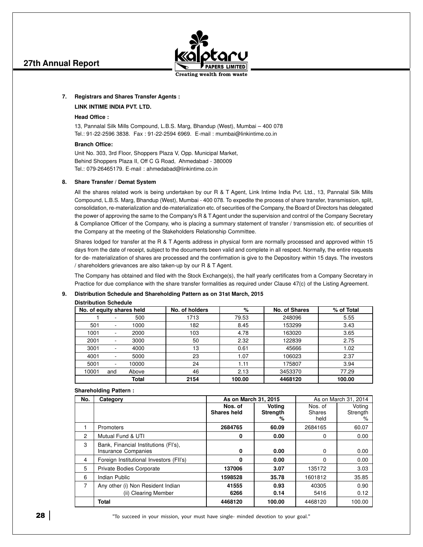

## **7. Registrars and Shares Transfer Agents :**

## **LINK INTIME INDIA PVT. LTD.**

## **Head Office :**

13, Pannalal Silk Mills Compound, L.B.S. Marg, Bhandup (West), Mumbai – 400 078 Tel.: 91-22-2596 3838. Fax : 91-22-2594 6969. E-mail : mumbai@linkintime.co.in

## **Branch Office:**

Unit No. 303, 3rd Floor, Shoppers Plaza V, Opp. Municipal Market, Behind Shoppers Plaza II, Off C G Road, Ahmedabad - 380009 Tel.: 079-26465179. E-mail : ahmedabad@linkintime.co.in

#### **8. Share Transfer / Demat System**

All the shares related work is being undertaken by our R & T Agent, Link Intime India Pvt. Ltd., 13, Pannalal Silk Mills Compound, L.B.S. Marg, Bhandup (West), Mumbai - 400 078. To expedite the process of share transfer, transmission, split, consolidation, re-materialization and de-materialization etc. of securities of the Company, the Board of Directors has delegated the power of approving the same to the Company's R & T Agent under the supervision and control of the Company Secretary & Compliance Officer of the Company, who is placing a summary statement of transfer / transmission etc. of securities of the Company at the meeting of the Stakeholders Relationship Committee.

Shares lodged for transfer at the R & T Agents address in physical form are normally processed and approved within 15 days from the date of receipt, subject to the documents been valid and complete in all respect. Normally, the entire requests for de- materialization of shares are processed and the confirmation is give to the Depository within 15 days. The investors / shareholders grievances are also taken-up by our R & T Agent.

The Company has obtained and filed with the Stock Exchange(s), the half yearly certificates from a Company Secretary in Practice for due compliance with the share transfer formalities as required under Clause 47(c) of the Listing Agreement.

## **9. Distribution Schedule and Shareholding Pattern as on 31st March, 2015**

#### **Distribution Schedule**

| No. of equity shares held |     |       | No. of holders | %      | No. of Shares | % of Total |
|---------------------------|-----|-------|----------------|--------|---------------|------------|
|                           | ۰   | 500   | 1713           | 79.53  | 248096        | 5.55       |
| 501                       | ۰   | 1000  | 182            | 8.45   | 153299        | 3.43       |
| 1001                      | ۰   | 2000  | 103            | 4.78   | 163020        | 3.65       |
| 2001                      | ۰   | 3000  | 50             | 2.32   | 122839        | 2.75       |
| 3001                      | ۰   | 4000  | 13             | 0.61   | 45666         | 1.02       |
| 4001                      | ۰   | 5000  | 23             | 1.07   | 106023        | 2.37       |
| 5001                      | ۰   | 10000 | 24             | 1.11   | 175807        | 3.94       |
| 10001                     | and | Above | 46             | 2.13   | 3453370       | 77.29      |
|                           |     | Total | 2154           | 100.00 | 4468120       | 100.00     |

## **Shareholding Pattern :**

| No. | Category                                                           | As on March 31, 2015          |                                |                                  | As on March 31, 2014    |
|-----|--------------------------------------------------------------------|-------------------------------|--------------------------------|----------------------------------|-------------------------|
|     |                                                                    | Nos. of<br><b>Shares held</b> | Votina<br><b>Strength</b><br>% | Nos. of<br><b>Shares</b><br>held | Votina<br>Strength<br>% |
|     | Promoters                                                          | 2684765                       | 60.09                          | 2684165                          | 60.07                   |
| 2   | Mutual Fund & UTI                                                  | 0                             | 0.00                           | $\Omega$                         | 0.00                    |
| 3   | Bank, Financial Institutions (FI's),<br><b>Insurance Companies</b> | 0                             | 0.00                           | 0                                | 0.00                    |
| 4   | Foreign Institutional Investors (FII's)                            | 0                             | 0.00                           | $\Omega$                         | 0.00                    |
| 5   | Private Bodies Corporate                                           | 137006                        | 3.07                           | 135172                           | 3.03                    |
| 6   | Indian Public                                                      | 1598528                       | 35.78                          | 1601812                          | 35.85                   |
| 7   | Any other (i) Non Resident Indian<br>(ii) Clearing Member          | 41555<br>6266                 | 0.93<br>0.14                   | 40305<br>5416                    | 0.90<br>0.12            |
|     | <b>Total</b>                                                       | 4468120                       | 100.00                         | 4468120                          | 100.00                  |

"To succeed in your mission, your must have single- minded devotion to your goal."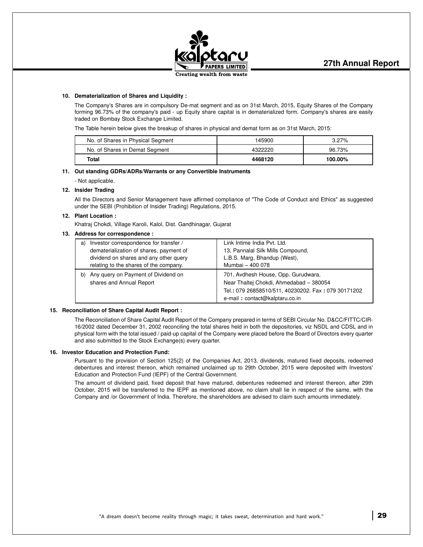

#### **10. Dematerialization of Shares and Liquidity :**

The Company's Shares are in compulsory De-mat segment and as on 31st March, 2015, Equity Shares of the Company forming 96.73% of the company's paid - up Equity share capital is in dematerialized form. Company's shares are easily traded on Bombay Stock Exchange Limited.

The Table herein below gives the breakup of shares in physical and demat form as on 31st March, 2015:

| No. of Shares in Physical Segment | 145900  | $3.27\%$ |
|-----------------------------------|---------|----------|
| No. of Shares in Demat Segment    | 4322220 | 96.73%   |
| Total                             | 4468120 | 100.00%  |

## **11. Out standing GDRs/ADRs/Warrants or any Convertible Instruments**

## - Not applicable.

## **12. Insider Trading**

All the Directors and Senior Management have affirmed compliance of "The Code of Conduct and Ethics" as suggested under the SEBI (Prohibition of Insider Trading) Regulations, 2015.

## **12. Plant Location :**

Khatraj Chokdi, Village Karoli, Kalol, Dist. Gandhinagar, Gujarat

## **13. Address for correspondence :**

| a) | Investor correspondence for transfer /<br>dematerialization of shares, payment of<br>dividend on shares and any other query<br>relating to the shares of the company. | Link Intime India Pvt. Ltd.<br>13, Pannalal Silk Mills Compound,<br>L.B.S. Marg, Bhandup (West),<br>Mumbai - 400 078                                                    |
|----|-----------------------------------------------------------------------------------------------------------------------------------------------------------------------|-------------------------------------------------------------------------------------------------------------------------------------------------------------------------|
|    | b) Any query on Payment of Dividend on<br>shares and Annual Report                                                                                                    | 701, Avdhesh House, Opp. Gurudwara,<br>Near Thaltej Chokdi, Ahmedabad - 380054<br>Tel.: 079 26858510/511, 40230202. Fax: 079 30171202<br>e-mail: contact@kalptaru.co.in |

#### **15. Reconciliation of Share Capital Audit Report :**

The Reconciliation of Share Capital Audit Report of the Company prepared in terms of SEBI Circular No. D&CC/FITTC/CIR-16/2002 dated December 31, 2002 reconciling the total shares held in both the depositories, viz NSDL and CDSL and in physical form with the total issued / paid-up capital of the Company were placed before the Board of Directors every quarter and also submitted to the Stock Exchange(s) every quarter.

## **16. Investor Education and Protection Fund:**

Pursuant to the provision of Section 125(2) of the Companies Act, 2013, dividends, matured fixed deposits, redeemed debentures and interest thereon, which remained unclaimed up to 29th October, 2015 were deposited with Investors' Education and Protection Fund (IEPF) of the Central Government.

The amount of dividend paid, fixed deposit that have matured, debentures redeemed and interest thereon, after 29th October, 2015 will be transferred to the IEPF as mentioned above, no claim shall lie in respect of the same, with the Company and /or Government of India. Therefore, the shareholders are advised to claim such amounts immediately.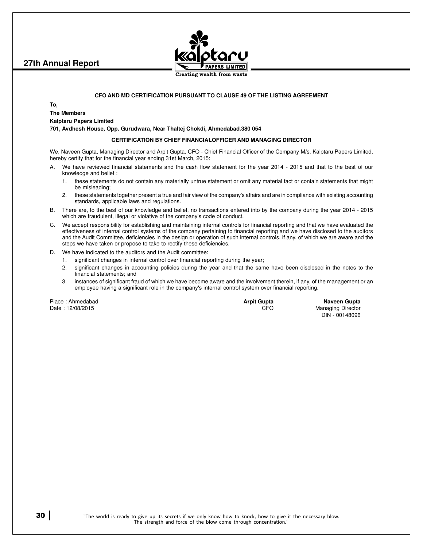

## **CFO AND MD CERTIFICATION PURSUANT TO CLAUSE 49 OF THE LISTING AGREEMENT**

**To,**

**The Members**

**Kalptaru Papers Limited**

**701, Avdhesh House, Opp. Gurudwara, Near Thaltej Chokdi, Ahmedabad.380 054**

## **CERTIFICATION BY CHIEF FINANCIALOFFICER AND MANAGING DIRECTOR**

We, Naveen Gupta, Managing Director and Arpit Gupta, CFO - Chief Financial Officer of the Company M/s. Kalptaru Papers Limited, hereby certify that for the financial year ending 31st March, 2015:

- We have reviewed financial statements and the cash flow statement for the year 2014 2015 and that to the best of our knowledge and belief :
	- 1. these statements do not contain any materially untrue statement or omit any material fact or contain statements that might be misleading;
	- 2. these statements together present a true and fair view of the company's affairs and are in compliance with existing accounting standards, applicable laws and regulations.
- B. There are, to the best of our knowledge and belief, no transactions entered into by the company during the year 2014 2015 which are fraudulent, illegal or violative of the company's code of conduct.
- C. We accept responsibility for establishing and maintaining internal controls for financial reporting and that we have evaluated the effectiveness of internal control systems of the company pertaining to financial reporting and we have disclosed to the auditors and the Audit Committee, deficiencies in the design or operation of such internal controls, if any, of which we are aware and the steps we have taken or propose to take to rectify these deficiencies.
- D. We have indicated to the auditors and the Audit committee:
	- 1. significant changes in internal control over financial reporting during the year;
	- 2. significant changes in accounting policies during the year and that the same have been disclosed in the notes to the financial statements; and
	- 3. instances of significant fraud of which we have become aware and the involvement therein, if any, of the management or an employee having a significant role in the company's internal control system over financial reporting.

Place : Ahmedabad **Arpit Gupta Arpit Gupta Naveen Gupta Naveen Gupta Date** : 12/08/2015

CFO Managing Director DIN - 00148096

30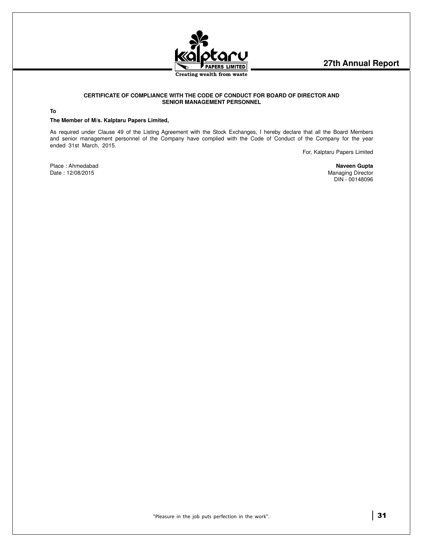

## Creating wealth from waste

## **CERTIFICATE OF COMPLIANCE WITH THE CODE OF CONDUCT FOR BOARD OF DIRECTOR AND SENIOR MANAGEMENT PERSONNEL**

**To**

## **The Member of M/s. Kalptaru Papers Limited,**

As required under Clause 49 of the Listing Agreement with the Stock Exchanges, I hereby declare that all the Board Members and senior management personnel of the Company have complied with the Code of Conduct of the Company for the year ended 31st March, 2015.

For, Kalptaru Papers Limited

Place : Ahmedabad **Naveen Gupta**<br>
Date : 12/08/2015 **Naveen Gupta** 

Managing Director DIN - 00148096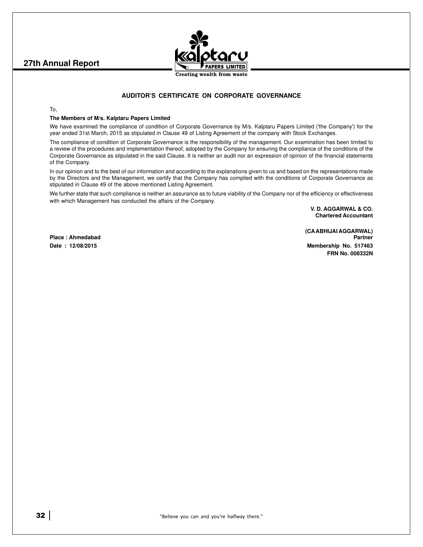

## **AUDITOR'S CERTIFICATE ON CORPORATE GOVERNANCE**

To,

### **The Members of M/s. Kalptaru Papers Limited**

We have examined the compliance of condition of Corporate Governance by M/s. Kalptaru Papers Limited ('the Company') for the year ended 31st March, 2015 as stipulated in Clause 49 of Listing Agreement of the company with Stock Exchanges.

The compliance of condition of Corporate Governance is the responsibility of the management. Our examination has been limited to a review of the procedures and implementation thereof, adopted by the Company for ensuring the compliance of the conditions of the Corporate Governance as stipulated in the said Clause. It is neither an audit nor an expression of opinion of the financial statements of the Company.

In our opinion and to the best of our information and according to the explanations given to us and based on the representations made by the Directors and the Management, we certify that the Company has complied with the conditions of Corporate Governance as stipulated in Clause 49 of the above mentioned Listing Agreement.

We further state that such compliance is neither an assurance as to future viability of the Company nor of the efficiency or effectiveness with which Management has conducted the affairs of the Company.

> **V. D. AGGARWAL & CO. Chartered Accountant**

**Place : Ahmedabad** 

**(CAABHIJAI AGGARWAL) Date : 12/08/2015 Membership No. 517463 FRN No. 008332N**

"Believe you can and you're halfway there."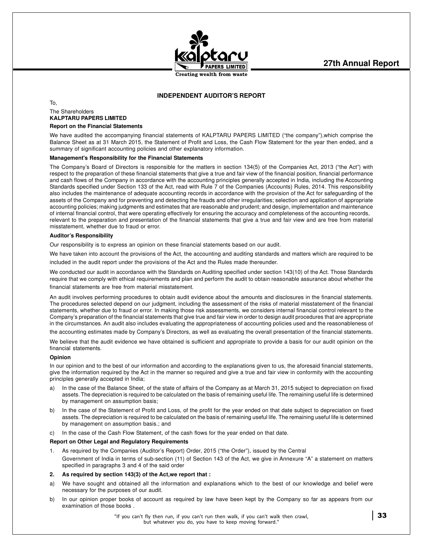

Creating wealth from waste

## **INDEPENDENT AUDITOR'S REPORT**

To,

#### The Shareholders **KALPTARU PAPERS LIMITED**

## **Report on the Financial Statements**

We have audited the accompanying financial statements of KALPTARU PAPERS LIMITED ("the company"),which comprise the Balance Sheet as at 31 March 2015, the Statement of Profit and Loss, the Cash Flow Statement for the year then ended, and a summary of significant accounting policies and other explanatory information.

## **Management's Responsibility for the Financial Statements**

The Company's Board of Directors is responsible for the matters in section 134(5) of the Companies Act, 2013 ("the Act") with respect to the preparation of these financial statements that give a true and fair view of the financial position, financial performance and cash flows of the Company in accordance with the accounting principles generally accepted in India, including the Accounting Standards specified under Section 133 of the Act, read with Rule 7 of the Companies (Accounts) Rules, 2014. This responsibility also includes the maintenance of adequate accounting records in accordance with the provision of the Act for safeguarding of the assets of the Company and for preventing and detecting the frauds and other irregularities; selection and application of appropriate accounting policies; making judgments and estimates that are reasonable and prudent; and design, implementation and maintenance of internal financial control, that were operating effectively for ensuring the accuracy and completeness of the accounting records, relevant to the preparation and presentation of the financial statements that give a true and fair view and are free from material misstatement, whether due to fraud or error.

#### **Auditor's Responsibility**

Our responsibility is to express an opinion on these financial statements based on our audit.

We have taken into account the provisions of the Act, the accounting and auditing standards and matters which are required to be included in the audit report under the provisions of the Act and the Rules made thereunder.

We conducted our audit in accordance with the Standards on Auditing specified under section 143(10) of the Act. Those Standards require that we comply with ethical requirements and plan and perform the audit to obtain reasonable assurance about whether the financial statements are free from material misstatement.

An audit involves performing procedures to obtain audit evidence about the amounts and disclosures in the financial statements. The procedures selected depend on our judgment, including the assessment of the risks of material misstatement of the financial statements, whether due to fraud or error. In making those risk assessments, we considers internal financial control relevant to the Company's preparation of the financial statements that give true and fair view in order to design audit procedures that are appropriate in the circumstances. An audit also includes evaluating the appropriateness of accounting policies used and the reasonableness of the accounting estimates made by Company's Directors, as well as evaluating the overall presentation of the financial statements.

We believe that the audit evidence we have obtained is sufficient and appropriate to provide a basis for our audit opinion on the financial statements.

## **Opinion**

In our opinion and to the best of our information and according to the explanations given to us, the aforesaid financial statements, give the information required by the Act in the manner so required and give a true and fair view in conformity with the accounting principles generally accepted in India;

- a) In the case of the Balance Sheet, of the state of affairs of the Company as at March 31, 2015 subject to depreciation on fixed assets. The depreciation is required to be calculated on the basis of remaining useful life. The remaining useful life is determined by management on assumption basis;
- b) In the case of the Statement of Profit and Loss, of the profit for the year ended on that date subject to depreciation on fixed assets. The depreciation is required to be calculated on the basis of remaining useful life. The remaining useful life is determined by management on assumption basis.; and
- c) In the case of the Cash Flow Statement, of the cash flows for the year ended on that date.

#### **Report on Other Legal and Regulatory Requirements**

1. As required by the Companies (Auditor's Report) Order, 2015 ("the Order"), issued by the Central Government of India in terms of sub-section (11) of Section 143 of the Act, we give in Annexure "A" a statement on matters specified in paragraphs 3 and 4 of the said order

## **2. As required by section 143(3) of the Act,we report that :**

- a) We have sought and obtained all the information and explanations which to the best of our knowledge and belief were necessary for the purposes of our audit.
- b) In our opinion proper books of account as required by law have been kept by the Company so far as appears from our examination of those books .

"If you can't fly then run, if you can't run then walk, if you can't walk then crawl, but whatever you do, you have to keep moving forward."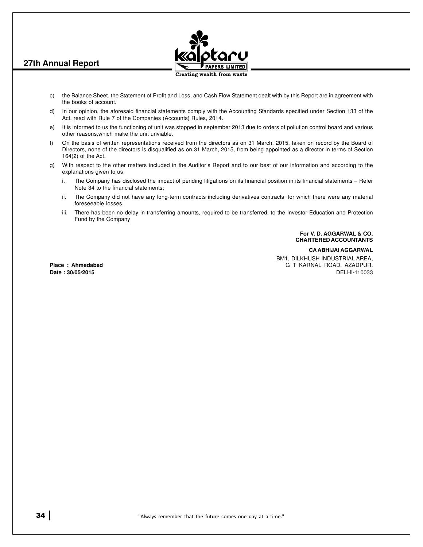

- c) the Balance Sheet, the Statement of Profit and Loss, and Cash Flow Statement dealt with by this Report are in agreement with the books of account.
- d) In our opinion, the aforesaid financial statements comply with the Accounting Standards specified under Section 133 of the Act, read with Rule 7 of the Companies (Accounts) Rules, 2014.
- e) It is informed to us the functioning of unit was stopped in september 2013 due to orders of pollution control board and various other reasons,which make the unit unviable.
- f) On the basis of written representations received from the directors as on 31 March, 2015, taken on record by the Board of Directors, none of the directors is disqualified as on 31 March, 2015, from being appointed as a director in terms of Section 164(2) of the Act.
- g) With respect to the other matters included in the Auditor's Report and to our best of our information and according to the explanations given to us:
	- i. The Company has disclosed the impact of pending litigations on its financial position in its financial statements Refer Note 34 to the financial statements;
	- ii. The Company did not have any long-term contracts including derivatives contracts for which there were any material foreseeable losses.
	- iii. There has been no delay in transferring amounts, required to be transferred, to the Investor Education and Protection Fund by the Company

## **For V. D. AGGARWAL & CO. CHARTERED ACCOUNTANTS**

## **CAABHIJAI AGGARWAL**

BM1, DILKHUSH INDUSTRIAL AREA, **Place : Ahmedabad** G T KARNAL ROAD, AZADPUR, **Date : 30/05/2015** DELHI-110033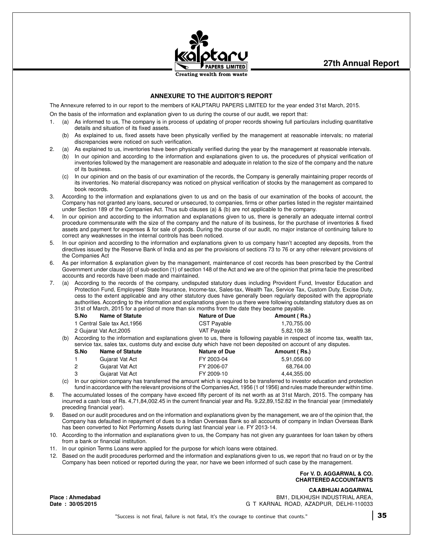

Creating wealth from waste

## **ANNEXURE TO THE AUDITOR'S REPORT**

The Annexure referred to in our report to the members of KALPTARU PAPERS LIMITED for the year ended 31st March, 2015.

On the basis of the information and explanation given to us during the course of our audit, we report that:

- 1. (a) As informed to us, The company is in process of updating of proper records showing full particulars including quantitative details and situation of its fixed assets.
	- (b) As explained to us, fixed assets have been physically verified by the management at reasonable intervals; no material discrepancies were noticed on such verification.
- 2. (a) As explained to us, inventories have been physically verified during the year by the management at reasonable intervals.
	- (b) In our opinion and according to the information and explanations given to us, the procedures of physical verification of inventories followed by the management are reasonable and adequate in relation to the size of the company and the nature of its business.
	- (c) In our opinion and on the basis of our examination of the records, the Company is generally maintaining proper records of its inventories. No material discrepancy was noticed on physical verification of stocks by the management as compared to book records.
- 3. According to the information and explanations given to us and on the basis of our examination of the books of account, the Company has not granted any loans, secured or unsecured, to companies, firms or other parties listed in the register maintained under Section 189 of the Companies Act. Thus sub clauses (a) & (b) are not applicable to the company.
- 4. In our opinion and according to the information and explanations given to us, there is generally an adequate internal control procedure commensurate with the size of the company and the nature of its business, for the purchase of inventories & fixed assets and payment for expenses & for sale of goods. During the course of our audit, no major instance of continuing failure to correct any weaknesses in the internal controls has been noticed.
- 5. In our opinion and according to the information and explanations given to us company hasn't accepted any deposits, from the directives issued by the Reserve Bank of India and as per the provisions of sections 73 to 76 or any other relevant provisions of the Companies Act
- 6. As per information & explanation given by the management, maintenance of cost records has been prescribed by the Central Government under clause (d) of sub-section (1) of section 148 of the Act and we are of the opinion that prima facie the prescribed accounts and records have been made and maintained.
- 7. (a) According to the records of the company, undisputed statutory dues including Provident Fund, Investor Education and Protection Fund, Employees' State Insurance, Income-tax, Sales-tax, Wealth Tax, Service Tax, Custom Duty, Excise Duty, cess to the extent applicable and any other statutory dues have generally been regularly deposited with the appropriate authorities. According to the information and explanations given to us there were following outstanding statutory dues as on 31st of March, 2015 for a period of more than six months from the date they became payable.

| S.No                   | <b>Name of Statute</b>      | <b>Nature of Due</b> | Amount (Rs.) |
|------------------------|-----------------------------|----------------------|--------------|
|                        | 1 Central Sale tax Act.1956 | <b>CST Payable</b>   | 1.70.755.00  |
| 2 Gujarat Vat Act,2005 |                             | VAT Payable          | 5.82.109.38  |

(b) According to the information and explanations given to us, there is following payable in respect of income tax, wealth tax, service tax, sales tax, customs duty and excise duty which have not been deposited on account of any disputes.

| S.No | <b>Name of Statute</b> | <b>Nature of Due</b> | Amount (Rs.) |
|------|------------------------|----------------------|--------------|
|      | Gujarat Vat Act        | FY 2003-04           | 5.91.056.00  |
|      | Gujarat Vat Act        | FY 2006-07           | 68.764.00    |
|      | Gujarat Vat Act        | FY 2009-10           | 4.44.355.00  |

- (c) In our opinion company has transferred the amount which is required to be transferred to investor education and protection fund in accordance with the relevant provisions of the Companies Act, 1956 (1 of 1956) and rules made thereunder within time.
- 8. The accumulated losses of the company have exceed fifty percent of its net worth as at 31st March, 2015. The company has incurred a cash loss of Rs. 4,71,84,002.45 in the current financial year and Rs. 9,22,89,152.82 in the financial year (immediately preceding financial year).
- 9. Based on our audit procedures and on the information and explanations given by the management, we are of the opinion that, the Company has defaulted in repayment of dues to a Indian Overseas Bank so all accounts of company in Indian Overseas Bank has been converted to Not Performing Assets during last financial year i.e. FY 2013-14.
- 10. According to the information and explanations given to us, the Company has not given any guarantees for loan taken by others from a bank or financial institution.
- 11. In our opinion Terms Loans were applied for the purpose for which loans were obtained.
- 12. Based on the audit procedures performed and the information and explanations given to us, we report that no fraud on or by the Company has been noticed or reported during the year, nor have we been informed of such case by the management.

## **For V. D. AGGARWAL & CO. CHARTERED ACCOUNTANTS**

**CAABHIJAI AGGARWAL**

**Place : Ahmedabad** BM1, DILKHUSH INDUSTRIAL AREA, **Date : 30/05/2015** G T KARNAL ROAD, AZADPUR, DELHI-110033

"Success is not final, failure is not fatal, It's the courage to continue that counts."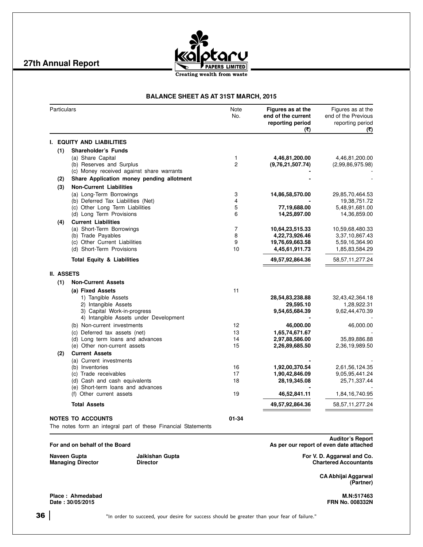

## **BALANCE SHEET AS AT 31ST MARCH, 2015**

| Particulars       |                                                               | Note<br>No.    | Figures as at the<br>end of the current<br>reporting period<br>(7) | Figures as at the<br>end of the Previous<br>reporting period<br>(3) |
|-------------------|---------------------------------------------------------------|----------------|--------------------------------------------------------------------|---------------------------------------------------------------------|
|                   | <b>I. EQUITY AND LIABILITIES</b>                              |                |                                                                    |                                                                     |
| (1)               | <b>Shareholder's Funds</b>                                    |                |                                                                    |                                                                     |
|                   | (a) Share Capital                                             | 1              | 4,46,81,200.00                                                     | 4,46,81,200.00                                                      |
|                   | (b) Reserves and Surplus                                      | $\overline{c}$ | (9,76,21,507.74)                                                   | (2,99,86,975.98)                                                    |
|                   | (c) Money received against share warrants                     |                |                                                                    |                                                                     |
| (2)               | Share Application money pending allotment                     |                |                                                                    |                                                                     |
| (3)               | <b>Non-Current Liabilities</b>                                |                |                                                                    |                                                                     |
|                   | (a) Long-Term Borrowings                                      | 3              | 14,86,58,570.00                                                    | 29,85,70,464.53                                                     |
|                   | (b) Deferred Tax Liabilities (Net)                            | 4              |                                                                    | 19,38,751.72                                                        |
|                   | (c) Other Long Term Liabilities                               | 5              | 77,19,688.00                                                       | 5,48,91,681.00                                                      |
|                   | (d) Long Term Provisions                                      | 6              | 14,25,897.00                                                       | 14,36,859.00                                                        |
| (4)               | <b>Current Liabilities</b>                                    |                |                                                                    |                                                                     |
|                   | (a) Short-Term Borrowings                                     | 7              | 10,64,23,515.33                                                    | 10,59,68,480.33                                                     |
|                   | (b) Trade Payables                                            | 8              | 4,22,73,926.46                                                     | 3,37,10,867.43                                                      |
|                   | (c) Other Current Liabilities                                 | 9              | 19,76,69,663.58                                                    | 5,59,16,364.90                                                      |
|                   | (d) Short-Term Provisions                                     | 10             | 4,45,61,911.73                                                     | 1,85,83,584.29                                                      |
|                   | <b>Total Equity &amp; Liabilities</b>                         |                | 49,57,92,864.36                                                    | 58, 57, 11, 277. 24                                                 |
| <b>II. ASSETS</b> |                                                               |                |                                                                    |                                                                     |
| (1)               | <b>Non-Current Assets</b>                                     |                |                                                                    |                                                                     |
|                   | (a) Fixed Assets                                              | 11             |                                                                    |                                                                     |
|                   | 1) Tangible Assets                                            |                | 28,54,83,238.88                                                    | 32,43,42,364.18                                                     |
|                   | 2) Intangible Assets                                          |                | 29,595.10                                                          | 1,28,922.31                                                         |
|                   | 3) Capital Work-in-progress                                   |                | 9,54,65,684.39                                                     | 9,62,44,470.39                                                      |
|                   | 4) Intangible Assets under Development                        |                |                                                                    |                                                                     |
|                   | (b) Non-current investments                                   | 12             | 46,000.00                                                          | 46,000.00                                                           |
|                   | (c) Deferred tax assets (net)                                 | 13             | 1,65,74,671.67                                                     |                                                                     |
|                   | (d) Long term loans and advances                              | 14             | 2,97,88,586.00                                                     | 35,89,886.88                                                        |
|                   | (e) Other non-current assets                                  | 15             | 2,26,89,685.50                                                     | 2,36,19,989.50                                                      |
| (2)               | <b>Current Assets</b>                                         |                |                                                                    |                                                                     |
|                   | (a) Current investments                                       |                |                                                                    |                                                                     |
|                   | (b) Inventories                                               | 16             | 1,92,00,370.54                                                     | 2,61,56,124.35                                                      |
|                   | (c) Trade receivables                                         | 17             | 1,90,42,846.09                                                     | 9,05,95,441.24                                                      |
|                   | (d) Cash and cash equivalents                                 | 18             | 28, 19, 345.08                                                     | 25,71,337.44                                                        |
|                   | (e) Short-term loans and advances                             |                |                                                                    |                                                                     |
|                   | (f) Other current assets                                      | 19             | 46,52,841.11                                                       | 1,84,16,740.95                                                      |
|                   | <b>Total Assets</b>                                           |                | 49,57,92,864.36                                                    | 58, 57, 11, 277. 24                                                 |
|                   | <b>NOTES TO ACCOUNTS</b>                                      | $01 - 34$      |                                                                    |                                                                     |
|                   | The notes form an integral part of these Financial Statements |                |                                                                    |                                                                     |

**Auditor's Report** For and on behalf of the Board<br> **As per our report of even date attached** 

**Naveen Gupta Jaikishan Gupta For V. D. Aggarwal and Co. Managing Director Director Chartered Accountants**

**Shrima Dave CA Abhijai Aggarwal Company Secretary (Partner)**

**Date : 30/05/2015 FRN No. 008332N**

**Place : Ahmedabad M.N:517463**

"In order to succeed, your desire for success should be greater than your fear of failure."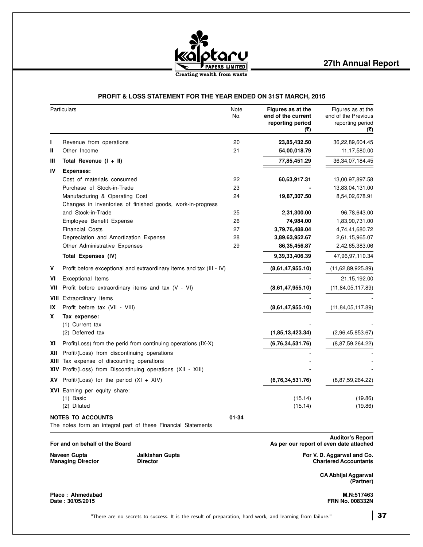

Creating wealth from waste

## **PROFIT & LOSS STATEMENT FOR THE YEAR ENDED ON 31ST MARCH, 2015**

|     | Particulars                                                          | Note<br>No. | Figures as at the<br>end of the current<br>reporting period<br>(3) | Figures as at the<br>end of the Previous<br>reporting period<br>(3) |
|-----|----------------------------------------------------------------------|-------------|--------------------------------------------------------------------|---------------------------------------------------------------------|
| L   | Revenue from operations                                              | 20          | 23,85,432.50                                                       | 36,22,89,604.45                                                     |
| Ш   | Other Income                                                         | 21          | 54,00,018.79                                                       | 11,17,580.00                                                        |
| Ш   | Total Revenue $(I + II)$                                             |             | 77,85,451.29                                                       | 36, 34, 07, 184. 45                                                 |
| IV  | <b>Expenses:</b>                                                     |             |                                                                    |                                                                     |
|     | Cost of materials consumed                                           | 22          | 60,63,917.31                                                       | 13,00,97,897.58                                                     |
|     | Purchase of Stock-in-Trade                                           | 23          |                                                                    | 13,83,04,131.00                                                     |
|     | Manufacturing & Operating Cost                                       | 24          | 19,87,307.50                                                       | 8,54,02,678.91                                                      |
|     | Changes in inventories of finished goods, work-in-progress           |             |                                                                    |                                                                     |
|     | and Stock-in-Trade                                                   | 25          | 2,31,300.00                                                        | 96,78,643.00                                                        |
|     | Employee Benefit Expense                                             | 26          | 74,984.00                                                          | 1,83,90,731.00                                                      |
|     | <b>Financial Costs</b>                                               | 27          | 3,79,76,488.04                                                     | 4,74,41,680.72                                                      |
|     | Depreciation and Amortization Expense                                | 28          | 3,89,63,952.67                                                     | 2,61,15,965.07                                                      |
|     | Other Administrative Expenses                                        | 29          | 86, 35, 456.87                                                     | 2,42,65,383.06                                                      |
|     | <b>Total Expenses (IV)</b>                                           |             | 9,39,33,406.39                                                     | 47,96,97,110.34                                                     |
| ۷   | Profit before exceptional and extraordinary items and tax (III - IV) |             | (8,61,47,955.10)                                                   | (11,62,89,925.89)                                                   |
| ٧I  | Exceptional Items                                                    |             |                                                                    | 21,15,192.00                                                        |
| VII | Profit before extraordinary items and tax (V - VI)                   |             | (8,61,47,955.10)                                                   | (11, 84, 05, 117.89)                                                |
|     | <b>VIII</b> Extraordinary Items                                      |             |                                                                    |                                                                     |
| IX  | Profit before tax (VII - VIII)                                       |             | (8,61,47,955.10)                                                   | (11, 84, 05, 117.89)                                                |
| x   | Tax expense:                                                         |             |                                                                    |                                                                     |
|     | (1) Current tax                                                      |             |                                                                    |                                                                     |
|     | (2) Deferred tax                                                     |             | (1,85,13,423.34)                                                   | (2,96,45,853.67)                                                    |
| ΧI  | Profit(Loss) from the perid from continuing operations (IX-X)        |             | (6,76,34,531.76)                                                   | (8,87,59,264.22)                                                    |
| XII | Profit/(Loss) from discontinuing operations                          |             |                                                                    |                                                                     |
|     | XIII Tax expense of discounting operations                           |             |                                                                    |                                                                     |
|     | XIV Profit/(Loss) from Discontinuing operations (XII - XIII)         |             |                                                                    |                                                                     |
| XV  | Profit/(Loss) for the period $(XI + XIV)$                            |             | (6,76,34,531.76)                                                   | (8,87,59,264.22)                                                    |
|     | XVI Earning per equity share:                                        |             |                                                                    |                                                                     |
|     | $(1)$ Basic                                                          |             | (15.14)                                                            | (19.86)                                                             |
|     | (2) Diluted                                                          |             | (15.14)                                                            | (19.86)                                                             |
|     | <b>NOTES TO ACCOUNTS</b>                                             | $01 - 34$   |                                                                    |                                                                     |

The notes form an integral part of these Financial Statements

**Auditor's Report** For and on behalf of the Board<br> **As per our report of even date attached** 

**Naveen Gupta Jaikishan Gupta For V. D. Aggarwal and Co. Chartered Accountants** 

**Shrima Dave CA Abhijai Aggarwal Company Secretary (Partner)**

**Place : Ahmedabad M.N:517463** Date: 30/05/2015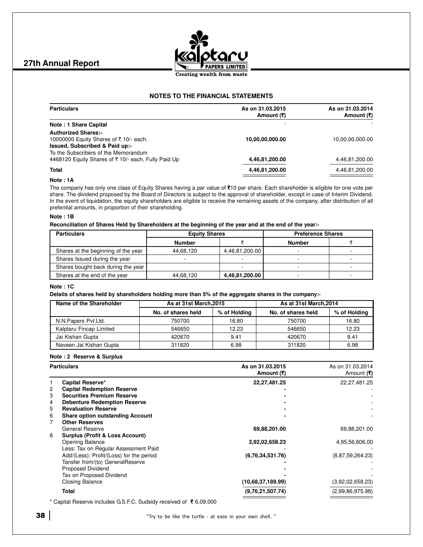

## **NOTES TO THE FINANCIAL STATEMENTS**

| <b>Particulars</b>                                                                                                                            | As on 31.03.2015<br>Amount (₹) | As on 31.03.2014<br>Amount (₹) |
|-----------------------------------------------------------------------------------------------------------------------------------------------|--------------------------------|--------------------------------|
| Note: 1 Share Capital                                                                                                                         |                                |                                |
| <b>Authorized Shares:-</b><br>10000000 Equity Shares of ₹10/- each.<br>Issued, Subscribed & Paid up:-<br>To the Subscribers of the Memorandum | 10,00,00,000.00                | 10,00,00,000.00                |
| 4468120 Equity Shares of ₹10/- each, Fully Paid Up                                                                                            | 4,46,81,200.00                 | 4,46,81,200.00                 |
| <b>Total</b>                                                                                                                                  | 4,46,81,200.00                 | 4,46,81,200.00                 |

#### **Note : 1A**

The company has only one class of Equity Shares having a par value of  $\overline{\tau}$ 10 per share. Each shareholder is eligible for one vote per share. The dividend proposed by the Board of Directors is subject to the approval of shareholder, except in case of Interim Dividend. In the event of liquidation, the equity shareholders are eligible to receive the remaining assets of the company, after distribution of all prefential amounts, in proportion of their shareholding.

#### **Note : 1B**

## **Reconciliation of Shares Held by Shareholders at the beginning of the year and at the end of the year:-**

| <b>Particulars</b>                  | <b>Equity Shares</b> |                | <b>Preference Shares</b> |  |
|-------------------------------------|----------------------|----------------|--------------------------|--|
|                                     | <b>Number</b>        |                | <b>Number</b>            |  |
| Shares at the beginning of the year | 44.68.120            | 4,46,81,200.00 | -                        |  |
| Shares Issued during the year       | -                    |                | -                        |  |
| Shares bought back during the year  |                      | -              |                          |  |
| Shares at the end of the year       | 44,68,120            | 4,46,81,200.00 | $\overline{\phantom{a}}$ |  |

**Note : 1C**

**Details of shares held by shareholders holding more than 5% of the aggregate shares in the company:-**

| Name of the Shareholder | As at 31st March, 2015 |              | As at 31st March, 2014 |              |
|-------------------------|------------------------|--------------|------------------------|--------------|
|                         | No. of shares held     | % of Holding | No. of shares held     | % of Holding |
| N.N. Papers Pvt. Ltd.   | 750700                 | 16.80        | 750700                 | 16.80        |
| Kalptaru Fincap Limited | 546650                 | 12.23        | 546650                 | 12.23        |
| Jai Kishan Gupta        | 420670                 | 9.41         | 420670                 | 9.41         |
| Naveen Jai Kishan Gupta | 311820                 | 6.98         | 311820                 | 6.98         |

## **Note : 2 Reserve & Surplus**

|   | <b>Particulars</b>                         | As on 31.03.2015<br>Amount (₹) | As on 31,03,2014<br>Amount (₹) |
|---|--------------------------------------------|--------------------------------|--------------------------------|
|   | Capital Reserve*                           | 22,27,481.25                   | 22, 27, 481. 25                |
| 2 | <b>Capital Redemption Reserve</b>          |                                |                                |
| 3 | <b>Securities Premium Reserve</b>          |                                |                                |
| 4 | <b>Debenture Redemption Reserve</b>        |                                |                                |
| 5 | <b>Revaluation Reserve</b>                 |                                |                                |
| 6 | <b>Share option outstanding Account</b>    |                                |                                |
| 7 | <b>Other Reserves</b>                      |                                |                                |
|   | <b>General Reserve</b>                     | 69,88,201.00                   | 69,88,201.00                   |
| 8 | <b>Surplus (Profit &amp; Loss Account)</b> |                                |                                |
|   | Opening Balance                            | 3,92,02,658.23                 | 4,95,56,606.00                 |
|   | Less: Tax on Regular Assessment Paid       |                                |                                |
|   | Add/(Less): Profit/(Loss) for the period   | (6,76,34,531.76)               | (8,87,59,264.23)               |
|   | Tansfer from/(to) GeneralReserve           |                                |                                |
|   | Proposed Dividend                          |                                |                                |
|   | Tax on Proposed Dividend                   |                                |                                |
|   | <b>Closing Balance</b>                     | (10,68,37,189.99)              | (3,92,02,658.23)               |
|   | Total                                      | (9,76,21,507.74)               | (2,99,86,975.98)               |
|   |                                            |                                |                                |

\* Capital Reserve includes G.S.F.C. Sudsidy received of ` 6,09,000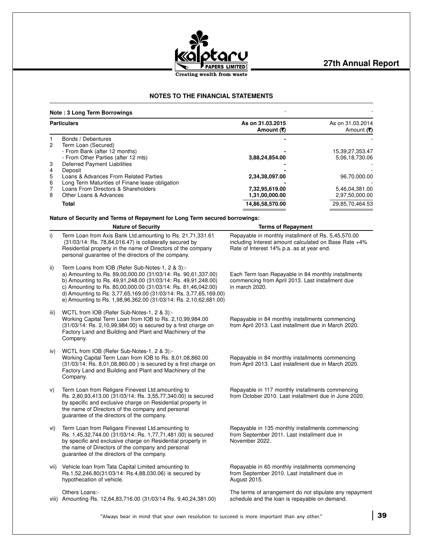

## **NOTES TO THE FINANCIAL STATEMENTS**

## **Note : 3 Long Term Borrowings** ' '

|        | <b>Particulars</b>                              | As on 31.03.2015<br>Amount (₹) | As on 31.03.2014<br>Amount (₹) |
|--------|-------------------------------------------------|--------------------------------|--------------------------------|
|        | Bonds / Debentures                              |                                |                                |
| $^{2}$ | Term Loan (Secured)                             |                                |                                |
|        | - From Bank (after 12 months)                   |                                | 15,39,27,353.47                |
|        | - From Other Parties (after 12 mts)             | 3,88,24,854.00                 | 5,06,18,730.06                 |
| 3      | Deferred Payment Liabilities                    |                                |                                |
| 4      | Deposit                                         |                                |                                |
| 5      | Loans & Advances From Related Parties           | 2,34,38,097.00                 | 96,70,000.00                   |
| 6      | Long Term Maturities of Finane lease obligation |                                |                                |
| 7      | Loans From Directors & Shareholders             | 7,32,95,619.00                 | 5,46,04,381.00                 |
| 8      | Other Loans & Advances                          | 1,31,00,000.00                 | 2,97,50,000.00                 |
|        | <b>Total</b>                                    | 14,86,58,570.00                | 29,85,70,464.53                |
|        |                                                 |                                |                                |

## **Nature of Security and Terms of Repayment for Long Term secured borrowings:**

|      | <b>Nature of Security</b>                                                                                                                                                                                                                                                                                                                                                                     | <b>Terms of Repayment</b>                                                                                                                                 |
|------|-----------------------------------------------------------------------------------------------------------------------------------------------------------------------------------------------------------------------------------------------------------------------------------------------------------------------------------------------------------------------------------------------|-----------------------------------------------------------------------------------------------------------------------------------------------------------|
| i)   | Term Loan from Axis Bank Ltd. amounting to Rs. 21, 71, 331.61<br>(31/03/14: Rs. 78,84,016.47) is collaterally secured by<br>Residential property in the name of Directors of the company<br>personal guarantee of the directors of the company.                                                                                                                                               | Repayable in monthly installment of Rs. 5,45,570.00<br>including Interest amount calculated on Base Rate +4%<br>Rate of Interest 14% p.a. as at year end. |
| ii)  | Term Loans from IOB (Refer Sub-Notes-1, 2 & 3):-<br>a) Amounting to Rs. 89,00,000.00 (31/03/14: Rs. 90,61,337.00)<br>b) Amounting to Rs. 49,91,248.00 (31/03/14: Rs. 49,91,248.00)<br>c) Amounting to Rs. 80,00,000.00 (31/03/14: Rs. 81,46,042.00)<br>d) Amounting to Rs. 3,77,65,169.00 (31/03/14: Rs. 3,77,65,169.00)<br>e) Amounting to Rs. 1,98,96,362.00 (31/03/14: Rs. 2,10,62,681.00) | Each Term loan Repayable in 84 monthly installments<br>commencing from April 2013. Last installment due<br>in march 2020.                                 |
| iii) | WCTL from IOB (Refer Sub-Notes-1, 2 & 3):-<br>Working Capital Term Loan from IOB to Rs. 2,10,99,984.00<br>(31/03/14: Rs. 2,10,99,984.00) is secured by a first charge on<br>Factory Land and Building and Plant and Machinery of the<br>Company.                                                                                                                                              | Repayable in 84 monthly installments commencing<br>from April 2013. Last installment due in March 2020.                                                   |
| iv)  | WCTL from IOB (Refer Sub-Notes-1, 2 & 3):-<br>Working Capital Term Loan from IOB to Rs. 8,01,08,860.00<br>(31/03/14: Rs. 8,01,08,860.00) is secured by a first charge on<br>Factory Land and Building and Plant and Machinery of the<br>Company.                                                                                                                                              | Repayable in 84 monthly installments commencing<br>from April 2013. Last installment due in March 2020.                                                   |
| V)   | Term Loan from Religare Finevest Ltd. amounting to<br>Rs. 2,80,93,413.00 (31/03/14: Rs. 3,55,77,340.00) is secured<br>by specific and exclusive charge on Residential property in<br>the name of Directors of the company and personal<br>guarantee of the directors of the company.                                                                                                          | Repayable in 117 monthly installments commencing<br>from October 2010. Last installment due in June 2020.                                                 |
| vi)  | Term Loan from Religare Finevest Ltd.amounting to<br>Rs. 1,45,32,744.00 (31/03/14: Rs. 1,77,71,481.00) is secured<br>by specific and exclusive charge on Residential property in<br>the name of Directors of the company and personal<br>guarantee of the directors of the company.                                                                                                           | Repayable in 135 monthly installments commencing<br>from September 2011. Last installment due in<br>November 2022.                                        |
| vii) | Vehicle Ioan from Tata Capital Limited amounting to<br>Rs.1,52,246.80(31/03/14: Rs.4,88,030.06) is secured by<br>hypothecation of vehicle.                                                                                                                                                                                                                                                    | Repayable in 60 monthly installments commencing<br>from September 2010. Last installment due in<br>August 2015.                                           |
|      | Others Loans:-<br>viii) Amounting Rs. 12,64,83,716.00 (31/03/14 Rs. 9,40,24,381.00)                                                                                                                                                                                                                                                                                                           | The terms of arrangement do not stipulate any repayment<br>schedule and the loan is repayable on demand.                                                  |

"Always bear in mind that your own resolution to succeed is more important than any other."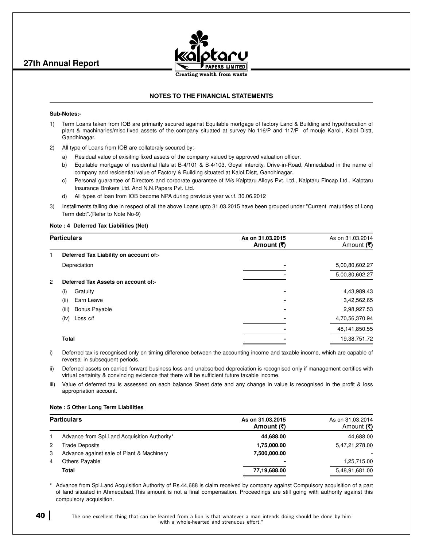

## **NOTES TO THE FINANCIAL STATEMENTS**

#### **Sub-Notes:-**

- 1) Term Loans taken from IOB are primarily secured against Equitable mortgage of factory Land & Building and hypothecation of plant & machinaries/misc.fixed assets of the company situated at survey No.116/P and 117/P of mouje Karoli, Kalol Distt, Gandhinagar.
- 2) All type of Loans from IOB are collateraly secured by:
	- a) Residual value of exisiting fixed assets of the company valued by approved valuation officer.
	- b) Equitable mortgage of residential flats at B-4/101 & B-4/103, Goyal intercity, Drive-in-Road, Ahmedabad in the name of company and residential value of Factory & Building situated at Kalol Distt, Gandhinagar.
	- c) Personal guarantee of Directors and corporate guarantee of M/s Kalptaru Alloys Pvt. Ltd., Kalptaru Fincap Ltd., Kalptaru Insurance Brokers Ltd. And N.N.Papers Pvt. Ltd.
	- d) All types of loan from IOB become NPA during previous year w.r.f. 30.06.2012
- 3) Installments falling due in respect of all the above Loans upto 31.03.2015 have been grouped under "Current maturities of Long Term debt".(Refer to Note No-9)

#### **Note : 4 Deferred Tax Liabilities (Net)**

|                | <b>Particulars</b>                     | As on 31.03.2015<br>Amount (₹) | As on 31.03.2014<br>Amount (₹) |
|----------------|----------------------------------------|--------------------------------|--------------------------------|
|                | Deferred Tax Liability on account of:- |                                |                                |
|                | Depreciation                           | $\blacksquare$                 | 5,00,80,602.27                 |
| $\overline{2}$ | Deferred Tax Assets on account of:-    |                                | 5,00,80,602.27                 |
|                | (i)<br>Gratuity                        |                                | 4,43,989.43                    |
|                | (ii)<br>Earn Leave                     |                                | 3,42,562.65                    |
|                | (iii)<br>Bonus Payable                 |                                | 2,98,927.53                    |
|                | Loss c/f<br>(iv)                       |                                | 4,70,56,370.94                 |
|                |                                        |                                | 48,141,850.55                  |
|                | <b>Total</b>                           |                                | 19,38,751.72                   |
|                |                                        |                                |                                |

i) Deferred tax is recognised only on timing difference between the accounting income and taxable income, which are capable of reversal in subsequent periods.

ii) Deferred assets on carried forward business loss and unabsorbed depreciation is recognised only if management certifies with virtual certainity & convincing evidence that there will be sufficient future taxable income.

iii) Value of deferred tax is assessed on each balance Sheet date and any change in value is recognised in the profit & loss appropriation account.

#### **Note : 5 Other Long Term Liabilities**

|   | <b>Particulars</b>                           | As on 31.03.2015<br>Amount (₹) | As on 31.03.2014<br>Amount (₹) |
|---|----------------------------------------------|--------------------------------|--------------------------------|
|   | Advance from Spl.Land Acquisition Authority* | 44,688.00                      | 44,688.00                      |
| 2 | Trade Deposits                               | 1,75,000.00                    | 5,47,21,278.00                 |
| 3 | Advance against sale of Plant & Machinery    | 7,500,000.00                   |                                |
| 4 | Others Payable                               | $\blacksquare$                 | 1,25,715.00                    |
|   | <b>Total</b>                                 | 77,19,688.00                   | 5,48,91,681.00                 |

Advance from Spl.Land Acquisition Authority of Rs.44,688 is claim received by company against Compulsory acquisition of a part of land situated in Ahmedabad.This amount is not a final compensation. Proceedings are still going with authority against this compulsory acquisition.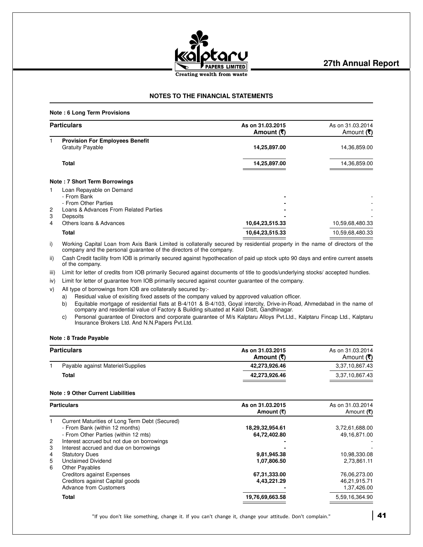

## **NOTES TO THE FINANCIAL STATEMENTS**

## **Note : 6 Long Term Provisions**

| <b>Particulars</b>                                      | As on 31,03,2015<br>Amount (₹) | As on 31.03.2014<br>Amount (₹) |
|---------------------------------------------------------|--------------------------------|--------------------------------|
| <b>Provision For Employees Benefit</b>                  |                                |                                |
| <b>Gratuity Payable</b>                                 | 14,25,897.00                   | 14,36,859.00                   |
| Total                                                   | 14,25,897.00                   | 14,36,859.00                   |
| <b>Note: 7 Short Term Borrowings</b>                    |                                |                                |
| Loan Repayable on Demand                                |                                |                                |
| - From Bank                                             |                                |                                |
| - From Other Parties                                    |                                |                                |
| $\overline{2}$<br>Loans & Advances From Related Parties |                                |                                |
| 3<br>Depsoits                                           |                                |                                |
| Others Ioans & Advances<br>4                            | 10,64,23,515.33                | 10,59,68,480.33                |
| <b>Total</b>                                            | 10,64,23,515.33                | 10,59,68,480.33                |

i) Working Capital Loan from Axis Bank Limited is collaterally secured by residential property in the name of directors of the company and the personal guarantee of the directors of the company.

ii) Cash Credit facility from IOB is primarily secured against hypothecation of paid up stock upto 90 days and entire current assets of the company.

iii) Limit for letter of credits from IOB primarily Secured against documents of title to goods/underlying stocks/ accepted hundies.

iv) Limit for letter of guarantee from IOB primarily secured against counter guarantee of the company.

v) All type of borrowings from IOB are collaterally secured by:-

a) Residual value of exisiting fixed assets of the company valued by approved valuation officer.

b) Equitable mortgage of residential flats at B-4/101 & B-4/103, Goyal intercity, Drive-in-Road, Ahmedabad in the name of company and residential value of Factory & Building situated at Kalol Distt, Gandhinagar.

c) Personal guarantee of Directors and corporate guarantee of M/s Kalptaru Alloys Pvt.Ltd., Kalptaru Fincap Ltd., Kalptaru Insurance Brokers Ltd. And N.N.Papers Pvt.Ltd.

## **Note : 8 Trade Payable**

| <b>Particulars</b>                | As on 31.03.2015<br>Amount (₹) | As on 31,03,2014<br>Amount (₹) |
|-----------------------------------|--------------------------------|--------------------------------|
| Payable against Materiel/Supplies | 42.273.926.46                  | 3,37,10,867.43                 |
| Total                             | 42.273.926.46                  | 3,37,10,867.43                 |
|                                   |                                |                                |

#### **Note : 9 Other Current Liabilities**

| <b>Particulars</b>                                                               | As on 31.03.2015<br>Amount (₹) | As on 31.03.2014<br>Amount (₹) |
|----------------------------------------------------------------------------------|--------------------------------|--------------------------------|
| Current Maturities of Long Term Debt (Secured)<br>- From Bank (within 12 months) | 18,29,32,954.61                |                                |
| - From Other Parties (within 12 mts)                                             | 64,72,402.80                   | 3,72,61,688.00<br>49,16,871.00 |
| Interest accrued but not due on borrowings<br>$\mathbf{2}^{\circ}$               |                                |                                |
| Interest accrued and due on borrowings<br>3                                      |                                |                                |
| <b>Statutory Dues</b><br>4                                                       | 9,81,945.38                    | 10,98,330.08                   |
| <b>Unclaimed Dividend</b><br>5<br>6<br><b>Other Payables</b>                     | 1,07,806.50                    | 2,73,861.11                    |
| <b>Creditors against Expenses</b>                                                | 67,31,333.00                   | 76,06,273.00                   |
| Creditors against Capital goods                                                  | 4,43,221.29                    | 46,21,915.71                   |
| Advance from Customers                                                           |                                | 1,37,426.00                    |
| <b>Total</b>                                                                     | 19,76,69,663.58                | 5,59,16,364.90                 |
|                                                                                  |                                |                                |

"If you don't like something, change it. If you can't change it, change your attitude. Don't complain."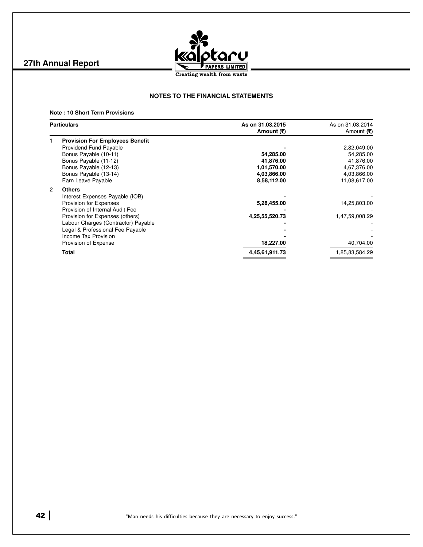

## Creating wealth from waste

## **NOTES TO THE FINANCIAL STATEMENTS**

## **Note : 10 Short Term Provisions**

|                | <b>Particulars</b>                     | As on 31.03.2015<br>Amount (₹) | As on 31.03.2014<br>Amount (₹) |
|----------------|----------------------------------------|--------------------------------|--------------------------------|
|                | <b>Provision For Employees Benefit</b> |                                |                                |
|                | <b>Providend Fund Payable</b>          |                                | 2,82,049.00                    |
|                | Bonus Payable (10-11)                  | 54,285.00                      | 54,285.00                      |
|                | Bonus Payable (11-12)                  | 41,876.00                      | 41,876.00                      |
|                | Bonus Payable (12-13)                  | 1,01,570.00                    | 4,67,376.00                    |
|                | Bonus Payable (13-14)                  | 4,03,866.00                    | 4,03,866.00                    |
|                | Earn Leave Payable                     | 8,58,112.00                    | 11,08,617.00                   |
| $\overline{2}$ | <b>Others</b>                          |                                |                                |
|                | Interest Expenses Payable (IOB)        |                                |                                |
|                | Provision for Expenses                 | 5,28,455.00                    | 14,25,803.00                   |
|                | Provision of Internal Audit Fee        |                                |                                |
|                | Provision for Expenses (others)        | 4,25,55,520.73                 | 1,47,59,008.29                 |
|                | Labour Charges (Contractor) Payable    |                                |                                |
|                | Legal & Professional Fee Payable       |                                |                                |
|                | Income Tax Provision                   |                                |                                |
|                | Provision of Expense                   | 18,227.00                      | 40,704.00                      |
|                | <b>Total</b>                           | 4,45,61,911.73                 | 1,85,83,584.29                 |

"Man needs his difficulties because they are necessary to enjoy success."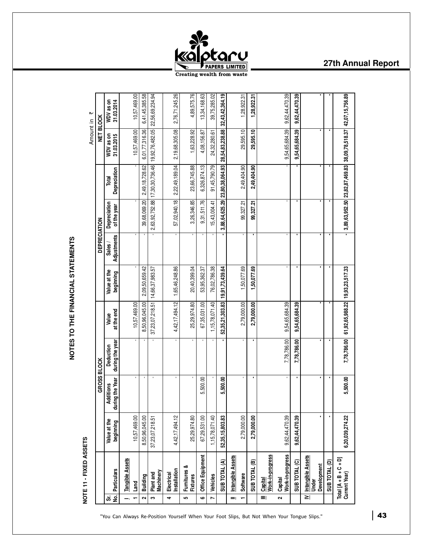

Amount in  $\bar{z}$ 

NOTE 11 - FIXED ASSETS **NOTE 11 - FIXED ASSETS**

**NOTES TO THE FINANCIAL STATEMENTS**

NOTES TO THE FINANCIAL STATEMENTS

|                               |                                          |                           | <b>GROSS BLOCK</b>           |                              |                                             |                           | DEPRECIATION             |                             |                                | <b>NET BLOCK</b>                                                   |                         |
|-------------------------------|------------------------------------------|---------------------------|------------------------------|------------------------------|---------------------------------------------|---------------------------|--------------------------|-----------------------------|--------------------------------|--------------------------------------------------------------------|-------------------------|
| $\overline{\mathbf{e}}$<br>ຜັ | Particulars                              | Value at the<br>beginning | during the Year<br>Additions | during the year<br>Deduction | at the end<br>Value                         | Value at the<br>beginning | Adjustments<br>Sales $/$ | Depreciation<br>of the year | Depreciation<br><b>Total</b>   | WDV as on<br>31.03.2015                                            | WDV as on<br>31.03.2014 |
|                               | <b>Tangible Assets</b>                   |                           |                              |                              |                                             |                           |                          |                             |                                |                                                                    |                         |
|                               | Land                                     | 10.57,469.00              |                              |                              | 10.57.469.00                                |                           |                          |                             |                                | 10,57,469.00                                                       | 10,57,469.00            |
| 2                             | Building                                 | 8,50,96,045.00            |                              |                              | 50,96,045.00<br>∞                           | 2,09,50,659.42            |                          | 39,68,069.20                | 2,49,18,728.62                 | 6,01,77,316.36                                                     | 6,41,45,385.58          |
| ၐ                             | Machinery<br>Plant and                   | 37,23,07,218.51           |                              |                              | 37,23,07,218.51                             | 14,66,37,983.57           |                          |                             |                                | 2,63,92,752.88 17,30,30,736.46 19,92,76,482.05                     | 22,56,69,234.94         |
| 4                             | nstallation<br>Electrical                | 4,42,17,494.12            |                              |                              | 4,42,17,494.12                              | 1,65,46,248.86            |                          | 57,02,940.18                | 2,22,49,189.04                 | 2,19,68,305.08                                                     | 2,76,71,245.26          |
| မာ                            | Furnitures &<br>Fixtures                 | 25,29,974.80              |                              |                              | 25,29,974.80                                | 20,40,399.04              |                          | 3,26,346.85                 | 23,66,745.88                   | 1,63,228.92                                                        | 4,89,575.76             |
| ဖ                             | Office Equipment                         | 67,29,531.00              | 5,500.00                     |                              | 67,35,031.00                                | 53,95,362.37              |                          | 9,31,511.76                 | 6,326,874.13                   | 4,08,156.87                                                        | 13,34,168.63            |
| r                             | Vehicles                                 | 1,15,78,071.40            |                              |                              | 1,15,78,071.40                              | 76,02,786.38              |                          | 15,43,004.41                | 91,45,790.79                   | 24,32,280.61                                                       | 39,75,285.02            |
|                               | SUB TOTAL (A)                            | 52,35,15,803.83           | 5,500.00                     |                              | 52, 35, 21, 303.83                          | 19,91,73,439.64           |                          |                             | 3,88,64,625.29 23,80,38,064.93 | 28,54,83,238.88 32,43,42,364.19                                    |                         |
| $=$                           | Intangible Assets                        |                           |                              |                              |                                             |                           |                          |                             |                                |                                                                    |                         |
|                               | Software                                 | 2,79,000.00               |                              |                              | 2,79,000.00                                 | 1,50,077.69               |                          | 99,327.21                   | 2,49,404.90                    | 29,595.10                                                          | 1,28,922.31             |
|                               | SUB TOTAL (B)                            | 2,79,000.00               |                              |                              | 2,79,000.00                                 | 1,50,077.69               |                          | 99,327.21                   | 2,49,404.90                    | 29,595.10                                                          | 1,28,922.31             |
| $\equiv$                      | Work-in-progress<br>Capital              |                           |                              |                              |                                             |                           |                          |                             |                                |                                                                    |                         |
| $\sim$                        | Work-in-progress<br>Capital              | 9,62,44,470.39            |                              | 7.78.786.00                  | 9,54,65,684.39                              |                           |                          |                             |                                | 9,54,65,684.39                                                     | 9,62,44,470.39          |
|                               | SUB TOTAL (C)                            | 9,62,44,470.39            |                              | 7,78,786.00                  | 9,54,65,684.39                              |                           |                          |                             |                                | 9,54,65,684.39                                                     | 9,62,44,470.39          |
|                               | Intangible Assets<br>$\overline{\geq}$   |                           |                              |                              |                                             |                           |                          |                             |                                |                                                                    |                         |
|                               | Development<br>Under                     |                           |                              |                              |                                             |                           |                          |                             |                                |                                                                    |                         |
|                               | SUB TOTAL (D)                            |                           |                              |                              |                                             |                           |                          |                             |                                |                                                                    |                         |
|                               | Total $[A + B + C + D]$<br>Current Year) | 6,20,039,274.22           | 5,500.00                     |                              | 7,78,786.00 61,92,65,988.22 19,93,23,517.33 |                           |                          |                             |                                | $-$ 3,89,63,952.50 23,82,87,469.83 38,09,78,518.37 42,07,15,756.89 |                         |

"You Can Always Re-Position Yourself When Your Foot Slips, But Not When Your Tongue Slips."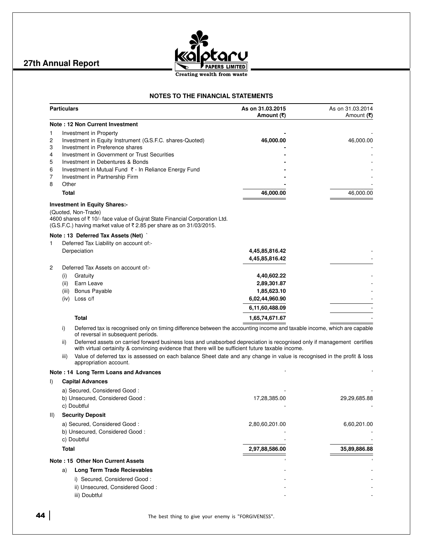

## **NOTES TO THE FINANCIAL STATEMENTS**

|               | <b>Particulars</b>                                                                                                                                                                                                                   | As on 31.03.2015<br>Amount (₹) | As on 31.03.2014<br>Amount (₹) |
|---------------|--------------------------------------------------------------------------------------------------------------------------------------------------------------------------------------------------------------------------------------|--------------------------------|--------------------------------|
|               | Note: 12 Non Current Investment                                                                                                                                                                                                      |                                |                                |
| 1             | Investment in Property                                                                                                                                                                                                               |                                |                                |
| 2             | Investment in Equity Instrument (G.S.F.C. shares-Quoted)                                                                                                                                                                             | 46,000.00                      | 46,000.00                      |
| 3             | Investment in Preference shares                                                                                                                                                                                                      |                                |                                |
| 4             | Investment in Government or Trust Securities                                                                                                                                                                                         |                                |                                |
| 5             | Investment in Debentures & Bonds                                                                                                                                                                                                     |                                |                                |
| 6<br>7        | Investment in Mutual Fund ₹ - In Reliance Energy Fund<br>Investment in Partnership Firm                                                                                                                                              |                                |                                |
| 8             | Other                                                                                                                                                                                                                                |                                |                                |
|               | <b>Total</b>                                                                                                                                                                                                                         | 46,000.00                      | 46,000.00                      |
|               | <b>Investment in Equity Shares:-</b>                                                                                                                                                                                                 |                                |                                |
|               | (Quoted, Non-Trade)                                                                                                                                                                                                                  |                                |                                |
|               | 4600 shares of ₹10/- face value of Gujrat State Financial Corporation Ltd.<br>(G.S.F.C.) having market value of ₹2.85 per share as on 31/03/2015.                                                                                    |                                |                                |
|               | Note: 13 Deferred Tax Assets (Net)                                                                                                                                                                                                   |                                |                                |
| 1             | Deferred Tax Liability on account of:-                                                                                                                                                                                               |                                |                                |
|               | Derpeciation                                                                                                                                                                                                                         | 4,45,85,816.42                 |                                |
|               |                                                                                                                                                                                                                                      | 4,45,85,816.42                 |                                |
| 2             | Deferred Tax Assets on account of:-                                                                                                                                                                                                  |                                |                                |
|               | Gratuity<br>(i)                                                                                                                                                                                                                      | 4,40,602.22                    |                                |
|               | (ii)<br>Earn Leave                                                                                                                                                                                                                   | 2,89,301.87                    |                                |
|               | (iii) Bonus Payable                                                                                                                                                                                                                  | 1,85,623.10                    |                                |
|               | $(iv)$ Loss $c/f$                                                                                                                                                                                                                    | 6,02,44,960.90                 |                                |
|               |                                                                                                                                                                                                                                      | 6,11,60,488.09                 |                                |
|               | <b>Total</b>                                                                                                                                                                                                                         | 1,65,74,671.67                 |                                |
|               | Deferred tax is recognised only on timing difference between the accounting income and taxable income, which are capable<br>i)<br>of reversal in subsequent periods.                                                                 |                                |                                |
|               | Deferred assets on carried forward business loss and unabsorbed depreciation is recognised only if management certifies<br>ii)<br>with virtual certainity & convincing evidence that there will be sufficient future taxable income. |                                |                                |
|               | Value of deferred tax is assessed on each balance Sheet date and any change in value is recognised in the profit & loss<br>iii)<br>appropriation account.                                                                            |                                |                                |
|               | Note: 14 Long Term Loans and Advances                                                                                                                                                                                                |                                |                                |
| $\vert$       | <b>Capital Advances</b>                                                                                                                                                                                                              |                                |                                |
|               | a) Secured, Considered Good:                                                                                                                                                                                                         |                                |                                |
|               | b) Unsecured, Considered Good:                                                                                                                                                                                                       | 17,28,385.00                   | 29,29,685.88                   |
|               | c) Doubtful                                                                                                                                                                                                                          |                                |                                |
| $\vert \vert$ | <b>Security Deposit</b>                                                                                                                                                                                                              |                                |                                |
|               | a) Secured, Considered Good:                                                                                                                                                                                                         | 2,80,60,201.00                 | 6,60,201.00                    |
|               | b) Unsecured, Considered Good:                                                                                                                                                                                                       |                                |                                |

| Total                                    | 2,97,88,586.00           | 35,89,886.88 |
|------------------------------------------|--------------------------|--------------|
| Note: 15 Other Non Current Assets        |                          |              |
| <b>Long Term Trade Recievables</b><br>a) | ۰                        |              |
| i) Secured, Considered Good:             | $\overline{\phantom{0}}$ |              |
| ii) Unsecured, Considered Good:          | $\overline{\phantom{0}}$ |              |
| iii) Doubtful                            |                          |              |

c) Doubtful - -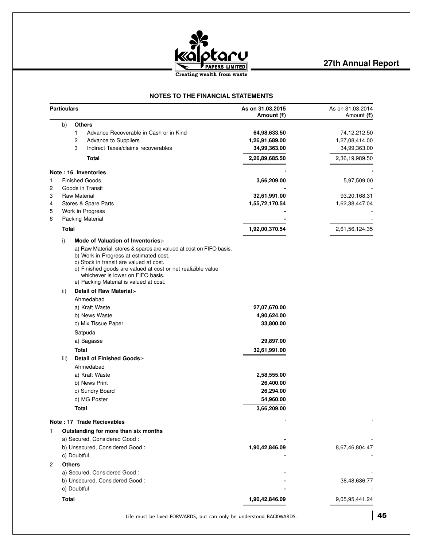

## **NOTES TO THE FINANCIAL STATEMENTS**

| <b>Particulars</b> |               |                                                                                                         | As on 31.03.2015<br>Amount (₹) | As on 31.03.2014<br>Amount (₹) |
|--------------------|---------------|---------------------------------------------------------------------------------------------------------|--------------------------------|--------------------------------|
| b)                 |               | <b>Others</b>                                                                                           |                                |                                |
|                    | 1             | Advance Recoverable in Cash or in Kind                                                                  | 64,98,633.50                   | 74,12,212.50                   |
|                    | 2             | Advance to Suppliers                                                                                    | 1,26,91,689.00                 | 1,27,08,414.00                 |
|                    | 3             | Indirect Taxes/claims recoverables                                                                      | 34,99,363.00                   | 34,99,363.00                   |
|                    |               | <b>Total</b>                                                                                            | 2,26,89,685.50                 | 2,36,19,989.50                 |
|                    |               | Note: 16 Inventories                                                                                    |                                |                                |
| 1                  |               | <b>Finished Goods</b>                                                                                   | 3,66,209.00                    | 5,97,509.00                    |
| 2                  |               | Goods in Transit                                                                                        |                                |                                |
| 3                  |               | <b>Raw Material</b>                                                                                     | 32,61,991.00                   | 93,20,168.31                   |
| 4                  |               | Stores & Spare Parts                                                                                    | 1,55,72,170.54                 | 1,62,38,447.04                 |
| 5                  |               | Work in Progress                                                                                        |                                |                                |
| 6                  |               | Packing Material                                                                                        |                                |                                |
| <b>Total</b>       |               |                                                                                                         | 1,92,00,370.54                 | 2,61,56,124.35                 |
| i)                 |               | Mode of Valuation of Inventories:-                                                                      |                                |                                |
|                    |               | a) Raw Material, stores & spares are valued at cost on FIFO basis.                                      |                                |                                |
|                    |               | b) Work in Progress at estimated cost.                                                                  |                                |                                |
|                    |               | c) Stock in transit are valued at cost.<br>d) Finished goods are valued at cost or net realizible value |                                |                                |
|                    |               | whichever is lower on FIFO basis.                                                                       |                                |                                |
|                    |               | e) Packing Material is valued at cost.                                                                  |                                |                                |
| ii)                |               | <b>Detail of Raw Material:-</b>                                                                         |                                |                                |
|                    |               | Ahmedabad                                                                                               |                                |                                |
|                    |               | a) Kraft Waste                                                                                          | 27,07,670.00                   |                                |
|                    |               | b) News Waste                                                                                           | 4,90,624.00                    |                                |
|                    |               | c) Mix Tissue Paper                                                                                     | 33,800.00                      |                                |
|                    |               | Satpuda                                                                                                 |                                |                                |
|                    |               | a) Bagasse                                                                                              | 29,897.00                      |                                |
|                    |               | <b>Total</b>                                                                                            | 32,61,991.00                   |                                |
| iii)               |               | Detail of Finished Goods:-                                                                              |                                |                                |
|                    |               | Ahmedabad                                                                                               |                                |                                |
|                    |               | a) Kraft Waste                                                                                          | 2,58,555.00                    |                                |
|                    |               | b) News Print                                                                                           | 26,400.00                      |                                |
|                    |               | c) Sundry Board                                                                                         | 26,294.00                      |                                |
|                    |               | d) MG Poster                                                                                            | 54,960.00                      |                                |
|                    |               | <b>Total</b>                                                                                            | 3,66,209.00                    |                                |
|                    |               | Note: 17 Trade Recievables                                                                              |                                |                                |
| 1                  |               | Outstanding for more than six months                                                                    |                                |                                |
|                    |               | a) Secured, Considered Good:                                                                            |                                |                                |
|                    |               | b) Unsecured, Considered Good:                                                                          | 1,90,42,846.09                 | 8,67,46,804.47                 |
|                    |               | c) Doubtful                                                                                             |                                |                                |
| 2                  | <b>Others</b> |                                                                                                         |                                |                                |
|                    |               | a) Secured, Considered Good:                                                                            |                                |                                |
|                    |               | b) Unsecured, Considered Good:                                                                          |                                | 38,48,636.77                   |
|                    |               | c) Doubtful                                                                                             |                                |                                |
|                    |               |                                                                                                         | 1,90,42,846.09                 |                                |
| <b>Total</b>       |               |                                                                                                         |                                | 9,05,95,441.24                 |

Life must be lived FORWARDS, but can only be understood BACKWARDS.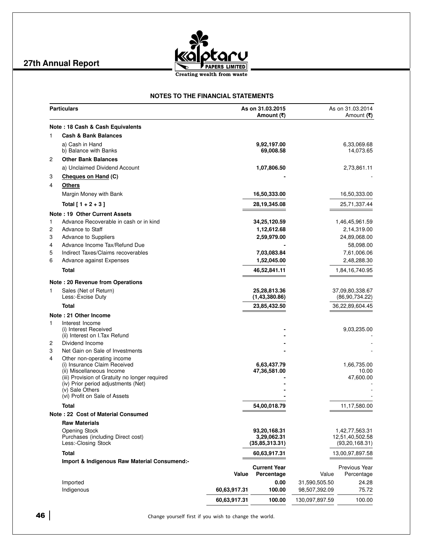

## **NOTES TO THE FINANCIAL STATEMENTS**

|              | <b>Particulars</b>                                                                                                                                                                                                                   |              | As on 31.03.2015<br>Amount (₹)  |                                | As on 31.03.2014<br>Amount ( <b>₹)</b> |
|--------------|--------------------------------------------------------------------------------------------------------------------------------------------------------------------------------------------------------------------------------------|--------------|---------------------------------|--------------------------------|----------------------------------------|
|              | Note: 18 Cash & Cash Equivalents                                                                                                                                                                                                     |              |                                 |                                |                                        |
| $\mathbf{1}$ | <b>Cash &amp; Bank Balances</b>                                                                                                                                                                                                      |              |                                 |                                |                                        |
|              | a) Cash in Hand<br>b) Balance with Banks                                                                                                                                                                                             |              | 9,92,197.00<br>69.008.58        |                                | 6,33,069.68<br>14,073.65               |
| 2            | <b>Other Bank Balances</b>                                                                                                                                                                                                           |              |                                 |                                |                                        |
|              | a) Unclaimed Dividend Account                                                                                                                                                                                                        |              | 1,07,806.50                     |                                | 2,73,861.11                            |
| 3            | Cheques on Hand (C)                                                                                                                                                                                                                  |              |                                 |                                |                                        |
| 4            | <b>Others</b>                                                                                                                                                                                                                        |              |                                 |                                |                                        |
|              | Margin Money with Bank                                                                                                                                                                                                               |              | 16,50,333.00                    |                                | 16,50,333.00                           |
|              | Total $[1 + 2 + 3]$                                                                                                                                                                                                                  |              | 28, 19, 345.08                  |                                | 25,71,337.44                           |
|              | <b>Note: 19 Other Current Assets</b>                                                                                                                                                                                                 |              |                                 |                                |                                        |
| $\mathbf{1}$ | Advance Recoverable in cash or in kind                                                                                                                                                                                               |              | 34,25,120.59                    |                                | 1,46,45,961.59                         |
| 2            | Advance to Staff                                                                                                                                                                                                                     |              | 1,12,612.68                     |                                | 2,14,319.00                            |
| 3            | <b>Advance to Suppliers</b>                                                                                                                                                                                                          |              | 2,59,979.00                     |                                | 24,89,068.00                           |
| 4            | Advance Income Tax/Refund Due                                                                                                                                                                                                        |              |                                 |                                | 58,098.00                              |
| 5            | Indirect Taxes/Claims recoverables                                                                                                                                                                                                   |              | 7,03,083.84                     |                                | 7,61,006.06                            |
| 6            | Advance against Expenses                                                                                                                                                                                                             |              | 1,52,045.00                     |                                | 2,48,288.30                            |
|              | <b>Total</b>                                                                                                                                                                                                                         |              | 46,52,841.11                    |                                | 1,84,16,740.95                         |
|              | <b>Note: 20 Revenue from Operations</b>                                                                                                                                                                                              |              |                                 |                                |                                        |
| 1            | Sales (Net of Return)<br>Less:-Excise Duty                                                                                                                                                                                           |              | 25,28,813.36<br>(1,43,380.86)   |                                | 37,09,80,338.67<br>(86,90,734.22)      |
|              | <b>Total</b>                                                                                                                                                                                                                         |              | 23,85,432.50                    |                                | 36,22,89,604.45                        |
|              | Note: 21 Other Income                                                                                                                                                                                                                |              |                                 |                                |                                        |
| 1            | Interest Income<br>(i) Interest Received<br>(ii) Interest on I.Tax Refund                                                                                                                                                            |              |                                 |                                | 9,03,235.00                            |
| 2            | Dividend Income                                                                                                                                                                                                                      |              |                                 |                                |                                        |
| 3            | Net Gain on Sale of Investments                                                                                                                                                                                                      |              |                                 |                                |                                        |
| 4            | Other non-operating income<br>(i) Insurance Claim Received<br>(ii) Miscellaneous Income<br>(iii) Provision of Gratuity no longer required<br>(iv) Prior period adjustments (Net)<br>(v) Sale Others<br>(vi) Profit on Sale of Assets |              | 6,63,437.79<br>47,36,581.00     |                                | 1,66,735.00<br>10.00<br>47,600.00      |
|              | Total                                                                                                                                                                                                                                |              | 54,00,018.79                    |                                | 11,17,580.00                           |
|              | Note: 22 Cost of Material Consumed                                                                                                                                                                                                   |              |                                 |                                |                                        |
|              | <b>Raw Materials</b><br><b>Opening Stock</b>                                                                                                                                                                                         |              | 93.20.168.31                    |                                | 1,42,77,563.31                         |
|              | Purchases (including Direct cost)<br>Less:-Closing Stock                                                                                                                                                                             |              | 3,29,062.31<br>(35, 85, 313.31) |                                | 12,51,40,502.58<br>(93, 20, 168.31)    |
|              | <b>Total</b>                                                                                                                                                                                                                         |              | 60,63,917.31                    |                                | 13,00,97,897.58                        |
|              | Import & Indigenous Raw Material Consumend:-                                                                                                                                                                                         |              | <b>Current Year</b>             |                                | Previous Year                          |
|              |                                                                                                                                                                                                                                      | Value        | Percentage                      | Value                          | Percentage                             |
|              | Imported<br>Indigenous                                                                                                                                                                                                               | 60,63,917.31 | 0.00<br>100.00                  | 31,590,505.50<br>98,507,392.09 | 24.28<br>75.72                         |
|              |                                                                                                                                                                                                                                      | 60.63,917.31 | 100.00                          | 130,097,897.59                 | 100.00                                 |

46

Change yourself first if you wish to change the world.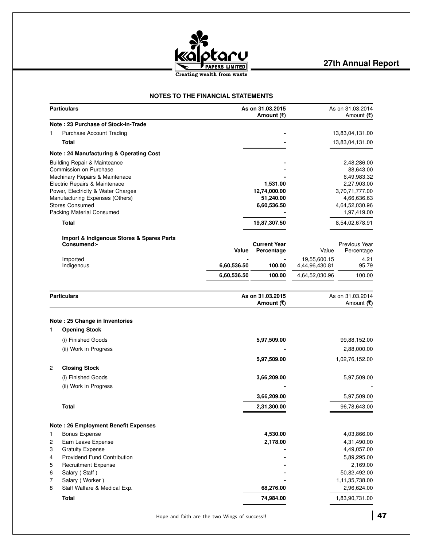

## **NOTES TO THE FINANCIAL STATEMENTS**

| <b>Particulars</b>                                                    |             | As on 31.03.2015<br>Amount (₹)    |                | As on 31.03.2014<br>Amount (₹) |
|-----------------------------------------------------------------------|-------------|-----------------------------------|----------------|--------------------------------|
| Note: 23 Purchase of Stock-in-Trade                                   |             |                                   |                |                                |
| $\mathbf{1}$<br><b>Purchase Account Trading</b>                       |             |                                   |                | 13,83,04,131.00                |
| Total                                                                 |             |                                   |                | 13,83,04,131.00                |
| Note: 24 Manufacturing & Operating Cost                               |             |                                   |                |                                |
| <b>Building Repair &amp; Mainteance</b>                               |             |                                   |                | 2,48,286.00                    |
| Commission on Purchase                                                |             |                                   |                | 88,643.00                      |
| Machinary Repairs & Maintenace                                        |             |                                   |                | 6,49,983.32                    |
| Electric Repairs & Maintenace                                         |             | 1,531.00                          |                | 2,27,903.00                    |
| Power, Electricity & Water Charges<br>Manufacturing Expenses (Others) |             | 12,74,000.00<br>51,240.00         |                | 3,70,71,777.00<br>4,66,636.63  |
| <b>Stores Consumed</b>                                                |             | 6,60,536.50                       |                | 4,64,52,030.96                 |
| Packing Material Consumed                                             |             |                                   |                | 1,97,419.00                    |
| <b>Total</b>                                                          |             | 19,87,307.50                      |                | 8,54,02,678.91                 |
|                                                                       |             |                                   |                |                                |
| Import & Indigenous Stores & Spares Parts                             |             |                                   |                |                                |
| Consumend:-                                                           | Value       | <b>Current Year</b><br>Percentage | Value          | Previous Year<br>Percentage    |
| Imported                                                              |             |                                   | 19,55,600.15   | 4.21                           |
| Indigenous                                                            | 6,60,536.50 | 100.00                            | 4,44,96,430.81 | 95.79                          |
|                                                                       | 6,60,536.50 | 100.00                            | 4,64,52,030.96 | 100.00                         |
| <b>Particulars</b>                                                    |             | As on 31.03.2015                  |                | As on 31.03.2014               |
|                                                                       |             | Amount (₹)                        |                | Amount (₹)                     |
| Note: 25 Change in Inventories                                        |             |                                   |                |                                |
| <b>Opening Stock</b><br>1.                                            |             |                                   |                |                                |
| (i) Finished Goods                                                    |             | 5,97,509.00                       |                | 99,88,152.00                   |
| (ii) Work in Progress                                                 |             |                                   |                | 2,88,000.00                    |
|                                                                       |             | 5,97,509.00                       |                | 1,02,76,152.00                 |
| 2<br><b>Closing Stock</b>                                             |             |                                   |                |                                |
| (i) Finished Goods                                                    |             | 3,66,209.00                       |                | 5,97,509.00                    |
| (ii) Work in Progress                                                 |             |                                   |                |                                |
|                                                                       |             | 3,66,209.00                       |                | 5,97,509.00                    |
| <b>Total</b>                                                          |             | 2,31,300.00                       |                | 96,78,643.00                   |
|                                                                       |             |                                   |                |                                |
| <b>Note: 26 Employment Benefit Expenses</b>                           |             |                                   |                |                                |
| <b>Bonus Expense</b><br>1                                             |             | 4,530.00                          |                | 4,03,866.00                    |
| Earn Leave Expense<br>2                                               |             | 2,178.00                          |                | 4,31,490.00                    |
| 3<br><b>Gratuity Expense</b>                                          |             |                                   |                | 4,49,057.00                    |
| Providend Fund Contribution<br>4                                      |             |                                   |                | 5,89,295.00                    |
| <b>Recruitment Expense</b><br>5                                       |             |                                   |                | 2,169.00                       |
| 6<br>Salary (Staff)                                                   |             |                                   |                | 50,82,492.00                   |
| 7<br>Salary (Worker)                                                  |             |                                   |                | 1,11,35,738.00                 |
| Staff Walfare & Medical Exp.<br>8                                     |             | 68,276.00                         |                | 2,96,624.00                    |
| <b>Total</b>                                                          |             | 74,984.00                         |                | 1,83,90,731.00                 |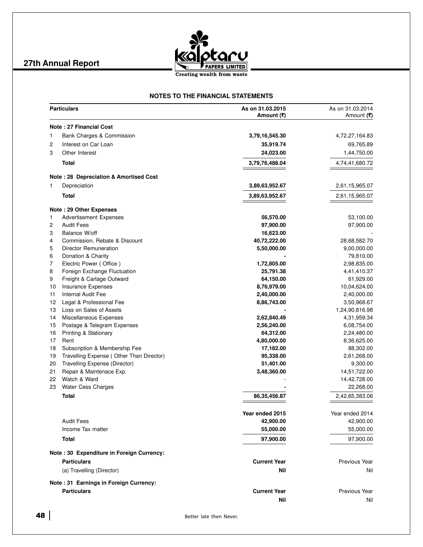

## **NOTES TO THE FINANCIAL STATEMENTS**

|    | <b>Particulars</b>                        | As on 31.03.2015<br>Amount (₹) | As on 31.03.2014<br>Amount (₹) |
|----|-------------------------------------------|--------------------------------|--------------------------------|
|    | <b>Note: 27 Financial Cost</b>            |                                |                                |
| 1  | Bank Charges & Commission                 | 3,79,16,545.30                 | 4,72,27,164.83                 |
| 2  | Interest on Car Loan                      | 35,919.74                      | 69,765.89                      |
| 3  | Other Interest                            | 24,023.00                      | 1,44,750.00                    |
|    | Total                                     | 3,79,76,488.04                 | 4,74,41,680.72                 |
|    | Note: 28 Depreciation & Amortised Cost    |                                |                                |
| 1  | Depreciation                              | 3,89,63,952.67                 | 2,61,15,965.07                 |
|    | Total                                     | 3,89,63,952.67                 | 2,61,15,965.07                 |
|    | Note: 29 Other Expenses                   |                                |                                |
| 1  | <b>Advertisement Expenses</b>             | 56,570.00                      | 53,100.00                      |
| 2  | <b>Audit Fees</b>                         | 97,900.00                      | 97,900.00                      |
| 3  | Balance W/off                             | 16,623.00                      |                                |
| 4  | Commission, Rebate & Discount             | 40,72,222.00                   | 28,68,582.70                   |
| 5  | Director Remuneration                     | 5,50,000.00                    | 9,00,000.00                    |
| 6  | Donation & Charity                        |                                | 79,810.00                      |
| 7  | Electric Power (Office)                   | 1,72,805.00                    | 2,98,835.00                    |
| 8  | Foreign Exchange Fluctuation              | 25,791.38                      | 4,41,410.37                    |
| 9  | Freight & Cartage Outward                 | 64,150.00                      | 61,929.00                      |
| 10 | <b>Insurance Expenses</b>                 | 8,76,979.00                    | 10,04,624.00                   |
| 11 | <b>Internal Audit Fee</b>                 | 2,40,000.00                    | 2,40,000.00                    |
| 12 | Legal & Professional Fee                  | 8,86,743.00                    | 3,50,968.67                    |
| 13 | Loss on Sales of Assets                   |                                | 1,24,90,816.98                 |
| 14 | Miscellaneous Expenses                    | 2,62,840.49                    | 4,31,959.34                    |
| 15 | Postage & Telegram Expenses               | 2,56,240.00                    | 6,08,754.00                    |
| 16 | Printing & Stationary                     | 64,312.00                      | 2,24,480.00                    |
| 17 | Rent                                      | 4,80,000.00                    | 8,36,625.00                    |
| 18 | Subscription & Membership Fee             | 17,182.00                      | 88,302.00                      |
| 19 | Travelling Expense (Other Than Director)  | 95,338.00                      | 2,61,268.00                    |
| 20 | Travelling Expense (Director)             | 51,401.00                      | 9,300.00                       |
| 21 | Repair & Maintenace Exp.                  | 3,48,360.00                    | 14,51,722.00                   |
| 22 | Watch & Ward                              |                                | 14,42,728.00                   |
| 23 | <b>Water Cess Charges</b>                 |                                | 22,268.00                      |
|    | <b>Total</b>                              | 86, 35, 456.87                 | 2,42,65,383.06                 |
|    |                                           | Year ended 2015                | Year ended 2014                |
|    | <b>Audit Fees</b>                         | 42,900.00                      | 42,900.00                      |
|    | Income Tax matter                         | 55,000.00                      | 55,000.00                      |
|    | Total                                     | 97,900.00                      | 97,900.00                      |
|    | Note: 30 Expenditure in Foreign Currency: |                                |                                |
|    | <b>Particulars</b>                        | <b>Current Year</b>            | Previous Year                  |
|    | (a) Travelling (Director)                 | <b>Nil</b>                     | Nil                            |
|    | Note: 31 Earnings in Foreign Currency:    |                                |                                |
|    | <b>Particulars</b>                        | <b>Current Year</b>            | Previous Year                  |
|    |                                           | Nil                            | Nil                            |
|    |                                           |                                |                                |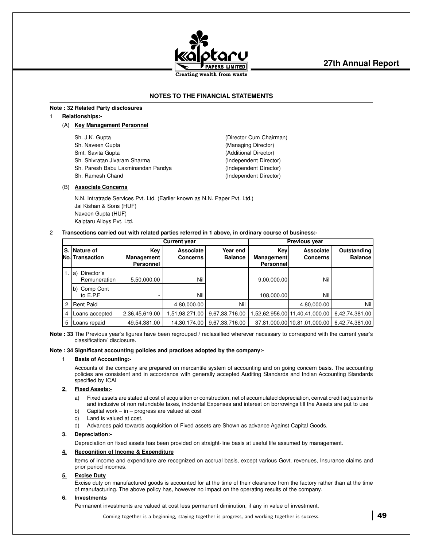

## **NOTES TO THE FINANCIAL STATEMENTS**

### **Note : 32 Related Party disclosures**

## 1 **Relationships:-**

#### (A) **Key Management Personnel**

Sh. J.K. Gupta (Director Cum Chairman) Sh. Naveen Gupta **(Managing Director)** (Managing Director) Smt. Savita Gupta (Additional Director) Sh. Shivratan Jivaram Sharma (Independent Director) Sh. Paresh Babu Laxminandan Pandya (Independent Director) Sh. Ramesh Chand (Independent Director)

## (B) **Associate Concerns**

N.N. Intratrade Services Pvt. Ltd. (Earlier known as N.N. Paper Pvt. Ltd.) Jai Kishan & Sons (HUF) Naveen Gupta (HUF) Kalptaru Alloys Pvt. Ltd.

#### 2 **Transections carried out with related parties referred in 1 above, in ordinary course of business:-**

|                |                                  |                                | <b>Current year</b>          |                            | <b>Previous year</b>                  |                                     |                               |
|----------------|----------------------------------|--------------------------------|------------------------------|----------------------------|---------------------------------------|-------------------------------------|-------------------------------|
|                | S. Nature of<br>No. Transaction  | Kev<br>Management<br>Personnel | Associate<br><b>Concerns</b> | Year end<br><b>Balance</b> | Key<br>Management<br><b>Personnel</b> | <b>Associate</b><br><b>Concerns</b> | Outstanding<br><b>Balance</b> |
|                | Director's<br>a)<br>Remuneration | 5,50,000.00                    | Nil                          |                            | 9,00,000.00                           | Nil                                 |                               |
|                | b) Comp Cont<br>to $E.P.F$       |                                | Nil                          |                            | 108,000.00                            | Nil                                 |                               |
| $\overline{c}$ | <b>Rent Paid</b>                 |                                | 4,80,000.00                  | Nil                        |                                       | 4,80,000.00                         | Nil                           |
| 4              | Loans accepted                   | 2,36,45,619.00                 | 1,51,98,271.00               | 9,67,33,716.00             |                                       | 1,52,62,956.00 11,40,41,000.00      | 6,42,74,381.00                |
| 5              | Loans repaid                     | 49,54,381.00                   | 14,30,174.00                 | 9,67,33,716.00             |                                       | 37,81,000.00 10,81,01,000.00        | 6,42,74,381.00                |

**Note : 33** The Previous year's figures have been regrouped / reclassified wherever necessary to correspond with the current year's classification/ disclosure.

## **Note : 34 Significant accounting policies and practices adopted by the company:-**

#### **1 Basis of Accounting:-**

Accounts of the company are prepared on mercantile system of accounting and on going concern basis. The accounting policies are consistent and in accordance with generally accepted Auditing Standards and Indian Accounting Standards specified by ICAI

## **2. Fixed Assets:-**

- a) Fixed assets are stated at cost of acquisition or construction, net of accumulated depreciation, cenvat credit adjustments and inclusive of non refundable taxes, incidental Expenses and interest on borrowings till the Assets are put to use
- b) Capital work in progress are valued at cost
- c) Land is valued at cost.
- d) Advances paid towards acquisition of Fixed assets are Shown as advance Against Capital Goods.

## **3. Depreciation:-**

Depreciation on fixed assets has been provided on straight-line basis at useful life assumed by management.

### **4. Recognition of Income & Expenditure**

Items of income and expenditure are recognized on accrual basis, except various Govt. revenues, Insurance claims and prior period incomes.

### **5. Excise Duty**

Excise duty on manufactured goods is accounted for at the time of their clearance from the factory rather than at the time of manufacturing. The above policy has, however no impact on the operating results of the company.

## **6. Investments**

Permanent investments are valued at cost less permanent diminution, if any in value of investment.

Coming together is a beginning, staying together is progress, and working together is success.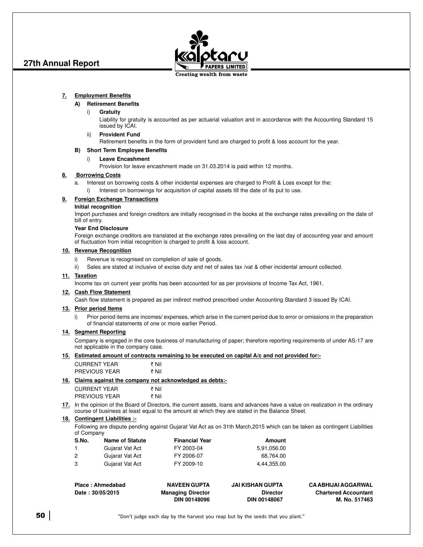

## **7. Employment Benefits**

### **A) Retirement Benefits**

i) **Gratuity**

Liability for gratuity is accounted as per actuarial valuation and in accordance with the Accounting Standard 15 issued by ICAI.

ii) **Provident Fund**

Retirement benefits in the form of provident fund are charged to profit & loss account for the year.

### **B) Short Term Employee Benefits**

i) **Leave Encashment**

Provision for leave encashment made on 31.03.2014 is paid within 12 months.

## **8. Borrowing Costs**

a. Interest on borrowing costs & other incidental expenses are charged to Profit & Loss except for the:

i) Interest on borrowings for acquisition of capital assets till the date of its put to use.

## **9. Foreign Exchange Transactions**

## **Initial recognition**

Import purchases and foreign creditors are initially recognised in the books at the exchange rates prevailing on the date of bill of entry.

## **Year End Disclosure**

Foreign exchange creditors are translated at the exchange rates prevailing on the last day of accounting year and amount of fluctuation from initial recognition is charged to profit & loss account.

#### **10. Revenue Recognition**

- i) Revenue is recognised on completion of sale of goods.
- ii) Sales are stated at inclusive of excise duty and net of sales tax /vat & other incidental amount collected.

#### **11. Taxation**

Income tax on current year profits has been accounted for as per provisions of Income Tax Act, 1961.

## **12. Cash Flow Statement**

Cash flow statement is prepared as per indirect method prescribed under Accounting Standard 3 issued By ICAI.

#### **13. Prior period Items**

i) Prior period items are incomes/ expenses, which arise in the current period due to error or omissions in the preparation of financial statements of one or more earlier Period.

### **14. Segment Reporting**

Company is engaged in the core business of manufacturing of paper; therefore reporting requirements of under AS-17 are not applicable in the company case.

## **15. Estimated amount of contracts remaining to be executed on capital A/c and not provided for:-**

| <b>CURRENT YEAR</b> | ₹ Nil |
|---------------------|-------|
| PREVIOUS YEAR       | ₹ Nil |

## **16. Claims against the company not acknowledged as debts:-**

| <b>CURRENT YEAR</b>  | ₹ Nil |
|----------------------|-------|
| <b>PREVIOUS YEAR</b> | ₹ Nil |

#### **17.** In the opinion of the Board of Directors, the current assets, loans and advances have a value on realization in the ordinary course of business at least equal to the amount at which they are stated in the Balance Sheet.

#### **18. Contingent Liabilities :-**

Following are dispute pending against Gujarat Vat Act as on 31th March,2015 which can be taken as contingent Liabilities of Company

| S.No. | <b>Name of Statute</b> | <b>Financial Year</b> | Amount      |
|-------|------------------------|-----------------------|-------------|
|       | Gujarat Vat Act        | FY 2003-04            | 5,91,056.00 |
| 2     | Gujarat Vat Act        | FY 2006-07            | 68,764.00   |
| З     | Gujarat Vat Act        | FY 2009-10            | 4.44.355.00 |

| Place : Ahmedabad | <b>NAVEEN GUPTA</b>      | JAI KISHAN GUPTA    | <b>CA ABHIJAI AGGARWAL</b>  |
|-------------------|--------------------------|---------------------|-----------------------------|
| Date: 30/05/2015  | <b>Managing Director</b> | <b>Director</b>     | <b>Chartered Accountant</b> |
|                   | DIN 00148096             | <b>DIN 00148067</b> | M. No. 517463               |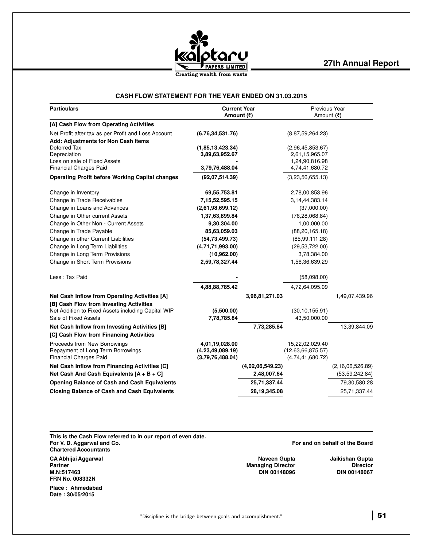# **PAPERS** LIMITED

## Creating wealth from waste

## **CASH FLOW STATEMENT FOR THE YEAR ENDED ON 31.03.2015**

| <b>Particulars</b>                                                                         | <b>Current Year</b><br>Amount (₹) | Previous Year<br>Amount (₹) |                    |                     |
|--------------------------------------------------------------------------------------------|-----------------------------------|-----------------------------|--------------------|---------------------|
| [A] Cash Flow from Operating Activities                                                    |                                   |                             |                    |                     |
| Net Profit after tax as per Profit and Loss Account<br>Add: Adjustments for Non Cash Items | (6,76,34,531.76)                  |                             | (8,87,59,264.23)   |                     |
| Deferred Tax                                                                               | (1,85,13,423.34)                  |                             | (2,96,45,853.67)   |                     |
| Depreciation                                                                               | 3,89,63,952.67                    |                             | 2,61,15,965.07     |                     |
| Loss on sale of Fixed Assets                                                               |                                   |                             | 1,24,90,816.98     |                     |
| <b>Financial Charges Paid</b>                                                              | 3,79,76,488.04                    |                             | 4,74,41,680.72     |                     |
| <b>Operating Profit before Working Capital changes</b>                                     | (92.07, 514.39)                   |                             | (3,23,56,655.13)   |                     |
| Change in Inventory                                                                        | 69,55,753.81                      |                             | 2,78,00,853.96     |                     |
| Change in Trade Receivables                                                                | 7,15,52,595.15                    |                             | 3, 14, 44, 383. 14 |                     |
| Change in Loans and Advances                                                               | (2,61,98,699.12)                  |                             | (37,000.00)        |                     |
| Change in Other current Assets                                                             | 1,37,63,899.84                    |                             | (76, 28, 068.84)   |                     |
| Change in Other Non - Current Assets                                                       | 9,30,304.00                       |                             | 1,00,000.00        |                     |
| Change in Trade Payable                                                                    | 85,63,059.03                      |                             | (88, 20, 165.18)   |                     |
| Change in other Current Liabilities                                                        | (54, 73, 499.73)                  |                             | (85,99,111.28)     |                     |
| Change in Long Term Liabilities                                                            | (4,71,71,993.00)                  |                             | (29,53,722.00)     |                     |
| Change in Long Term Provisions                                                             | (10,962.00)                       |                             | 3,78,384.00        |                     |
| Change in Short Term Provisions                                                            | 2,59,78,327.44                    |                             | 1,56,36,639.29     |                     |
| Less: Tax Paid                                                                             |                                   |                             | (58,098.00)        |                     |
|                                                                                            | 4,88,88,785.42                    |                             | 4,72,64,095.09     |                     |
| Net Cash Inflow from Operating Activities [A]                                              |                                   | 3,96,81,271.03              |                    | 1,49,07,439.96      |
| [B] Cash Flow from Investing Activities                                                    |                                   |                             |                    |                     |
| Net Addition to Fixed Assets including Capital WIP                                         | (5,500.00)                        |                             | (30, 10, 155.91)   |                     |
| Sale of Fixed Assets                                                                       | 7,78,785.84                       |                             | 43,50,000.00       |                     |
| Net Cash Inflow from Investing Activities [B]                                              |                                   | 7,73,285.84                 |                    | 13,39,844.09        |
| [C] Cash Flow from Financing Activities                                                    |                                   |                             |                    |                     |
| Proceeds from New Borrowings                                                               | 4,01,19,028.00                    |                             | 15,22,02,029.40    |                     |
| Repayment of Long Term Borrowings                                                          | (4,23,49,089.19)                  |                             | (12,63,66,875.57)  |                     |
| <b>Financial Charges Paid</b>                                                              | (3,79,76,488.04)                  |                             | (4,74,41,680.72)   |                     |
| Net Cash Inflow from Financing Activities [C]                                              |                                   | (4,02,06,549.23)            |                    | (2, 16, 06, 526.89) |
| Net Cash And Cash Equivalents [A + B + C]                                                  |                                   | 2,48,007.64                 |                    | (53, 59, 242.84)    |
| <b>Opening Balance of Cash and Cash Equivalents</b>                                        |                                   | 25,71,337.44                |                    | 79,30,580.28        |
| <b>Closing Balance of Cash and Cash Equivalents</b>                                        |                                   | 28,19,345.08                |                    | 25,71,337.44        |

**This is the Cash Flow referred to in our report of even date. Chartered Accountants**

**CA Abhijai Aggarwal Naveen Gupta Jaikishan Gupta Partner Managing Director Director M.N:517463 DIN 00148096 DIN 00148067 FRN No. 008332N**

**Place : Ahmedabad** Date: 30/05/2015

For and on behalf of the Board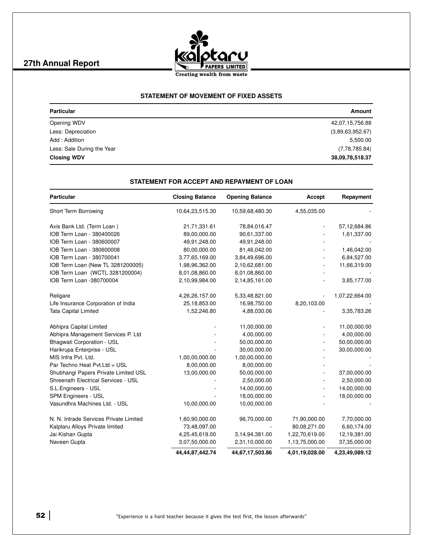

## **STATEMENT OF MOVEMENT OF FIXED ASSETS**

| <b>Particular</b>          | Amount           |
|----------------------------|------------------|
| Opening WDV                | 42,07,15,756.88  |
| Less: Depreciation         | (3,89,63,952.67) |
| Add: Addition              | 5,500.00         |
| Less: Sale During the Year | (7,78,785.84)    |
| <b>Closing WDV</b>         | 38,09,78,518.37  |

## **STATEMENT FOR ACCEPT AND REPAYMENT OF LOAN**

| <b>Particular</b>                      | <b>Closing Balance</b> | <b>Opening Balance</b> | Accept                   | Repayment      |
|----------------------------------------|------------------------|------------------------|--------------------------|----------------|
| Short Term Borrowing                   | 10,64,23,515.30        | 10,59,68,480.30        | 4,55,035.00              |                |
| Axis Bank Ltd. (Term Loan)             | 21,71,331.61           | 78,84,016.47           |                          | 57,12,684.86   |
| IOB Term Loan - 380400026              | 89,00,000.00           | 90,61,337.00           |                          | 1,61,337.00    |
| IOB Term Loan - 380600007              | 49,91,248.00           | 49,91,248.00           |                          |                |
| IOB Term Loan - 380600008              | 80,00,000.00           | 81,46,042.00           |                          | 1,46,042.00    |
| IOB Term Loan - 380700041              | 3,77,65,169.00         | 3,84,49,696.00         |                          | 6,84,527.00    |
| IOB Term Loan (New TL 3281200005)      | 1,98,96,362.00         | 2,10,62,681.00         | ÷,                       | 11,66,319.00   |
| IOB Term Loan (WCTL 3281200004)        | 8,01,08,860.00         | 8,01,08,860.00         |                          |                |
| IOB Term Loan -380700004               | 2,10,99,984.00         | 2,14,85,161.00         |                          | 3,85,177.00    |
| Religare                               | 4,26,26,157.00         | 5,33,48,821.00         |                          | 1,07,22,664.00 |
| Life Insurance Corporation of India    | 25,18,853.00           | 16,98,750.00           | 8,20,103.00              |                |
| <b>Tata Capital Limited</b>            | 1,52,246.80            | 4,88,030.06            |                          | 3,35,783.26    |
| Abhipra Capital Limited                |                        | 11,00,000.00           | ÷,                       | 11,00,000.00   |
| Abhipra Management Services P. Ltd     |                        | 4,00,000.00            | L,                       | 4,00,000.00    |
| <b>Bhagwati Corporation - USL</b>      |                        | 50,00,000.00           |                          | 50,00,000.00   |
| Harikrupa Enterprise - USL             |                        | 30,00,000.00           | $\overline{\phantom{a}}$ | 30,00,000.00   |
| MIS Infra Pvt. Ltd.                    | 1,00,00,000.00         | 1,00,00,000.00         |                          |                |
| Par Techno Heat Pvt.Ltd = USL          | 8,00,000.00            | 8,00,000.00            |                          |                |
| Shubhangi Papers Private Limited USL   | 13,00,000.00           | 50,00,000.00           |                          | 37,00,000.00   |
| Shreenath Electrical Services - USL    |                        | 2,50,000.00            | ٠                        | 2,50,000.00    |
| S.L.Engineers - USL                    |                        | 14,00,000.00           | L,                       | 14,00,000.00   |
| SPM Engineers - USL                    |                        | 18,00,000.00           |                          | 18,00,000.00   |
| Vasundhra Machines Ltd. - USL          | 10,00,000.00           | 10,00,000.00           |                          |                |
| N. N. Intrade Services Private Limited | 1,60,90,000.00         | 96,70,000.00           | 71,90,000.00             | 7,70,000.00    |
| Kalptaru Alloys Private limited        | 73,48,097.00           |                        | 80,08,271.00             | 6,60,174.00    |
| Jai Kishan Gupta                       | 4,25,45,619.00         | 3,14,94,381.00         | 1,22,70,619.00           | 12,19,381.00   |
| Naveen Gupta                           | 3,07,50,000.00         | 2,31,10,000.00         | 1,13,75,000.00           | 37,35,000.00   |
|                                        | 44.44.87.442.74        | 44,67,17,503.86        | 4,01,19,028.00           | 4.23.49.089.12 |

"Experience is a hard teacher because it gives the test first, the lesson afterwards"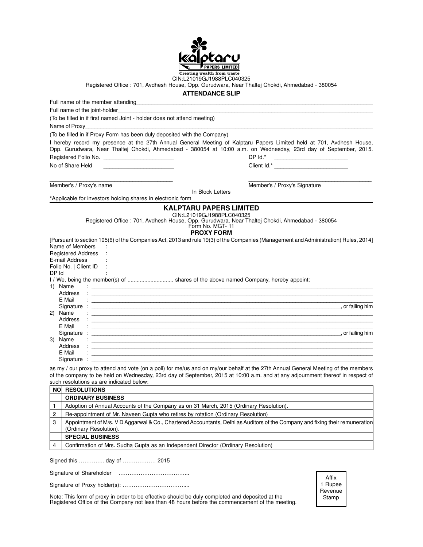|                                                                                                                                                                                                                                                                                                             | <b>PAPERS LIMITED</b><br>Creating wealth from waste                                                                                                                                                                            |
|-------------------------------------------------------------------------------------------------------------------------------------------------------------------------------------------------------------------------------------------------------------------------------------------------------------|--------------------------------------------------------------------------------------------------------------------------------------------------------------------------------------------------------------------------------|
|                                                                                                                                                                                                                                                                                                             | CIN:L21019GJ1988PLC040325                                                                                                                                                                                                      |
|                                                                                                                                                                                                                                                                                                             | Registered Office: 701, Avdhesh House, Opp. Gurudwara, Near Thaltej Chokdi, Ahmedabad - 380054                                                                                                                                 |
|                                                                                                                                                                                                                                                                                                             | <b>ATTENDANCE SLIP</b>                                                                                                                                                                                                         |
|                                                                                                                                                                                                                                                                                                             |                                                                                                                                                                                                                                |
| Full name of the joint-holder                                                                                                                                                                                                                                                                               |                                                                                                                                                                                                                                |
| (To be filled in if first named Joint - holder does not attend meeting)                                                                                                                                                                                                                                     |                                                                                                                                                                                                                                |
| Name of Proxy                                                                                                                                                                                                                                                                                               |                                                                                                                                                                                                                                |
| (To be filled in if Proxy Form has been duly deposited with the Company)                                                                                                                                                                                                                                    |                                                                                                                                                                                                                                |
|                                                                                                                                                                                                                                                                                                             | I hereby record my presence at the 27th Annual General Meeting of Kalptaru Papers Limited held at 701, Avdhesh House,                                                                                                          |
|                                                                                                                                                                                                                                                                                                             | Opp. Gurudwara, Near Thaltej Chokdi, Ahmedabad - 380054 at 10:00 a.m. on Wednesday, 23rd day of September, 2015.                                                                                                               |
|                                                                                                                                                                                                                                                                                                             | DP Id.*                                                                                                                                                                                                                        |
| No of Share Held                                                                                                                                                                                                                                                                                            |                                                                                                                                                                                                                                |
|                                                                                                                                                                                                                                                                                                             |                                                                                                                                                                                                                                |
| Member's / Proxy's name                                                                                                                                                                                                                                                                                     | Member's / Proxy's Signature                                                                                                                                                                                                   |
|                                                                                                                                                                                                                                                                                                             | In Block Letters                                                                                                                                                                                                               |
| *Applicable for investors holding shares in electronic form                                                                                                                                                                                                                                                 |                                                                                                                                                                                                                                |
| CIN:L21019GJ1988PLC040325<br>Registered Office : 701, Avdhesh House, Opp. Gurudwara, Near Thaltej Chokdi, Ahmedabad - 380054<br>Form No. MGT-11<br><b>PROXY FORM</b><br>[Pursuant to section 105(6) of the Companies Act, 2013 and rule 19(3) of the Companies (Management and Administration) Rules, 2014] |                                                                                                                                                                                                                                |
| Name of Members                                                                                                                                                                                                                                                                                             |                                                                                                                                                                                                                                |
| <b>Registered Address</b><br>E-mail Address                                                                                                                                                                                                                                                                 |                                                                                                                                                                                                                                |
| Folio No.   Client ID                                                                                                                                                                                                                                                                                       |                                                                                                                                                                                                                                |
| DP Id                                                                                                                                                                                                                                                                                                       |                                                                                                                                                                                                                                |
|                                                                                                                                                                                                                                                                                                             | I/We, being the member(s) of  shares of the above named Company, hereby appoint:                                                                                                                                               |
| 1) Name<br>Address                                                                                                                                                                                                                                                                                          |                                                                                                                                                                                                                                |
| E Mail                                                                                                                                                                                                                                                                                                      | <u> 1989 - Johann Stoff, amerikansk politiker (d. 1989)</u>                                                                                                                                                                    |
| Signature :                                                                                                                                                                                                                                                                                                 |                                                                                                                                                                                                                                |
| 2) Name<br>Address                                                                                                                                                                                                                                                                                          |                                                                                                                                                                                                                                |
| E Mail                                                                                                                                                                                                                                                                                                      | ,我们也不能在这里的人,我们也不能在这里的人,我们也不能在这里的人,我们也不能在这里的人,我们也不能在这里的人,我们也不能在这里的人,我们也不能在这里的人,我们也                                                                                                                                              |
| Signature                                                                                                                                                                                                                                                                                                   | or failing him and the context of the context of the context of the context of the context of the context of the context of the context of the context of the context of the context of the context of the context of the cont |
| 3) Name                                                                                                                                                                                                                                                                                                     |                                                                                                                                                                                                                                |
| Address<br>E Mail                                                                                                                                                                                                                                                                                           |                                                                                                                                                                                                                                |
| Signature                                                                                                                                                                                                                                                                                                   |                                                                                                                                                                                                                                |
|                                                                                                                                                                                                                                                                                                             | as my / our proxy to attend and vote (on a poll) for me/us and on my/our behalf at the 27th Annual General Meeting of the members                                                                                              |
|                                                                                                                                                                                                                                                                                                             | of the company to be held on Wednesday, 23rd day of September, 2015 at 10:00 a.m. and at any adjournment thereof in respect of                                                                                                 |
| such resolutions as are indicated below:                                                                                                                                                                                                                                                                    |                                                                                                                                                                                                                                |
| <b>RESOLUTIONS</b><br><b>NO</b>                                                                                                                                                                                                                                                                             |                                                                                                                                                                                                                                |
| <b>ORDINARY BUSINESS</b>                                                                                                                                                                                                                                                                                    |                                                                                                                                                                                                                                |
| 1                                                                                                                                                                                                                                                                                                           | Adoption of Annual Accounts of the Company as on 31 March, 2015 (Ordinary Resolution).                                                                                                                                         |
| 2<br>Re-appointment of Mr. Naveen Gupta who retires by rotation (Ordinary Resolution)                                                                                                                                                                                                                       |                                                                                                                                                                                                                                |
| Appointment of M/s. V D Aggarwal & Co., Chartered Accountants, Delhi as Auditors of the Company and fixing their remuneration<br>3<br>(Ordinary Resolution).                                                                                                                                                |                                                                                                                                                                                                                                |
| <b>SPECIAL BUSINESS</b>                                                                                                                                                                                                                                                                                     |                                                                                                                                                                                                                                |

4 Confirmation of Mrs. Sudha Gupta as an Independent Director (Ordinary Resolution)

Signed this ………….. day of ……………… 2015

Signature of Shareholder ………………………………...

Signature of Proxy holder(s): ……………………………....

Note: This form of proxy in order to be effective should be duly completed and deposited at the Registered Office of the Company not less than 48 hours before the commencement of the meeting.